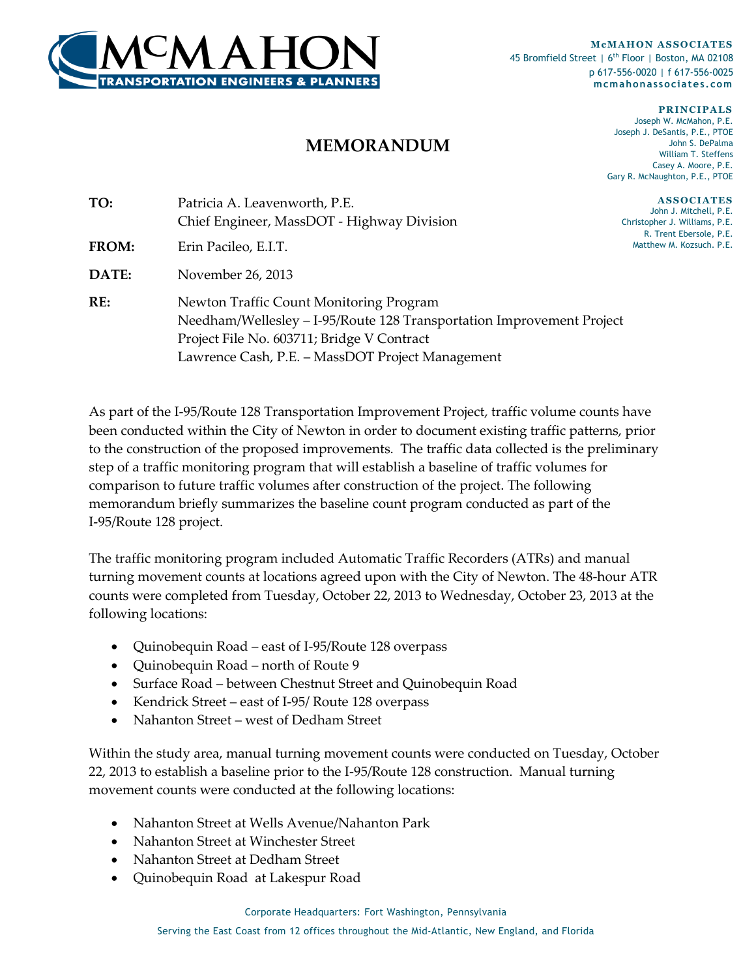

**McMAHON ASSOCIATES** 45 Bromfield Street | 6<sup>th</sup> Floor | Boston, MA 02108 p 617-556-0020 | f 617-556-0025 **mcmahonassociates.com**

> **PRIN CIPA LS** Joseph W. McMahon, P.E. Joseph J. DeSantis, P.E., PTOE John S. DePalma William T. Steffens Casey A. Moore, P.E. Gary R. McNaughton, P.E., PTOE

**A S S O CIA TES** John J. Mitchell, P.E. Christopher J. Williams, P.E. R. Trent Ebersole, P.E. Matthew M. Kozsuch. P.E.

| TO:          | Patricia A. Leavenworth, P.E.                                         |  |
|--------------|-----------------------------------------------------------------------|--|
|              | Chief Engineer, MassDOT - Highway Division                            |  |
| <b>FROM:</b> | Erin Pacileo, E.I.T.                                                  |  |
| <b>DATE:</b> | November 26, 2013                                                     |  |
| RE:          | Newton Traffic Count Monitoring Program                               |  |
|              | Needham/Wellesley - I-95/Route 128 Transportation Improvement Project |  |
|              | Project File No. 603711; Bridge V Contract                            |  |

Lawrence Cash, P.E. – MassDOT Project Management

As part of the I-95/Route 128 Transportation Improvement Project, traffic volume counts have been conducted within the City of Newton in order to document existing traffic patterns, prior to the construction of the proposed improvements. The traffic data collected is the preliminary step of a traffic monitoring program that will establish a baseline of traffic volumes for comparison to future traffic volumes after construction of the project. The following memorandum briefly summarizes the baseline count program conducted as part of the I-95/Route 128 project.

**MEMORANDUM**

The traffic monitoring program included Automatic Traffic Recorders (ATRs) and manual turning movement counts at locations agreed upon with the City of Newton. The 48-hour ATR counts were completed from Tuesday, October 22, 2013 to Wednesday, October 23, 2013 at the following locations:

- Quinobequin Road east of I-95/Route 128 overpass
- Quinobequin Road north of Route 9
- Surface Road between Chestnut Street and Quinobequin Road
- Kendrick Street east of I-95/ Route 128 overpass
- Nahanton Street west of Dedham Street

Within the study area, manual turning movement counts were conducted on Tuesday, October 22, 2013 to establish a baseline prior to the I-95/Route 128 construction. Manual turning movement counts were conducted at the following locations:

- Nahanton Street at Wells Avenue/Nahanton Park
- Nahanton Street at Winchester Street
- Nahanton Street at Dedham Street
- Quinobequin Road at Lakespur Road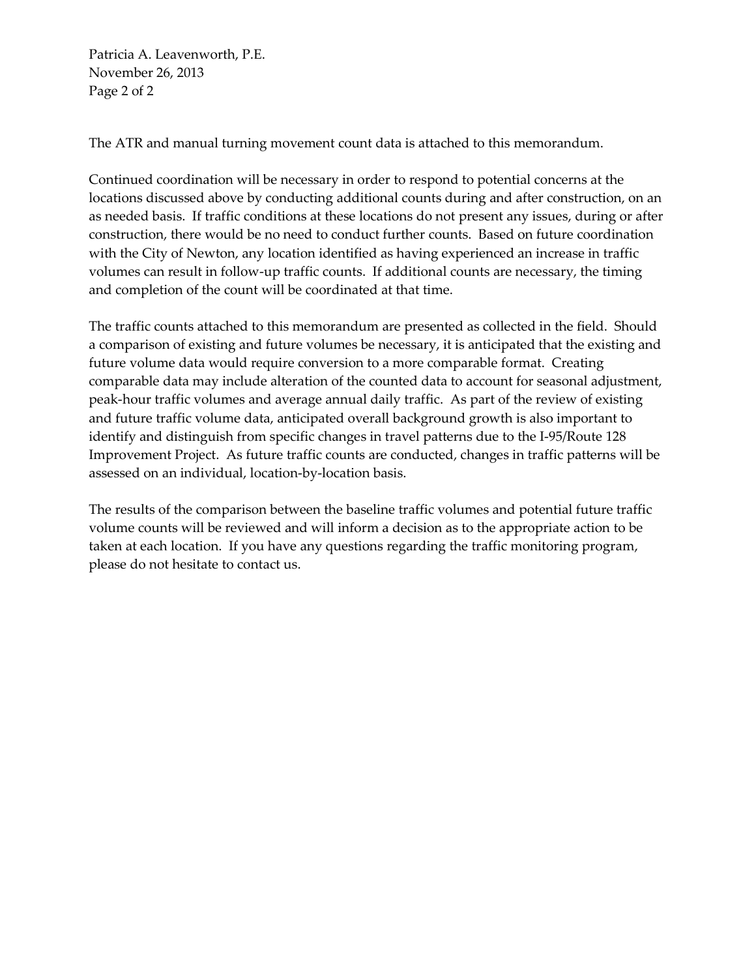Patricia A. Leavenworth, P.E. November 26, 2013 Page 2 of 2

The ATR and manual turning movement count data is attached to this memorandum.

Continued coordination will be necessary in order to respond to potential concerns at the locations discussed above by conducting additional counts during and after construction, on an as needed basis. If traffic conditions at these locations do not present any issues, during or after construction, there would be no need to conduct further counts. Based on future coordination with the City of Newton, any location identified as having experienced an increase in traffic volumes can result in follow-up traffic counts. If additional counts are necessary, the timing and completion of the count will be coordinated at that time.

The traffic counts attached to this memorandum are presented as collected in the field. Should a comparison of existing and future volumes be necessary, it is anticipated that the existing and future volume data would require conversion to a more comparable format. Creating comparable data may include alteration of the counted data to account for seasonal adjustment, peak-hour traffic volumes and average annual daily traffic. As part of the review of existing and future traffic volume data, anticipated overall background growth is also important to identify and distinguish from specific changes in travel patterns due to the I-95/Route 128 Improvement Project. As future traffic counts are conducted, changes in traffic patterns will be assessed on an individual, location-by-location basis.

The results of the comparison between the baseline traffic volumes and potential future traffic volume counts will be reviewed and will inform a decision as to the appropriate action to be taken at each location. If you have any questions regarding the traffic monitoring program, please do not hesitate to contact us.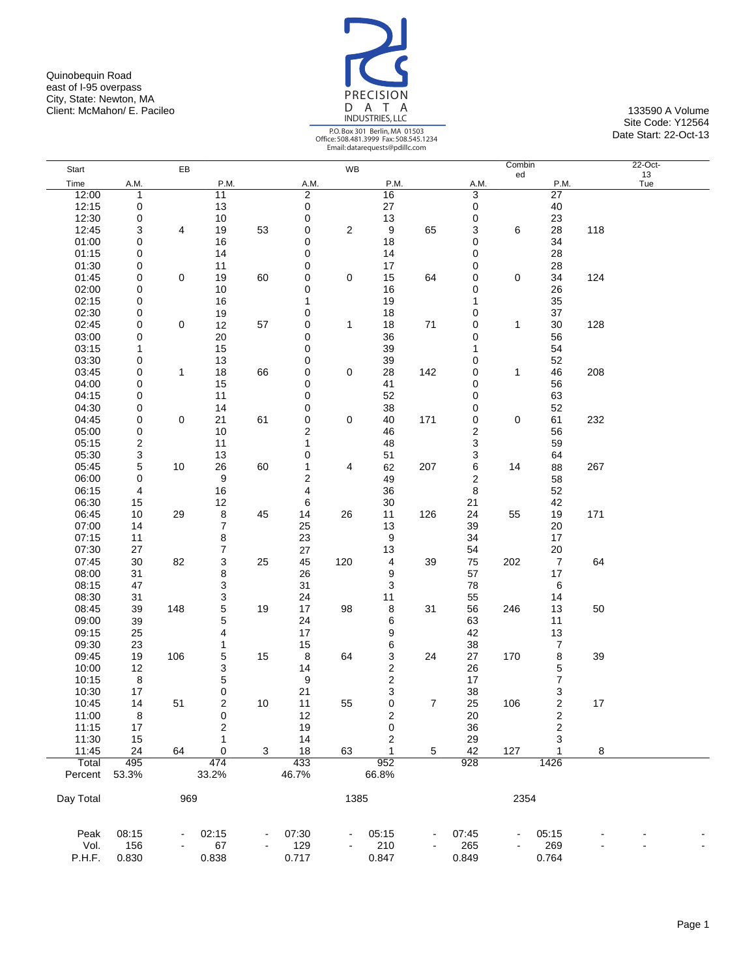Quinobequin Road east of I-95 overpass City, State: Newton, MA Client: McMahon/ E. Pacileo 133590 A Volume 133590 A Volume 133590 A Volume 133590 A Volume



|           |              |             |                         |    |                         |                         | Email: datarequests@pdillc.com |     |                  |        |                  |     |           |  |
|-----------|--------------|-------------|-------------------------|----|-------------------------|-------------------------|--------------------------------|-----|------------------|--------|------------------|-----|-----------|--|
| Start     |              | EB          |                         |    |                         | WB                      |                                |     |                  | Combin |                  |     | 22-Oct-   |  |
| Time      | A.M.         |             | P.M.                    |    | A.M.                    |                         | P.M.                           |     | A.M.             | ed     | P.M.             |     | 13<br>Tue |  |
| 12:00     | $\mathbf{1}$ |             | $\overline{11}$         |    | $\overline{2}$          |                         | 16                             |     | 3                |        | $\overline{27}$  |     |           |  |
| 12:15     | 0            |             | 13                      |    | 0                       |                         | 27                             |     | 0                |        | 40               |     |           |  |
| 12:30     | 0            |             | 10                      |    | 0                       |                         | 13                             |     | 0                |        | 23               |     |           |  |
| 12:45     | 3            | 4           | 19                      | 53 | 0                       | $\overline{\mathbf{c}}$ | 9                              | 65  | 3                | 6      | 28               | 118 |           |  |
| 01:00     | 0            |             | 16                      |    | 0                       |                         | 18                             |     | 0                |        | 34               |     |           |  |
| 01:15     | 0            |             | 14                      |    | 0                       |                         | 14                             |     | 0                |        | 28               |     |           |  |
| 01:30     | 0            |             | 11                      |    | 0                       |                         | 17                             |     | 0                |        | 28               |     |           |  |
| 01:45     | 0            | $\mathbf 0$ | 19                      | 60 | 0                       | 0                       | 15                             | 64  | 0                | 0      | 34               | 124 |           |  |
|           |              |             |                         |    |                         |                         |                                |     |                  |        |                  |     |           |  |
| 02:00     | 0            |             | 10                      |    | 0                       |                         | 16                             |     | 0                |        | 26               |     |           |  |
| 02:15     | 0            |             | 16                      |    | 1                       |                         | 19                             |     | 1                |        | 35               |     |           |  |
| 02:30     | 0            |             | 19                      |    | 0                       |                         | 18                             |     | 0                |        | 37               |     |           |  |
| 02:45     | 0            | 0           | 12                      | 57 | 0                       | 1                       | 18                             | 71  | 0                | 1      | 30               | 128 |           |  |
| 03:00     | 0            |             | 20                      |    | 0                       |                         | 36                             |     | 0                |        | 56               |     |           |  |
| 03:15     | 1            |             | 15                      |    | 0                       |                         | 39                             |     | 1                |        | 54               |     |           |  |
| 03:30     | 0            |             | 13                      |    | 0                       |                         | 39                             |     | 0                |        | 52               |     |           |  |
| 03:45     | 0            | 1           | 18                      | 66 | 0                       | 0                       | 28                             | 142 | 0                | 1      | 46               | 208 |           |  |
| 04:00     | 0            |             | 15                      |    | 0                       |                         | 41                             |     | 0                |        | 56               |     |           |  |
| 04:15     | 0            |             | 11                      |    | 0                       |                         | 52                             |     | 0                |        | 63               |     |           |  |
| 04:30     | 0            |             | 14                      |    | 0                       |                         | 38                             |     | 0                |        | 52               |     |           |  |
| 04:45     | 0            | $\mathbf 0$ | 21                      | 61 | $\pmb{0}$               | 0                       | 40                             | 171 | 0                | 0      | 61               | 232 |           |  |
| 05:00     | 0            |             | 10                      |    | $\overline{\mathbf{c}}$ |                         | 46                             |     | 2                |        | 56               |     |           |  |
| 05:15     | 2            |             | 11                      |    | 1                       |                         | 48                             |     | 3                |        | 59               |     |           |  |
| 05:30     | 3            |             | 13                      |    | 0                       |                         | 51                             |     | 3                |        | 64               |     |           |  |
| 05:45     | 5            | 10          | 26                      | 60 | 1                       | 4                       | 62                             | 207 | 6                | 14     | 88               | 267 |           |  |
| 06:00     | 0            |             | 9                       |    | $\overline{\mathbf{c}}$ |                         | 49                             |     | $\boldsymbol{2}$ |        | 58               |     |           |  |
| 06:15     | 4            |             | 16                      |    | 4                       |                         | 36                             |     | 8                |        | 52               |     |           |  |
|           |              |             |                         |    |                         |                         |                                |     |                  |        |                  |     |           |  |
| 06:30     | 15           |             | 12                      |    | 6                       |                         | 30                             |     | 21               |        | 42               |     |           |  |
| 06:45     | 10           | 29          | 8                       | 45 | 14                      | 26                      | 11                             | 126 | 24               | 55     | 19               | 171 |           |  |
| 07:00     | 14           |             | $\boldsymbol{7}$        |    | 25                      |                         | 13                             |     | 39               |        | 20               |     |           |  |
| 07:15     | 11           |             | 8                       |    | 23                      |                         | 9                              |     | 34               |        | 17               |     |           |  |
| 07:30     | 27           |             | $\boldsymbol{7}$        |    | 27                      |                         | 13                             |     | 54               |        | 20               |     |           |  |
| 07:45     | 30           | 82          | 3                       | 25 | 45                      | 120                     | 4                              | 39  | 75               | 202    | $\overline{7}$   | 64  |           |  |
| 08:00     | 31           |             | 8                       |    | 26                      |                         | 9                              |     | 57               |        | 17               |     |           |  |
| 08:15     | 47           |             | 3                       |    | 31                      |                         | 3                              |     | 78               |        | 6                |     |           |  |
| 08:30     | 31           |             | 3                       |    | 24                      |                         | 11                             |     | 55               |        | 14               |     |           |  |
| 08:45     | 39           | 148         | 5                       | 19 | 17                      | 98                      | 8                              | 31  | 56               | 246    | 13               | 50  |           |  |
| 09:00     | 39           |             | 5                       |    | 24                      |                         | 6                              |     | 63               |        | 11               |     |           |  |
| 09:15     | 25           |             | 4                       |    | 17                      |                         | 9                              |     | 42               |        | 13               |     |           |  |
| 09:30     | 23           |             | 1                       |    | 15                      |                         | 6                              |     | 38               |        | $\overline{7}$   |     |           |  |
| 09:45     | 19           | 106         | 5                       | 15 | 8                       | 64                      | 3                              | 24  | 27               | 170    | 8                | 39  |           |  |
| 10:00     | 12           |             | 3                       |    | 14                      |                         | $\overline{\mathbf{c}}$        |     | 26               |        | 5                |     |           |  |
| 10:15     | 8            |             | $\mathbf 5$             |    | 9                       |                         | $\overline{c}$                 |     | 17               |        | $\boldsymbol{7}$ |     |           |  |
| 10:30     | 17           |             | $\pmb{0}$               |    | 21                      |                         | 3                              |     | 38               |        | 3                |     |           |  |
| 10:45     | 14           | 51          | 2                       | 10 | 11                      | 55                      | 0                              | 7   | 25               | 106    | 2                | 17  |           |  |
| 11:00     | 8            |             | 0                       |    | 12                      |                         | $\overline{\mathbf{c}}$        |     | 20               |        | $\boldsymbol{2}$ |     |           |  |
| 11:15     | 17           |             | $\overline{\mathbf{c}}$ |    | 19                      |                         | 0                              |     | 36               |        | $\mathbf 2$      |     |           |  |
| 11:30     |              |             | 1                       |    |                         |                         |                                |     |                  |        |                  |     |           |  |
|           | 15           |             |                         |    | 14                      |                         | 2                              |     | 29               |        | 3                |     |           |  |
| 11:45     | 24           | 64          | $\mathbf 0$             | 3  | 18                      | 63                      | 1                              | 5   | 42               | 127    | 1                | 8   |           |  |
| Total     | 495          |             | 474                     |    | 433                     |                         | 952                            |     | 928              |        | 1426             |     |           |  |
| Percent   | 53.3%        |             | 33.2%                   |    | 46.7%                   |                         | 66.8%                          |     |                  |        |                  |     |           |  |
|           |              |             |                         |    |                         |                         |                                |     |                  |        |                  |     |           |  |
| Day Total |              | 969         |                         |    |                         | 1385                    |                                |     |                  | 2354   |                  |     |           |  |
|           |              |             |                         |    |                         |                         |                                |     |                  |        |                  |     |           |  |
|           |              |             |                         |    |                         |                         |                                |     |                  |        |                  |     |           |  |
| Peak      | 08:15        |             | 02:15                   |    | 07:30                   | $\blacksquare$          | 05:15                          |     | 07:45            |        | 05:15            |     |           |  |
| Vol.      | 156          |             | 67                      |    | 129                     |                         | 210                            |     | 265              |        | 269              |     |           |  |
| P.H.F.    | 0.830        |             | 0.838                   |    | 0.717                   |                         | 0.847                          |     | 0.849            |        | 0.764            |     |           |  |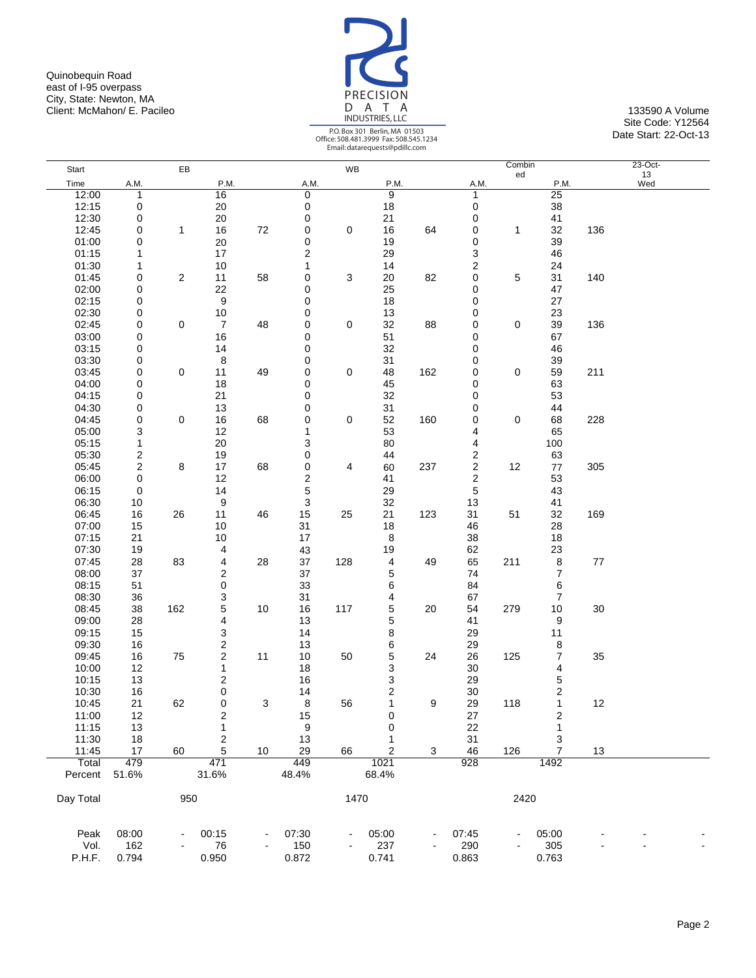Quinobequin Road east of I-95 overpass City, State: Newton, MA Client: McMahon/ E. Pacileo 133590 A Volume 133590 A Volume 133590 A Volume 133590 A Volume



|           |                         |                |                  |    |              |      | Email: datarequests@pdilic.com |     |                  |              |                         |     |                 |  |
|-----------|-------------------------|----------------|------------------|----|--------------|------|--------------------------------|-----|------------------|--------------|-------------------------|-----|-----------------|--|
| Start     |                         | EB             |                  |    |              | WB   |                                |     |                  | Combin<br>ed |                         |     | $23-Oct-$<br>13 |  |
| Time      | A.M.                    |                | P.M.             |    | A.M.         |      | P.M.                           |     | A.M.             |              | P.M.                    |     | Wed             |  |
| 12:00     | 1                       |                | 16               |    | 0            |      | 9                              |     | $\mathbf{1}$     |              | 25                      |     |                 |  |
| 12:15     | 0                       |                | 20               |    | 0            |      | 18                             |     | $\mathbf 0$      |              | 38                      |     |                 |  |
| 12:30     | 0                       |                | 20               |    | 0            |      | 21                             |     | 0                |              | 41                      |     |                 |  |
| 12:45     | 0                       | $\mathbf{1}$   | 16               | 72 | 0            | 0    | 16                             | 64  | 0                | 1            | 32                      | 136 |                 |  |
| 01:00     | 0                       |                | 20               |    | $\mathbf 0$  |      | 19                             |     | 0                |              | 39                      |     |                 |  |
| 01:15     | 1                       |                | 17               |    | 2            |      | 29                             |     | 3                |              | 46                      |     |                 |  |
| 01:30     | 1                       |                | 10               |    | $\mathbf{1}$ |      | 14                             |     | $\boldsymbol{2}$ |              | 24                      |     |                 |  |
| 01:45     | 0                       | $\overline{c}$ | 11               | 58 | 0            | 3    | 20                             | 82  | 0                | 5            | 31                      | 140 |                 |  |
| 02:00     | 0                       |                | 22               |    | 0            |      | 25                             |     | 0                |              | 47                      |     |                 |  |
| 02:15     | 0                       |                | $\boldsymbol{9}$ |    | 0            |      | 18                             |     | 0                |              | 27                      |     |                 |  |
|           |                         |                |                  |    |              |      |                                |     |                  |              |                         |     |                 |  |
| 02:30     | 0                       |                | 10               |    | 0            |      | 13                             |     | 0                |              | 23                      |     |                 |  |
| 02:45     | 0                       | 0              | $\boldsymbol{7}$ | 48 | 0            | 0    | 32                             | 88  | 0                | 0            | 39                      | 136 |                 |  |
| 03:00     | 0                       |                | 16               |    | 0            |      | 51                             |     | 0                |              | 67                      |     |                 |  |
| 03:15     | 0                       |                | 14               |    | 0            |      | 32                             |     | 0                |              | 46                      |     |                 |  |
| 03:30     | 0                       |                | 8                |    | 0            |      | 31                             |     | 0                |              | 39                      |     |                 |  |
| 03:45     | 0                       | $\mathbf 0$    | 11               | 49 | 0            | 0    | 48                             | 162 | 0                | 0            | 59                      | 211 |                 |  |
| 04:00     | 0                       |                | 18               |    | 0            |      | 45                             |     | 0                |              | 63                      |     |                 |  |
| 04:15     | 0                       |                | 21               |    | 0            |      | 32                             |     | 0                |              | 53                      |     |                 |  |
| 04:30     | 0                       |                | 13               |    | 0            |      | 31                             |     | 0                |              | 44                      |     |                 |  |
| 04:45     | 0                       | 0              | 16               | 68 | 0            | 0    | 52                             | 160 | 0                | $\mathbf 0$  | 68                      | 228 |                 |  |
| 05:00     | 3                       |                | 12               |    | 1            |      | 53                             |     | 4                |              | 65                      |     |                 |  |
| 05:15     | 1                       |                | 20               |    | 3            |      | 80                             |     | 4                |              | 100                     |     |                 |  |
| 05:30     | 2                       |                | 19               |    | 0            |      | 44                             |     | 2                |              | 63                      |     |                 |  |
| 05:45     | $\overline{\mathbf{c}}$ | 8              | 17               | 68 | $\mathbf 0$  | 4    | 60                             | 237 | $\boldsymbol{2}$ | 12           | $77\,$                  | 305 |                 |  |
| 06:00     | $\pmb{0}$               |                | 12               |    | 2            |      | 41                             |     | $\boldsymbol{2}$ |              | 53                      |     |                 |  |
| 06:15     | 0                       |                | 14               |    | $\mathbf 5$  |      | 29                             |     | 5                |              | 43                      |     |                 |  |
| 06:30     | 10                      |                | 9                |    | 3            |      | 32                             |     | 13               |              | 41                      |     |                 |  |
| 06:45     | 16                      | 26             | 11               | 46 | 15           | 25   | 21                             | 123 | 31               | 51           | 32                      | 169 |                 |  |
| 07:00     | 15                      |                | 10               |    | 31           |      | 18                             |     | 46               |              | 28                      |     |                 |  |
| 07:15     | 21                      |                | 10               |    | 17           |      | 8                              |     | 38               |              | 18                      |     |                 |  |
| 07:30     | 19                      |                | 4                |    | 43           |      | 19                             |     | 62               |              | 23                      |     |                 |  |
| 07:45     | 28                      | 83             | 4                | 28 | 37           | 128  | 4                              | 49  | 65               | 211          | 8                       | 77  |                 |  |
| 08:00     | 37                      |                | 2                |    | 37           |      | 5                              |     | 74               |              | 7                       |     |                 |  |
| 08:15     | 51                      |                | $\pmb{0}$        |    | 33           |      | 6                              |     | 84               |              | 6                       |     |                 |  |
| 08:30     | 36                      |                | 3                |    | 31           |      | 4                              |     | 67               |              | 7                       |     |                 |  |
| 08:45     | 38                      | 162            | 5                | 10 | 16           | 117  | 5                              | 20  | 54               | 279          | 10                      | 30  |                 |  |
|           |                         |                |                  |    |              |      | 5                              |     |                  |              |                         |     |                 |  |
| 09:00     | 28                      |                | 4                |    | 13           |      |                                |     | 41               |              | 9                       |     |                 |  |
| 09:15     | 15                      |                | 3                |    | 14           |      | 8                              |     | 29               |              | 11                      |     |                 |  |
| 09:30     | 16                      |                | 2                |    | 13           |      | 6                              |     | 29               |              | 8                       |     |                 |  |
| 09:45     | 16                      | 75             | 2                | 11 | 10           | 50   | 5                              | 24  | 26               | 125          | 7                       | 35  |                 |  |
| 10:00     | 12                      |                | 1                |    | 18           |      | 3                              |     | 30               |              | 4                       |     |                 |  |
| 10:15     | 13                      |                | 2                |    | 16           |      | 3                              |     | 29               |              | 5                       |     |                 |  |
| 10:30     | 16                      |                | 0                |    | 14           |      | $\overline{\mathbf{c}}$        |     | 30               |              | $\overline{\mathbf{c}}$ |     |                 |  |
| 10:45     | 21                      | 62             | 0                | 3  | 8            | 56   |                                | 9   | 29               | 118          |                         | 12  |                 |  |
| 11:00     | 12                      |                | 2                |    | 15           |      | 0                              |     | 27               |              | 2                       |     |                 |  |
| 11:15     | 13                      |                | 1                |    | 9            |      | 0                              |     | 22               |              | 1                       |     |                 |  |
| 11:30     | 18                      |                | 2                |    | 13           |      | 1                              |     | 31               |              | 3                       |     |                 |  |
| 11:45     | 17                      | 60             | 5                | 10 | 29           | 66   | 2                              | 3   | 46               | 126          | 7                       | 13  |                 |  |
| Total     | 479                     |                | 471              |    | 449          |      | 1021                           |     | 928              |              | 1492                    |     |                 |  |
| Percent   | 51.6%                   |                | 31.6%            |    | 48.4%        |      | 68.4%                          |     |                  |              |                         |     |                 |  |
|           |                         |                |                  |    |              |      |                                |     |                  |              |                         |     |                 |  |
| Day Total |                         | 950            |                  |    |              | 1470 |                                |     |                  | 2420         |                         |     |                 |  |
|           |                         |                |                  |    |              |      |                                |     |                  |              |                         |     |                 |  |
| Peak      | 08:00                   |                | 00:15            |    | 07:30        |      | 05:00                          |     | 07:45            |              | 05:00                   |     |                 |  |
| Vol.      | 162                     |                | 76               |    | 150          |      | 237                            |     | 290              |              | 305                     |     |                 |  |
| P.H.F.    | 0.794                   |                | 0.950            |    | 0.872        |      | 0.741                          |     | 0.863            |              | 0.763                   |     |                 |  |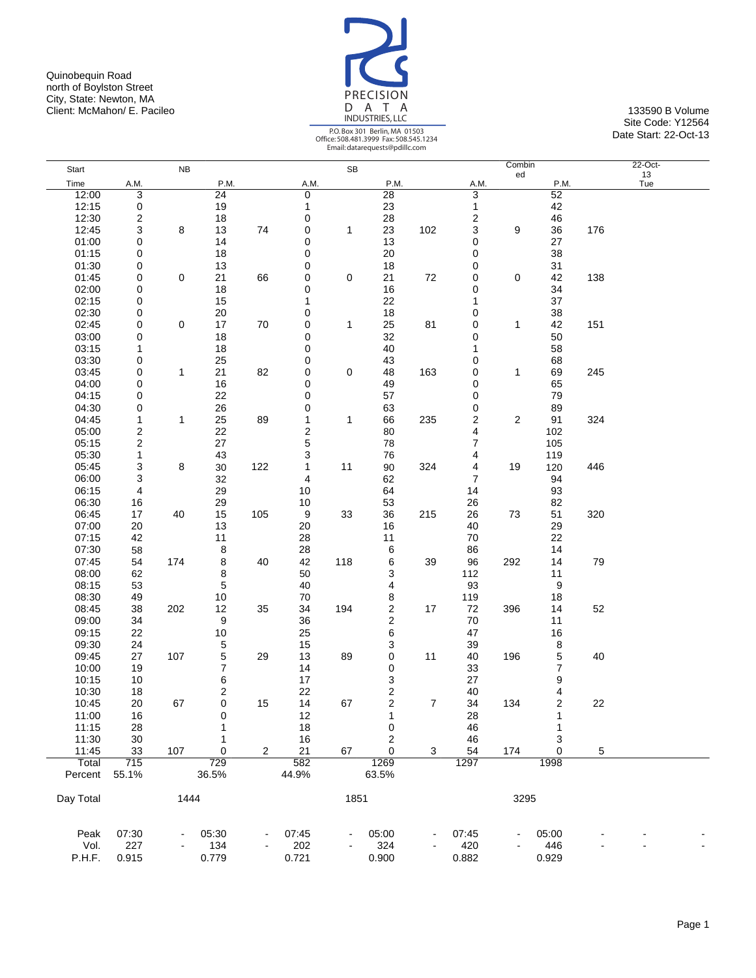Quinobequin Road north of Boylston Street City, State: Newton, MA Client: McMahon/ E. Pacileo 133590 B Volume 133590 B Volume 133590 B Volume 133590 B Volume



|           |                         |           |                 |                |                         |           | Email: datarequests@pdillc.com |     |       |        |       |     |           |  |
|-----------|-------------------------|-----------|-----------------|----------------|-------------------------|-----------|--------------------------------|-----|-------|--------|-------|-----|-----------|--|
| Start     |                         | <b>NB</b> |                 |                |                         | <b>SB</b> |                                |     |       | Combin |       |     | 22-Oct-   |  |
| Time      | A.M.                    |           | P.M.            |                | A.M.                    |           | P.M.                           |     | A.M.  | ed     | P.M.  |     | 13<br>Tue |  |
| 12:00     | 3                       |           | $\overline{24}$ |                | 0                       |           | 28                             |     | 3     |        | 52    |     |           |  |
| 12:15     | 0                       |           | 19              |                | 1                       |           | 23                             |     | 1     |        | 42    |     |           |  |
| 12:30     | $\overline{\mathbf{c}}$ |           | 18              |                | 0                       |           | 28                             |     | 2     |        | 46    |     |           |  |
| 12:45     | 3                       | 8         | 13              | 74             | 0                       | 1         | 23                             | 102 | 3     | 9      | 36    | 176 |           |  |
| 01:00     | 0                       |           | 14              |                | 0                       |           | 13                             |     | 0     |        | 27    |     |           |  |
| 01:15     | 0                       |           | 18              |                | 0                       |           | 20                             |     | 0     |        | 38    |     |           |  |
| 01:30     | 0                       |           | 13              |                | 0                       |           | 18                             |     | 0     |        | 31    |     |           |  |
|           |                         | 0         |                 |                |                         |           |                                |     |       | 0      |       |     |           |  |
| 01:45     | 0                       |           | 21              | 66             | 0                       | 0         | 21                             | 72  | 0     |        | 42    | 138 |           |  |
| 02:00     | 0                       |           | 18              |                | 0                       |           | 16                             |     | 0     |        | 34    |     |           |  |
| 02:15     | 0                       |           | 15              |                | 1                       |           | 22                             |     | 1     |        | 37    |     |           |  |
| 02:30     | 0                       |           | 20              |                | 0                       |           | 18                             |     | 0     |        | 38    |     |           |  |
| 02:45     | 0                       | 0         | 17              | 70             | 0                       | 1         | 25                             | 81  | 0     | 1      | 42    | 151 |           |  |
| 03:00     | 0                       |           | 18              |                | 0                       |           | 32                             |     | 0     |        | 50    |     |           |  |
| 03:15     | 1                       |           | 18              |                | 0                       |           | 40                             |     | 1     |        | 58    |     |           |  |
| 03:30     | 0                       |           | 25              |                | 0                       |           | 43                             |     | 0     |        | 68    |     |           |  |
| 03:45     | 0                       | 1         | 21              | 82             | 0                       | 0         | 48                             | 163 | 0     | 1      | 69    | 245 |           |  |
| 04:00     | 0                       |           | 16              |                | 0                       |           | 49                             |     | 0     |        | 65    |     |           |  |
| 04:15     | 0                       |           | 22              |                | 0                       |           | 57                             |     | 0     |        | 79    |     |           |  |
| 04:30     | 0                       |           | 26              |                | 0                       |           | 63                             |     | 0     |        | 89    |     |           |  |
| 04:45     | $\mathbf{1}$            | 1         | 25              | 89             | 1                       | 1         | 66                             | 235 | 2     | 2      | 91    | 324 |           |  |
| 05:00     | $\boldsymbol{2}$        |           | 22              |                | $\overline{\mathbf{c}}$ |           | 80                             |     | 4     |        | 102   |     |           |  |
| 05:15     | $\overline{\mathbf{c}}$ |           | 27              |                | 5                       |           | 78                             |     | 7     |        | 105   |     |           |  |
| 05:30     | $\mathbf{1}$            |           | 43              |                | 3                       |           | 76                             |     | 4     |        | 119   |     |           |  |
| 05:45     | 3                       | 8         | 30              | 122            | 1                       | 11        | 90                             | 324 | 4     | 19     | 120   | 446 |           |  |
| 06:00     | 3                       |           | 32              |                | 4                       |           | 62                             |     | 7     |        | 94    |     |           |  |
| 06:15     | 4                       |           | 29              |                | 10                      |           | 64                             |     | 14    |        | 93    |     |           |  |
| 06:30     | 16                      |           | 29              |                | 10                      |           | 53                             |     | 26    |        | 82    |     |           |  |
| 06:45     | 17                      | 40        | 15              | 105            | 9                       | 33        | 36                             | 215 | 26    | 73     | 51    | 320 |           |  |
| 07:00     | 20                      |           | 13              |                | 20                      |           | 16                             |     | 40    |        | 29    |     |           |  |
| 07:15     | 42                      |           | 11              |                | 28                      |           | 11                             |     | 70    |        | 22    |     |           |  |
| 07:30     | 58                      |           | 8               |                | 28                      |           | 6                              |     | 86    |        | 14    |     |           |  |
| 07:45     | 54                      | 174       | 8               | 40             | 42                      | 118       | 6                              | 39  | 96    | 292    | 14    | 79  |           |  |
| 08:00     | 62                      |           | 8               |                | 50                      |           | 3                              |     | 112   |        | 11    |     |           |  |
| 08:15     | 53                      |           | 5               |                | 40                      |           | 4                              |     | 93    |        | 9     |     |           |  |
| 08:30     | 49                      |           |                 |                | 70                      |           |                                |     | 119   |        | 18    |     |           |  |
| 08:45     | 38                      | 202       | 10<br>12        | 35             | 34                      | 194       | 8<br>$\overline{\mathbf{c}}$   | 17  | 72    | 396    | 14    | 52  |           |  |
|           |                         |           |                 |                |                         |           | $\overline{c}$                 |     |       |        |       |     |           |  |
| 09:00     | 34                      |           | 9               |                | 36                      |           |                                |     | 70    |        | 11    |     |           |  |
| 09:15     | 22                      |           | 10              |                | 25                      |           | 6                              |     | 47    |        | 16    |     |           |  |
| 09:30     | 24                      |           | 5               |                | 15                      |           | 3                              |     | 39    |        | 8     |     |           |  |
| 09:45     | 27                      | 107       | 5               | 29             | 13                      | 89        | 0                              | 11  | 40    | 196    | 5     | 40  |           |  |
| 10:00     | 19                      |           | $\overline{7}$  |                | 14                      |           | 0                              |     | 33    |        | 7     |     |           |  |
| 10:15     | 10                      |           | 6               |                | 17                      |           | 3                              |     | 27    |        | 9     |     |           |  |
| 10:30     | 18                      |           | $\overline{c}$  |                | 22                      |           | $\overline{\mathbf{c}}$        |     | 40    |        | 4     |     |           |  |
| 10:45     | 20                      | 67        | 0               | 15             | 14                      | 67        | 2                              | 7   | 34    | 134    | 2     | 22  |           |  |
| 11:00     | 16                      |           | 0               |                | 12                      |           | 1                              |     | 28    |        | 1     |     |           |  |
| 11:15     | 28                      |           |                 |                | 18                      |           | 0                              |     | 46    |        | 1     |     |           |  |
| 11:30     | 30                      |           | 1               |                | 16                      |           | $\overline{\mathbf{c}}$        |     | 46    |        | 3     |     |           |  |
| 11:45     | 33                      | 107       | 0               | $\overline{c}$ | 21                      | 67        | 0                              | 3   | 54    | 174    | 0     | 5   |           |  |
| Total     | 715                     |           | 729             |                | 582                     |           | 1269                           |     | 1297  |        | 1998  |     |           |  |
| Percent   | 55.1%                   |           | 36.5%           |                | 44.9%                   |           | 63.5%                          |     |       |        |       |     |           |  |
|           |                         |           |                 |                |                         |           |                                |     |       |        |       |     |           |  |
| Day Total |                         | 1444      |                 |                |                         | 1851      |                                |     |       | 3295   |       |     |           |  |
| Peak      | 07:30                   |           | 05:30           |                | 07:45                   |           | 05:00                          |     | 07:45 |        | 05:00 |     |           |  |
| Vol.      | 227                     |           | 134             |                | 202                     |           | 324                            |     | 420   |        | 446   |     |           |  |
| P.H.F.    | 0.915                   |           | 0.779           |                | 0.721                   |           | 0.900                          |     | 0.882 |        | 0.929 |     |           |  |
|           |                         |           |                 |                |                         |           |                                |     |       |        |       |     |           |  |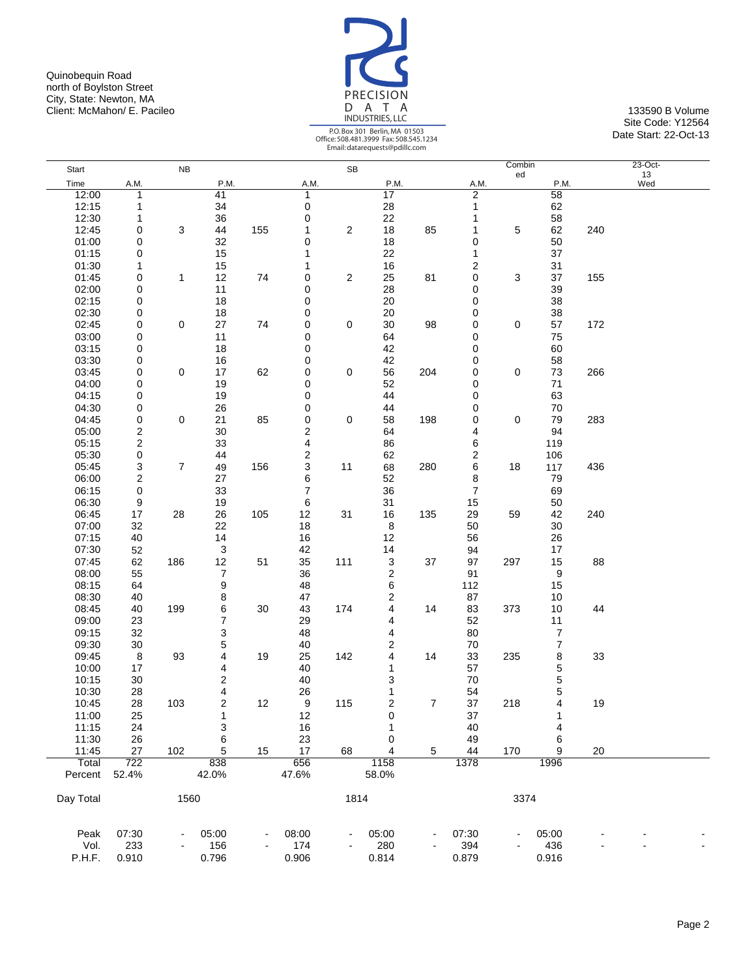Quinobequin Road north of Boylston Street City, State: Newton, MA Client: McMahon/ E. Pacileo 133590 B Volume 133590 B Volume 133590 B Volume 133590 B Volume



|           |                         |                |                         |     |       |                         | Email: datarequests@pdilic.com |     |              |              |                |     |                  |  |
|-----------|-------------------------|----------------|-------------------------|-----|-------|-------------------------|--------------------------------|-----|--------------|--------------|----------------|-----|------------------|--|
| Start     |                         | NB             |                         |     |       | SB                      |                                |     |              | Combin<br>ed |                |     | $23$ -Oct-<br>13 |  |
| Time      | A.M.                    |                | P.M.                    |     | A.M.  |                         | P.M.                           |     | A.M.         |              | P.M.           |     | Wed              |  |
| 12:00     | 1                       |                | 41                      |     | 1     |                         | 17                             |     | 2            |              | 58             |     |                  |  |
| 12:15     | 1                       |                | 34                      |     | 0     |                         | 28                             |     | $\mathbf{1}$ |              | 62             |     |                  |  |
| 12:30     | 1                       |                | 36                      |     | 0     |                         | 22                             |     | 1            |              | 58             |     |                  |  |
| 12:45     | 0                       | 3              | 44                      | 155 | 1     | $\overline{\mathbf{c}}$ | 18                             | 85  | 1            | 5            | 62             | 240 |                  |  |
| 01:00     | 0                       |                | 32                      |     | 0     |                         | 18                             |     | 0            |              | 50             |     |                  |  |
| 01:15     | 0                       |                | 15                      |     | 1     |                         | 22                             |     | 1            |              | 37             |     |                  |  |
| 01:30     | 1                       |                | 15                      |     | 1     |                         | 16                             |     | 2            |              | 31             |     |                  |  |
| 01:45     | 0                       | 1              | 12                      | 74  | 0     | $\overline{\mathbf{c}}$ | 25                             | 81  | 0            | 3            | 37             | 155 |                  |  |
| 02:00     | 0                       |                | 11                      |     | 0     |                         | 28                             |     | 0            |              | 39             |     |                  |  |
| 02:15     | 0                       |                | 18                      |     | 0     |                         | 20                             |     | 0            |              | 38             |     |                  |  |
| 02:30     | 0                       |                | 18                      |     | 0     |                         | 20                             |     | 0            |              | 38             |     |                  |  |
| 02:45     | 0                       | $\mathbf 0$    | 27                      | 74  | 0     | 0                       | 30                             | 98  | 0            | 0            | 57             | 172 |                  |  |
| 03:00     | 0                       |                | 11                      |     | 0     |                         | 64                             |     | 0            |              | 75             |     |                  |  |
| 03:15     | 0                       |                | 18                      |     | 0     |                         | 42                             |     | 0            |              | 60             |     |                  |  |
| 03:30     | 0                       |                | 16                      |     | 0     |                         | 42                             |     | 0            |              | 58             |     |                  |  |
| 03:45     | 0                       | $\mathbf 0$    | 17                      | 62  | 0     | 0                       | 56                             | 204 | 0            | 0            | 73             | 266 |                  |  |
| 04:00     | 0                       |                | 19                      |     | 0     |                         | 52                             |     | 0            |              | 71             |     |                  |  |
| 04:15     | 0                       |                | 19                      |     | 0     |                         | 44                             |     | 0            |              | 63             |     |                  |  |
| 04:30     | 0                       |                | 26                      |     | 0     |                         | 44                             |     | 0            |              | 70             |     |                  |  |
|           |                         | $\mathbf 0$    |                         |     |       |                         |                                |     |              | 0            | 79             |     |                  |  |
| 04:45     | 0                       |                | 21                      | 85  | 0     | 0                       | 58                             | 198 | 0            |              |                | 283 |                  |  |
| 05:00     | 2                       |                | 30                      |     | 2     |                         | 64                             |     | 4            |              | 94             |     |                  |  |
| 05:15     | $\overline{\mathbf{c}}$ |                | 33                      |     | 4     |                         | 86                             |     | 6            |              | 119            |     |                  |  |
| 05:30     | 0                       |                | 44                      |     | 2     |                         | 62                             |     | 2            |              | 106            |     |                  |  |
| 05:45     | 3                       | $\overline{7}$ | 49                      | 156 | 3     | 11                      | 68                             | 280 | 6            | 18           | 117            | 436 |                  |  |
| 06:00     | $\overline{\mathbf{c}}$ |                | 27                      |     | 6     |                         | 52                             |     | 8            |              | 79             |     |                  |  |
| 06:15     | 0                       |                | 33                      |     | 7     |                         | 36                             |     | 7            |              | 69             |     |                  |  |
| 06:30     | 9                       |                | 19                      |     | 6     |                         | 31                             |     | 15           |              | 50             |     |                  |  |
| 06:45     | 17                      | 28             | 26                      | 105 | 12    | 31                      | 16                             | 135 | 29           | 59           | 42             | 240 |                  |  |
| 07:00     | 32                      |                | 22                      |     | 18    |                         | 8                              |     | 50           |              | 30             |     |                  |  |
| 07:15     | 40                      |                | 14                      |     | 16    |                         | 12                             |     | 56           |              | 26             |     |                  |  |
| 07:30     | 52                      |                | 3                       |     | 42    |                         | 14                             |     | 94           |              | 17             |     |                  |  |
| 07:45     | 62                      | 186            | 12                      | 51  | 35    | 111                     | 3                              | 37  | 97           | 297          | 15             | 88  |                  |  |
| 08:00     | 55                      |                | 7                       |     | 36    |                         | $\boldsymbol{2}$               |     | 91           |              | 9              |     |                  |  |
| 08:15     | 64                      |                | 9                       |     | 48    |                         | 6                              |     | 112          |              | 15             |     |                  |  |
| 08:30     | 40                      |                | 8                       |     | 47    |                         | $\overline{\mathbf{c}}$        |     | 87           |              | 10             |     |                  |  |
| 08:45     | 40                      | 199            | 6                       | 30  | 43    | 174                     | 4                              | 14  | 83           | 373          | 10             | 44  |                  |  |
| 09:00     | 23                      |                | 7                       |     | 29    |                         | 4                              |     | 52           |              | 11             |     |                  |  |
| 09:15     | 32                      |                | 3                       |     | 48    |                         | 4                              |     | 80           |              | $\overline{7}$ |     |                  |  |
| 09:30     | $30\,$                  |                | 5                       |     | 40    |                         | $\overline{\mathbf{c}}$        |     | 70           |              | $\overline{7}$ |     |                  |  |
| 09:45     | $\,8\,$                 | 93             | 4                       | 19  | 25    | 142                     | 4                              | 14  | 33           | 235          | 8              | 33  |                  |  |
| 10:00     | 17                      |                | 4                       |     | 40    |                         | 1                              |     | 57           |              | 5              |     |                  |  |
| 10:15     | 30                      |                | $\overline{\mathbf{c}}$ |     | 40    |                         | 3                              |     | $70\,$       |              | 5              |     |                  |  |
| 10:30     | 28                      |                | 4                       |     | 26    |                         | 1                              |     | 54           |              | 5              |     |                  |  |
| 10:45     | 28                      | 103            | 2                       | 12  | 9     | 115                     | 2                              | 7   | 37           | 218          | 4              | 19  |                  |  |
| 11:00     | 25                      |                | $\mathbf{1}$            |     | 12    |                         | 0                              |     | 37           |              | 1              |     |                  |  |
| 11:15     | 24                      |                | 3                       |     | 16    |                         | 1                              |     | 40           |              | 4              |     |                  |  |
| 11:30     | 26                      |                | 6                       |     | 23    |                         | 0                              |     | 49           |              | 6              |     |                  |  |
| 11:45     | 27                      | 102            | 5                       | 15  | 17    | 68                      | 4                              | 5   | 44           | 170          | 9              | 20  |                  |  |
| Total     | 722                     |                | 838                     |     | 656   |                         | 1158                           |     | 1378         |              | 1996           |     |                  |  |
| Percent   | 52.4%                   |                | 42.0%                   |     | 47.6% |                         | 58.0%                          |     |              |              |                |     |                  |  |
|           |                         |                |                         |     |       |                         |                                |     |              |              |                |     |                  |  |
| Day Total |                         | 1560           |                         |     |       | 1814                    |                                |     |              | 3374         |                |     |                  |  |
|           |                         |                |                         |     |       |                         |                                |     |              |              |                |     |                  |  |
| Peak      | 07:30                   |                | 05:00                   |     | 08:00 |                         | 05:00                          |     | 07:30        |              | 05:00          |     |                  |  |
| Vol.      | 233                     |                | 156                     |     | 174   |                         | 280                            |     | 394          |              | 436            |     |                  |  |
| P.H.F.    | 0.910                   |                | 0.796                   |     | 0.906 |                         | 0.814                          |     | 0.879        |              | 0.916          |     |                  |  |
|           |                         |                |                         |     |       |                         |                                |     |              |              |                |     |                  |  |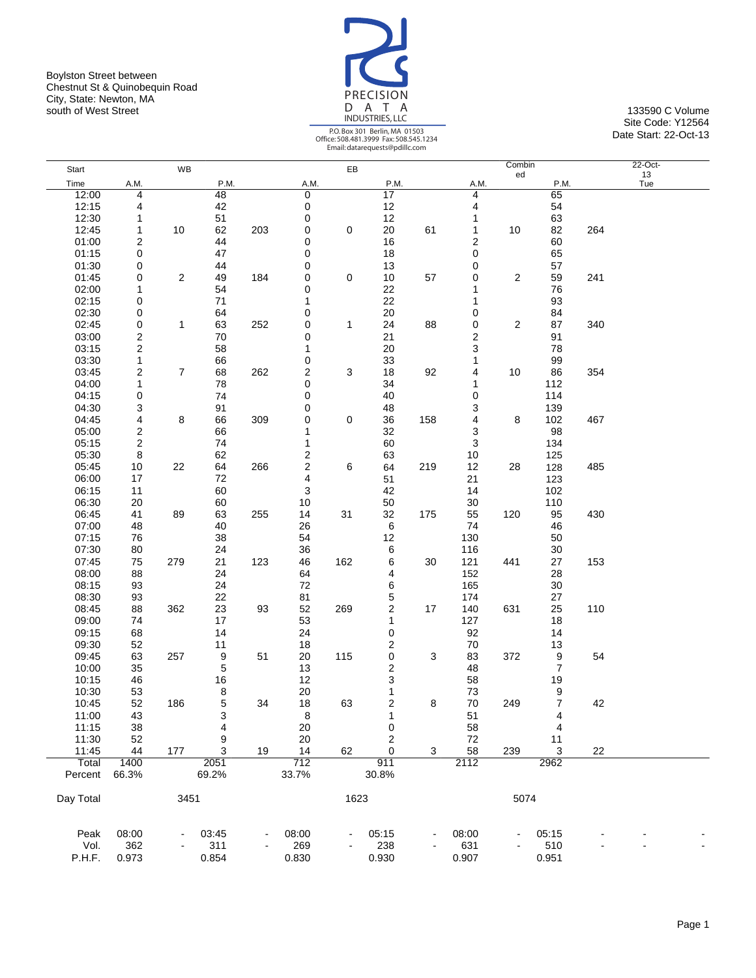Boylston Street between Chestnut St & Quinobequin Road City, State: Newton, MA south of West Street **133590 C Volume** 133590 C Volume



|           |                         |                |             |     |                         |      | Email: datarequests@pdilic.com |     |        |                |                |     |               |
|-----------|-------------------------|----------------|-------------|-----|-------------------------|------|--------------------------------|-----|--------|----------------|----------------|-----|---------------|
| Start     |                         | <b>WB</b>      |             |     |                         | EB   |                                |     |        | Combin<br>ed   |                |     | 22-Oct-<br>13 |
| Time      | A.M.                    |                | P.M.        |     | A.M.                    |      | P.M.                           |     | A.M.   |                | P.M.           |     | Tue           |
| 12:00     | 4                       |                | 48          |     | 0                       |      | $\overline{17}$                |     | 4      |                | 65             |     |               |
| 12:15     | 4                       |                | 42          |     | $\pmb{0}$               |      | 12                             |     | 4      |                | 54             |     |               |
| 12:30     | 1                       |                | 51          |     | 0                       |      | 12                             |     | 1      |                | 63             |     |               |
| 12:45     | 1                       | 10             | 62          | 203 | $\mathbf 0$             | 0    | $20\,$                         | 61  | 1      | 10             | 82             | 264 |               |
| 01:00     | 2                       |                | 44          |     | 0                       |      | 16                             |     | 2      |                | 60             |     |               |
|           |                         |                | 47          |     | 0                       |      |                                |     | 0      |                |                |     |               |
| 01:15     | 0                       |                |             |     |                         |      | 18                             |     |        |                | 65             |     |               |
| 01:30     | 0                       |                | 44          |     | 0                       |      | 13                             |     | 0      |                | 57             |     |               |
| 01:45     | 0                       | 2              | 49          | 184 | 0                       | 0    | 10                             | 57  | 0      | $\overline{c}$ | 59             | 241 |               |
| 02:00     | 1                       |                | 54          |     | 0                       |      | 22                             |     | 1      |                | 76             |     |               |
| 02:15     | 0                       |                | 71          |     | 1                       |      | 22                             |     | 1      |                | 93             |     |               |
| 02:30     | 0                       |                | 64          |     | 0                       |      | 20                             |     | 0      |                | 84             |     |               |
| 02:45     | 0                       | 1              | 63          | 252 | 0                       | 1    | 24                             | 88  | 0      | 2              | 87             | 340 |               |
| 03:00     | 2                       |                | 70          |     | 0                       |      | 21                             |     | 2      |                | 91             |     |               |
| 03:15     | $\boldsymbol{2}$        |                | 58          |     | 1                       |      | 20                             |     | 3      |                | 78             |     |               |
| 03:30     | $\mathbf{1}$            |                | 66          |     | $\pmb{0}$               |      | 33                             |     | 1      |                | 99             |     |               |
| 03:45     | 2                       | $\overline{7}$ | 68          | 262 | $\overline{\mathbf{c}}$ | 3    | 18                             | 92  | 4      | 10             | 86             | 354 |               |
| 04:00     | $\mathbf{1}$            |                | 78          |     | 0                       |      | 34                             |     | 1      |                | 112            |     |               |
| 04:15     | 0                       |                | 74          |     | 0                       |      | 40                             |     | 0      |                | 114            |     |               |
| 04:30     |                         |                |             |     | 0                       |      | 48                             |     | 3      |                | 139            |     |               |
|           | 3                       |                | 91          |     |                         |      |                                |     |        |                |                |     |               |
| 04:45     | 4                       | 8              | 66          | 309 | 0                       | 0    | 36                             | 158 | 4      | 8              | 102            | 467 |               |
| 05:00     | 2                       |                | 66          |     | 1                       |      | 32                             |     | 3      |                | 98             |     |               |
| 05:15     | $\overline{\mathbf{c}}$ |                | 74          |     | 1                       |      | 60                             |     | 3      |                | 134            |     |               |
| 05:30     | 8                       |                | 62          |     | 2                       |      | 63                             |     | 10     |                | 125            |     |               |
| 05:45     | 10                      | 22             | 64          | 266 | $\overline{\mathbf{c}}$ | 6    | 64                             | 219 | 12     | 28             | 128            | 485 |               |
| 06:00     | 17                      |                | 72          |     | $\overline{\mathbf{4}}$ |      | 51                             |     | 21     |                | 123            |     |               |
| 06:15     | 11                      |                | 60          |     | 3                       |      | 42                             |     | 14     |                | 102            |     |               |
| 06:30     | 20                      |                | 60          |     | 10                      |      | 50                             |     | 30     |                | 110            |     |               |
| 06:45     | 41                      | 89             | 63          | 255 | 14                      | 31   | 32                             | 175 | 55     | 120            | 95             | 430 |               |
| 07:00     | 48                      |                | 40          |     | 26                      |      | 6                              |     | 74     |                | 46             |     |               |
| 07:15     | 76                      |                | 38          |     | 54                      |      | 12                             |     | 130    |                | 50             |     |               |
|           |                         |                | 24          |     | 36                      |      |                                |     | 116    |                | 30             |     |               |
| 07:30     | 80                      |                |             |     |                         |      | 6                              |     |        |                |                |     |               |
| 07:45     | 75                      | 279            | 21          | 123 | 46                      | 162  | 6                              | 30  | 121    | 441            | 27             | 153 |               |
| 08:00     | 88                      |                | 24          |     | 64                      |      | 4                              |     | 152    |                | 28             |     |               |
| 08:15     | 93                      |                | 24          |     | 72                      |      | 6                              |     | 165    |                | 30             |     |               |
| 08:30     | 93                      |                | 22          |     | 81                      |      | 5                              |     | 174    |                | 27             |     |               |
| 08:45     | 88                      | 362            | 23          | 93  | 52                      | 269  | 2                              | 17  | 140    | 631            | 25             | 110 |               |
| 09:00     | 74                      |                | 17          |     | 53                      |      | $\mathbf{1}$                   |     | 127    |                | 18             |     |               |
| 09:15     | 68                      |                | 14          |     | 24                      |      | 0                              |     | 92     |                | 14             |     |               |
| 09:30     | 52                      |                | 11          |     | 18                      |      | $\overline{c}$                 |     | $70\,$ |                | 13             |     |               |
| 09:45     | 63                      | 257            | 9           | 51  | $20\,$                  | 115  | 0                              | 3   | 83     | 372            | 9              | 54  |               |
| 10:00     | 35                      |                | $\mathbf 5$ |     | 13                      |      | $\boldsymbol{2}$               |     | 48     |                | $\overline{7}$ |     |               |
| 10:15     | 46                      |                | 16          |     | 12                      |      | 3                              |     | 58     |                | 19             |     |               |
| 10:30     | 53                      |                | 8           |     | 20                      |      | 1                              |     | 73     |                | 9              |     |               |
| 10:45     | 52                      | 186            | 5           | 34  | 18                      | 63   | 2                              | 8   | $70\,$ | 249            |                | 42  |               |
| 11:00     | 43                      |                | 3           |     | 8                       |      | 1                              |     | 51     |                | 4              |     |               |
| 11:15     |                         |                | 4           |     | $20\,$                  |      | 0                              |     | 58     |                |                |     |               |
|           | 38                      |                |             |     |                         |      |                                |     |        |                | 4              |     |               |
| 11:30     | 52                      |                | 9           |     | 20                      |      | $\overline{c}$                 |     | 72     |                | 11             |     |               |
| 11:45     | 44                      | 177            | 3           | 19  | 14                      | 62   | 0                              | 3   | 58     | 239            | 3              | 22  |               |
| Total     | 1400                    |                | 2051        |     | 712                     |      | 911                            |     | 2112   |                | 2962           |     |               |
| Percent   | 66.3%                   |                | 69.2%       |     | 33.7%                   |      | 30.8%                          |     |        |                |                |     |               |
|           |                         |                |             |     |                         |      |                                |     |        |                |                |     |               |
| Day Total |                         | 3451           |             |     |                         | 1623 |                                |     |        | 5074           |                |     |               |
| Peak      | 08:00                   |                | 03:45       |     | 08:00                   |      | 05:15                          |     | 08:00  |                | 05:15          |     |               |
|           |                         |                |             |     |                         |      |                                |     | 631    |                |                |     |               |
| Vol.      | 362                     |                | 311         |     | 269                     |      | 238                            |     |        |                | 510            |     |               |
| P.H.F.    | 0.973                   |                | 0.854       |     | 0.830                   |      | 0.930                          |     | 0.907  |                | 0.951          |     |               |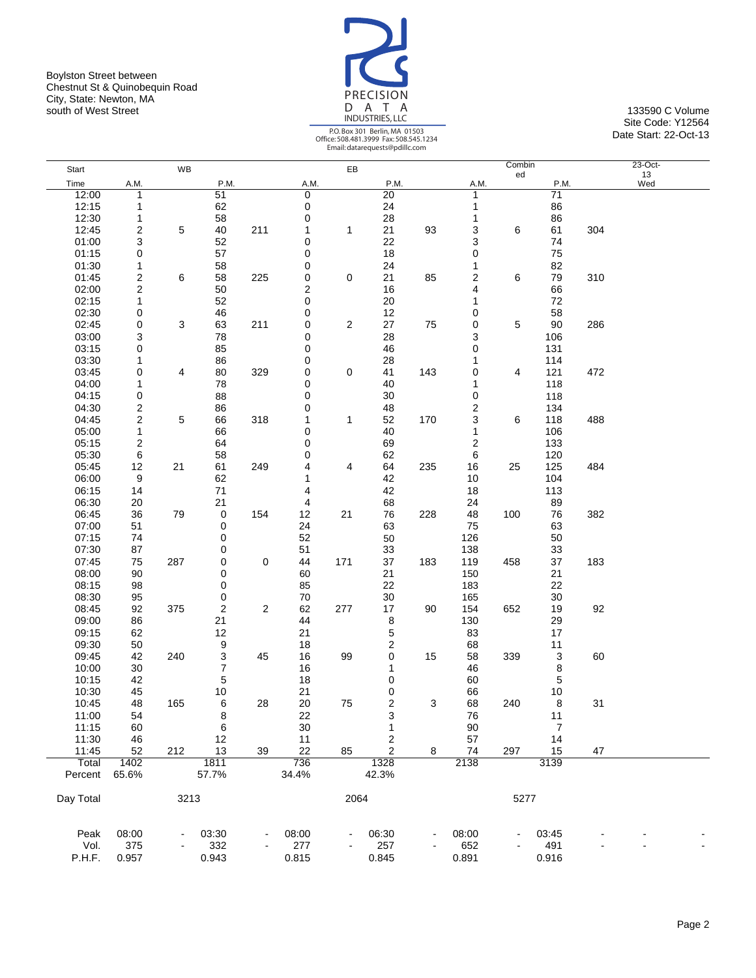Boylston Street between Chestnut St & Quinobequin Road City, State: Newton, MA south of West Street **133590 C Volume** 133590 C Volume



|                  |                         |           |                         |            |              |                         | Email: datarequests@pdific.com |     |       |              |                 |     |                 |  |
|------------------|-------------------------|-----------|-------------------------|------------|--------------|-------------------------|--------------------------------|-----|-------|--------------|-----------------|-----|-----------------|--|
| Start            |                         | <b>WB</b> |                         |            |              | EB                      |                                |     |       | Combin<br>ed |                 |     | $23-Oct-$<br>13 |  |
| Time             | A.M.                    |           | P.M.                    |            | A.M.         |                         | P.M.                           |     | A.M.  |              | P.M.            |     | Wed             |  |
| 12:00            | 1                       |           | 51                      |            | 0            |                         | 20                             |     | 1     |              | $\overline{71}$ |     |                 |  |
| 12:15            | $\mathbf{1}$            |           | 62                      |            | 0            |                         | 24                             |     | 1     |              | 86              |     |                 |  |
| 12:30            | 1                       |           | 58                      |            | 0            |                         | 28                             |     | 1     |              | 86              |     |                 |  |
| 12:45            | 2                       | 5         | 40                      | 211        | 1            | 1                       | 21                             | 93  | 3     | 6            | 61              | 304 |                 |  |
| 01:00            | 3                       |           | 52                      |            | 0            |                         | 22                             |     | 3     |              | 74              |     |                 |  |
| 01:15            | 0                       |           | 57                      |            | 0            |                         | 18                             |     | 0     |              | 75              |     |                 |  |
| 01:30            | 1                       |           | 58                      |            | 0            |                         | 24                             |     | 1     |              | 82              |     |                 |  |
| 01:45            | $\boldsymbol{2}$        | 6         | 58                      | 225        | 0            | 0                       | 21                             | 85  | 2     | 6            | 79              | 310 |                 |  |
| 02:00            | $\boldsymbol{2}$        |           | 50                      |            | 2            |                         | 16                             |     | 4     |              | 66              |     |                 |  |
| 02:15            | $\mathbf{1}$            |           | 52                      |            | 0            |                         | $20\,$                         |     | 1     |              | 72              |     |                 |  |
| 02:30            | 0                       |           | 46                      |            | 0            |                         | 12                             |     | 0     |              | 58              |     |                 |  |
| 02:45            |                         | 3         | 63                      | 211        | 0            | $\overline{\mathbf{c}}$ | 27                             | 75  | 0     | 5            | 90              | 286 |                 |  |
|                  | 0                       |           |                         |            | 0            |                         |                                |     |       |              |                 |     |                 |  |
| 03:00            | 3                       |           | 78                      |            |              |                         | 28                             |     | 3     |              | 106             |     |                 |  |
| 03:15            | 0                       |           | 85                      |            | 0            |                         | 46                             |     | 0     |              | 131             |     |                 |  |
| 03:30            | 1                       |           | 86                      |            | 0            |                         | 28                             |     | 1     |              | 114             |     |                 |  |
| 03:45            | 0                       | 4         | 80                      | 329        | 0            | 0                       | 41                             | 143 | 0     | 4            | 121             | 472 |                 |  |
| 04:00            | 1                       |           | 78                      |            | 0            |                         | 40                             |     | 1     |              | 118             |     |                 |  |
| 04:15            | 0                       |           | 88                      |            | 0            |                         | 30                             |     | 0     |              | 118             |     |                 |  |
| 04:30            | $\overline{\mathbf{c}}$ |           | 86                      |            | 0            |                         | 48                             |     | 2     |              | 134             |     |                 |  |
| 04:45            | $\boldsymbol{2}$        | 5         | 66                      | 318        | 1            | $\mathbf{1}$            | 52                             | 170 | 3     | 6            | 118             | 488 |                 |  |
| 05:00            | 1                       |           | 66                      |            | 0            |                         | 40                             |     | 1     |              | 106             |     |                 |  |
| 05:15            | 2                       |           | 64                      |            | 0            |                         | 69                             |     | 2     |              | 133             |     |                 |  |
| 05:30            | 6                       |           | 58                      |            | 0            |                         | 62                             |     | 6     |              | 120             |     |                 |  |
| 05:45            | 12                      | 21        | 61                      | 249        | 4            | 4                       | 64                             | 235 | 16    | 25           | 125             | 484 |                 |  |
| 06:00            | 9                       |           | 62                      |            | 1            |                         | 42                             |     | 10    |              | 104             |     |                 |  |
| 06:15            | 14                      |           | 71                      |            | 4            |                         | 42                             |     | 18    |              | 113             |     |                 |  |
| 06:30            | 20                      |           | 21                      |            | 4            |                         | 68                             |     | 24    |              | 89              |     |                 |  |
| 06:45            | 36                      | 79        | 0                       | 154        | 12           | 21                      | 76                             | 228 | 48    | 100          | 76              | 382 |                 |  |
| 07:00            | 51                      |           | 0                       |            | 24           |                         | 63                             |     | 75    |              | 63              |     |                 |  |
| 07:15            | 74                      |           | 0                       |            | 52           |                         | 50                             |     | 126   |              | 50              |     |                 |  |
| 07:30            | 87                      |           | 0                       |            | 51           |                         | 33                             |     | 138   |              | 33              |     |                 |  |
| 07:45            | 75                      | 287       | 0                       | 0          | 44           | 171                     | 37                             | 183 | 119   | 458          | 37              | 183 |                 |  |
| 08:00            | 90                      |           | 0                       |            | 60           |                         | 21                             |     | 150   |              | 21              |     |                 |  |
| 08:15            | 98                      |           | 0                       |            | 85           |                         | 22                             |     | 183   |              | 22              |     |                 |  |
| 08:30            | 95                      |           | 0                       |            | 70           |                         | 30                             |     | 165   |              | 30              |     |                 |  |
| 08:45            | 92                      | 375       | $\overline{\mathbf{c}}$ | $\sqrt{2}$ | 62           | 277                     | 17                             | 90  | 154   | 652          | 19              | 92  |                 |  |
| 09:00            | 86                      |           | 21                      |            | 44           |                         | 8                              |     | 130   |              | 29              |     |                 |  |
| 09:15            | 62                      |           | 12                      |            | 21           |                         | 5                              |     | 83    |              | 17              |     |                 |  |
| 09:30            | 50                      |           | 9                       |            | 18           |                         | $\overline{\mathbf{c}}$        |     | 68    |              | 11              |     |                 |  |
| 09:45            | 42                      | 240       | 3                       | 45         | 16           | 99                      | 0                              | 15  | 58    | 339          | 3               | 60  |                 |  |
| 10:00            | 30                      |           | 7                       |            | 16           |                         | 1                              |     | 46    |              | 8               |     |                 |  |
| 10:15            | 42                      |           | 5                       |            | 18           |                         | 0                              |     | 60    |              | 5               |     |                 |  |
| 10:30            |                         |           |                         |            | 21           |                         | 0                              |     |       |              | $10$            |     |                 |  |
|                  | 45                      | 165       | 10                      |            |              |                         |                                |     | 66    |              |                 |     |                 |  |
| 10:45            | 48                      |           | 6                       | 28         | 20           | 75                      | $\overline{\mathbf{c}}$        | 3   | 68    | 240          | 8               | 31  |                 |  |
| 11:00            | 54                      |           | 8                       |            | 22<br>30     |                         | 3                              |     | 76    |              | 11              |     |                 |  |
| 11:15            | 60                      |           | 6                       |            |              |                         | 1                              |     | 90    |              | $\overline{7}$  |     |                 |  |
| 11:30            | 46                      |           | 12                      |            | 11           |                         | 2                              |     | 57    |              | 14              |     |                 |  |
| 11:45            | 52                      | 212       | 13                      | 39         | 22           | 85                      | 2                              | 8   | 74    | 297          | 15              | 47  |                 |  |
| Total<br>Percent | 1402<br>65.6%           |           | 1811<br>57.7%           |            | 736<br>34.4% |                         | 1328<br>42.3%                  |     | 2138  |              | 3139            |     |                 |  |
| Day Total        |                         | 3213      |                         |            |              | 2064                    |                                |     |       | 5277         |                 |     |                 |  |
|                  |                         |           |                         |            |              |                         |                                |     |       |              |                 |     |                 |  |
| Peak             | 08:00                   |           | 03:30                   |            | 08:00        |                         | 06:30                          |     | 08:00 |              | 03:45           |     |                 |  |
| Vol.             | 375                     |           | 332                     |            | 277          |                         | 257                            |     | 652   |              | 491             |     |                 |  |
| P.H.F.           | 0.957                   |           | 0.943                   |            | 0.815        |                         | 0.845                          |     | 0.891 |              | 0.916           |     |                 |  |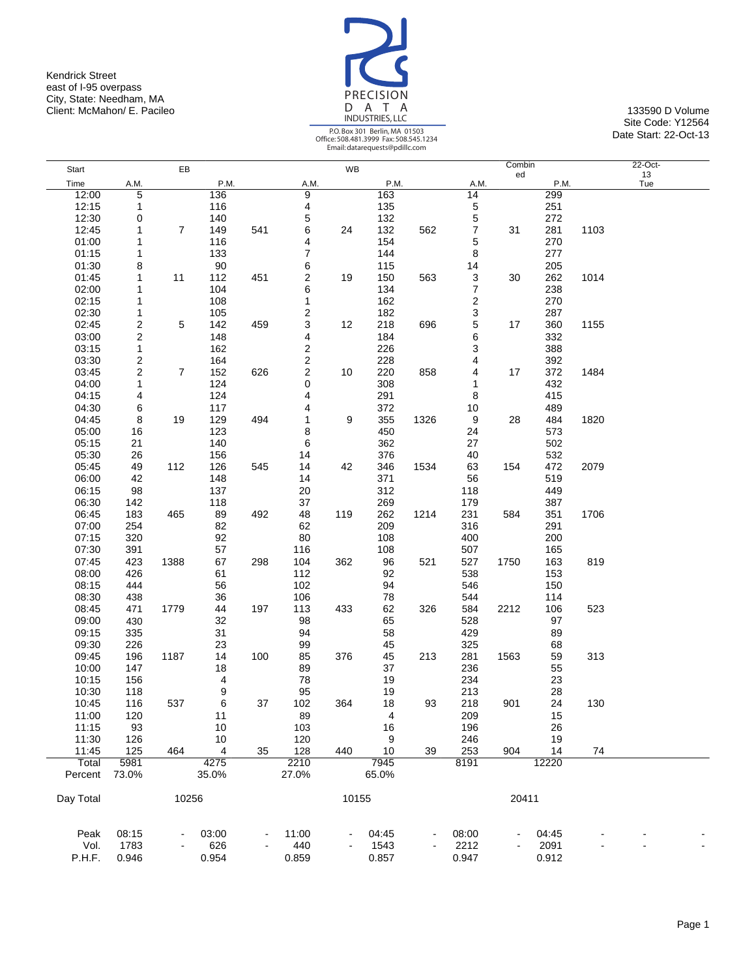Kendrick Street east of I-95 overpass City, State: Needham, MA Client: McMahon/ E. Pacileo 133590 D Volume 133590 D Volume 133590 D Volume



Site Code: Y12564 Date Start: 22-Oct-13

|           |                  |                |       |     |                         |       |       |      |                 | Combin |       |      | 22-Oct- |
|-----------|------------------|----------------|-------|-----|-------------------------|-------|-------|------|-----------------|--------|-------|------|---------|
| Start     |                  | EB             |       |     |                         | WB    |       |      |                 | ed     |       |      | 13      |
| Time      | A.M.             |                | P.M.  |     | A.M.                    |       | P.M.  |      | A.M.            |        | P.M.  |      | Tue     |
| 12:00     | 5                |                | 136   |     | 9                       |       | 163   |      | $\overline{14}$ |        | 299   |      |         |
| 12:15     | 1                |                | 116   |     | 4                       |       | 135   |      | 5               |        | 251   |      |         |
| 12:30     | 0                |                | 140   |     | 5                       |       | 132   |      | 5               |        | 272   |      |         |
| 12:45     | 1                | $\overline{7}$ | 149   | 541 | 6                       | 24    | 132   | 562  | 7               | 31     | 281   | 1103 |         |
| 01:00     | 1                |                | 116   |     | 4                       |       | 154   |      | 5               |        | 270   |      |         |
| 01:15     | 1                |                | 133   |     | 7                       |       | 144   |      | 8               |        | 277   |      |         |
| 01:30     | 8                |                | 90    |     | 6                       |       | 115   |      | 14              |        | 205   |      |         |
| 01:45     | 1                | 11             | 112   | 451 | 2                       | 19    | 150   | 563  | 3               | 30     | 262   | 1014 |         |
| 02:00     | 1                |                | 104   |     | 6                       |       | 134   |      | 7               |        | 238   |      |         |
| 02:15     | 1                |                | 108   |     | 1                       |       | 162   |      | 2               |        | 270   |      |         |
| 02:30     | 1                |                | 105   |     | 2                       |       | 182   |      | 3               |        | 287   |      |         |
| 02:45     | 2                | 5              | 142   | 459 | 3                       | 12    | 218   | 696  | 5               | 17     | 360   | 1155 |         |
| 03:00     | 2                |                | 148   |     | 4                       |       | 184   |      | 6               |        | 332   |      |         |
| 03:15     | $\mathbf{1}$     |                | 162   |     | $\overline{\mathbf{c}}$ |       | 226   |      | 3               |        | 388   |      |         |
| 03:30     | 2                |                | 164   |     | $\overline{\mathbf{c}}$ |       | 228   |      | 4               |        | 392   |      |         |
| 03:45     | $\boldsymbol{2}$ | $\overline{7}$ | 152   | 626 | $\overline{\mathbf{c}}$ | 10    | 220   | 858  | 4               | 17     | 372   | 1484 |         |
| 04:00     | 1                |                | 124   |     | 0                       |       | 308   |      | 1               |        | 432   |      |         |
| 04:15     | 4                |                | 124   |     | 4                       |       | 291   |      | 8               |        | 415   |      |         |
| 04:30     | 6                |                | 117   |     | 4                       |       | 372   |      | 10              |        | 489   |      |         |
| 04:45     | 8                | 19             | 129   | 494 | 1                       | 9     | 355   | 1326 | 9               | 28     | 484   | 1820 |         |
| 05:00     | 16               |                | 123   |     | 8                       |       | 450   |      | 24              |        | 573   |      |         |
| 05:15     | 21               |                | 140   |     | 6                       |       | 362   |      | 27              |        | 502   |      |         |
| 05:30     | 26               |                | 156   |     | 14                      |       | 376   |      | 40              |        | 532   |      |         |
| 05:45     | 49               | 112            | 126   | 545 | 14                      | 42    | 346   | 1534 | 63              | 154    | 472   | 2079 |         |
| 06:00     | 42               |                | 148   |     | 14                      |       | 371   |      | 56              |        | 519   |      |         |
| 06:15     | 98               |                | 137   |     | 20                      |       | 312   |      | 118             |        | 449   |      |         |
| 06:30     | 142              |                | 118   |     | 37                      |       | 269   |      | 179             |        | 387   |      |         |
| 06:45     | 183              | 465            | 89    | 492 | 48                      | 119   | 262   | 1214 | 231             | 584    | 351   | 1706 |         |
| 07:00     | 254              |                | 82    |     | 62                      |       | 209   |      | 316             |        | 291   |      |         |
| 07:15     | 320              |                | 92    |     | 80                      |       | 108   |      | 400             |        | 200   |      |         |
| 07:30     | 391              |                | 57    |     | 116                     |       | 108   |      | 507             |        | 165   |      |         |
| 07:45     | 423              | 1388           | 67    | 298 | 104                     | 362   | 96    | 521  | 527             | 1750   | 163   | 819  |         |
| 08:00     | 426              |                | 61    |     | 112                     |       | 92    |      | 538             |        | 153   |      |         |
| 08:15     | 444              |                | 56    |     | 102                     |       | 94    |      | 546             |        | 150   |      |         |
| 08:30     | 438              |                | 36    |     | 106                     |       | 78    |      | 544             |        | 114   |      |         |
| 08:45     | 471              | 1779           | 44    | 197 | 113                     | 433   | 62    | 326  | 584             | 2212   | 106   | 523  |         |
| 09:00     | 430              |                | 32    |     | 98                      |       | 65    |      | 528             |        | 97    |      |         |
| 09:15     | 335              |                | 31    |     | 94                      |       | 58    |      | 429             |        | 89    |      |         |
| 09:30     | 226              |                | 23    |     | 99                      |       | 45    |      | 325             |        | 68    |      |         |
| 09:45     | 196              | 1187           | 14    | 100 | 85                      | 376   | 45    | 213  | 281             | 1563   | 59    | 313  |         |
| 10:00     | 147              |                | 18    |     | 89                      |       | 37    |      | 236             |        | 55    |      |         |
| 10:15     | 156              |                | 4     |     | 78                      |       | 19    |      | 234             |        | 23    |      |         |
| 10:30     | 118              |                | 9     |     | 95                      |       | 19    |      | 213             |        | 28    |      |         |
| 10:45     | 116              | 537            | 6     | 37  | 102                     | 364   | 18    | 93   | 218             | 901    | 24    | 130  |         |
| 11:00     | 120              |                | 11    |     | 89                      |       | 4     |      | 209             |        | 15    |      |         |
| 11:15     | 93               |                | 10    |     | 103                     |       | 16    |      | 196             |        | 26    |      |         |
| 11:30     | 126              |                | 10    |     | 120                     |       | 9     |      | 246             |        | 19    |      |         |
| 11:45     | 125              | 464            | 4     | 35  | 128                     | 440   | 10    | 39   | 253             | 904    | 14    | 74   |         |
| Total     | 5981             |                | 4275  |     | 2210                    |       | 7945  |      | 8191            |        | 12220 |      |         |
| Percent   | 73.0%            |                | 35.0% |     | 27.0%                   |       | 65.0% |      |                 |        |       |      |         |
| Day Total |                  | 10256          |       |     |                         | 10155 |       |      |                 | 20411  |       |      |         |
|           |                  |                |       |     |                         |       |       |      |                 |        |       |      |         |
| Peak      | 08:15            |                | 03:00 |     | 11:00                   |       | 04:45 |      | 08:00           |        | 04:45 |      |         |
| Vol.      | 1783             |                | 626   |     | 440                     |       | 1543  |      | 2212            |        | 2091  |      |         |
| P.H.F.    | 0.946            |                | 0.954 |     | 0.859                   |       | 0.857 |      | 0.947           |        | 0.912 |      |         |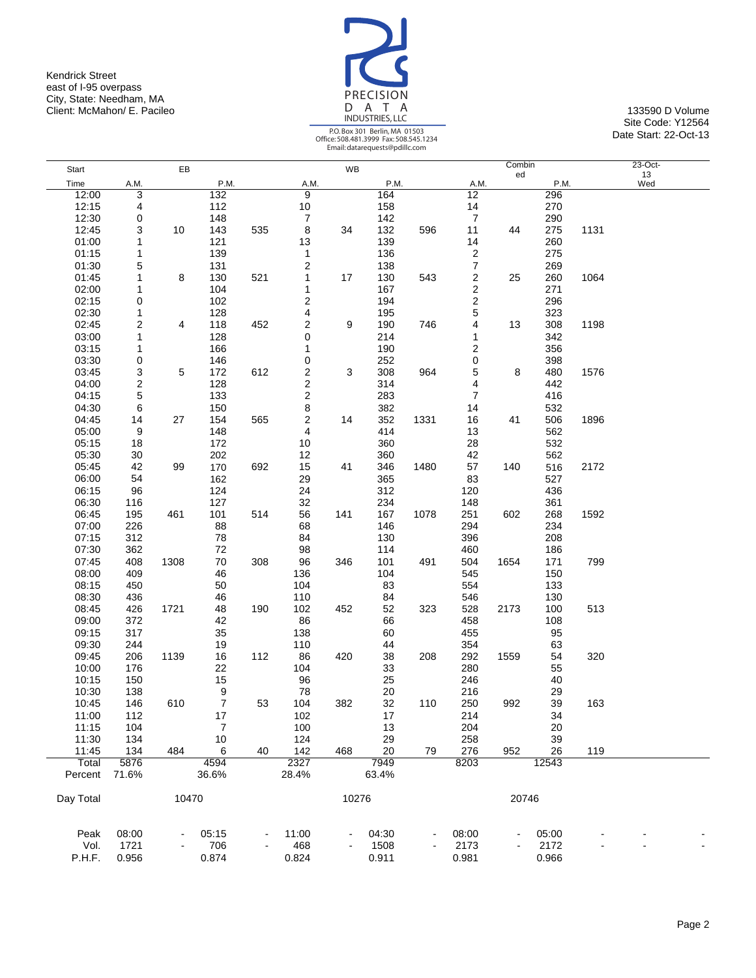Kendrick Street east of I-95 overpass City, State: Needham, MA Client: McMahon/ E. Pacileo 133590 D Volume 133590 D Volume 133590 D Volume



Site Code: Y12564 Date Start: 22-Oct-13

| Start     |                         | EB    |                  |     |                         | WB    |       |      |                         | Combin |       |      | $23-Oct-$ |
|-----------|-------------------------|-------|------------------|-----|-------------------------|-------|-------|------|-------------------------|--------|-------|------|-----------|
| Time      | A.M.                    |       | P.M.             |     | A.M.                    |       | P.M.  |      | A.M.                    | ed     | P.M.  |      | 13<br>Wed |
| 12:00     | 3                       |       | 132              |     | 9                       |       | 164   |      | 12                      |        | 296   |      |           |
| 12:15     | 4                       |       | 112              |     | 10                      |       | 158   |      | 14                      |        | 270   |      |           |
| 12:30     | 0                       |       | 148              |     | $\boldsymbol{7}$        |       | 142   |      | $\overline{7}$          |        | 290   |      |           |
| 12:45     | 3                       | 10    | 143              | 535 |                         | 34    | 132   | 596  | 11                      | 44     | 275   | 1131 |           |
|           |                         |       |                  |     | 8                       |       |       |      |                         |        |       |      |           |
| 01:00     | 1                       |       | 121              |     | 13                      |       | 139   |      | 14                      |        | 260   |      |           |
| 01:15     | 1                       |       | 139              |     | 1                       |       | 136   |      | 2                       |        | 275   |      |           |
| 01:30     | 5                       |       | 131              |     | $\overline{\mathbf{c}}$ |       | 138   |      | $\boldsymbol{7}$        |        | 269   |      |           |
| 01:45     | 1                       | 8     | 130              | 521 | 1                       | 17    | 130   | 543  | $\overline{\mathbf{c}}$ | 25     | 260   | 1064 |           |
| 02:00     | 1                       |       | 104              |     | 1                       |       | 167   |      | 2                       |        | 271   |      |           |
| 02:15     | 0                       |       | 102              |     | $\boldsymbol{2}$        |       | 194   |      | $\overline{\mathbf{c}}$ |        | 296   |      |           |
| 02:30     | 1                       |       | 128              |     | 4                       |       | 195   |      | 5                       |        | 323   |      |           |
| 02:45     | $\overline{\mathbf{c}}$ | 4     | 118              | 452 | $\overline{\mathbf{c}}$ | 9     | 190   | 746  | 4                       | 13     | 308   | 1198 |           |
| 03:00     | 1                       |       | 128              |     | 0                       |       | 214   |      | 1                       |        | 342   |      |           |
| 03:15     | 1                       |       | 166              |     | 1                       |       | 190   |      | 2                       |        | 356   |      |           |
| 03:30     | 0                       |       | 146              |     | $\mathbf 0$             |       | 252   |      | 0                       |        | 398   |      |           |
| 03:45     | 3                       | 5     | 172              | 612 | $\overline{\mathbf{c}}$ | 3     | 308   | 964  | $\mathbf 5$             | 8      | 480   | 1576 |           |
| 04:00     | $\boldsymbol{2}$        |       | 128              |     | $\overline{\mathbf{c}}$ |       | 314   |      | 4                       |        | 442   |      |           |
| 04:15     | 5                       |       | 133              |     | $\overline{\mathbf{c}}$ |       | 283   |      | $\overline{7}$          |        | 416   |      |           |
| 04:30     | 6                       |       | 150              |     | 8                       |       | 382   |      | 14                      |        | 532   |      |           |
| 04:45     | 14                      | 27    | 154              | 565 | $\boldsymbol{2}$        | 14    | 352   | 1331 | 16                      | 41     | 506   | 1896 |           |
| 05:00     | 9                       |       | 148              |     | 4                       |       | 414   |      | 13                      |        | 562   |      |           |
| 05:15     | 18                      |       | 172              |     | 10                      |       | 360   |      | 28                      |        | 532   |      |           |
| 05:30     |                         |       | 202              |     |                         |       | 360   |      | 42                      |        | 562   |      |           |
|           | 30<br>42                | 99    |                  | 692 | 12                      | 41    |       | 1480 |                         | 140    |       |      |           |
| 05:45     |                         |       | 170              |     | 15                      |       | 346   |      | 57                      |        | 516   | 2172 |           |
| 06:00     | 54                      |       | 162              |     | 29                      |       | 365   |      | 83                      |        | 527   |      |           |
| 06:15     | 96                      |       | 124              |     | 24                      |       | 312   |      | 120                     |        | 436   |      |           |
| 06:30     | 116                     |       | 127              |     | 32                      |       | 234   |      | 148                     |        | 361   |      |           |
| 06:45     | 195                     | 461   | 101              | 514 | 56                      | 141   | 167   | 1078 | 251                     | 602    | 268   | 1592 |           |
| 07:00     | 226                     |       | 88               |     | 68                      |       | 146   |      | 294                     |        | 234   |      |           |
| 07:15     | 312                     |       | 78               |     | 84                      |       | 130   |      | 396                     |        | 208   |      |           |
| 07:30     | 362                     |       | 72               |     | 98                      |       | 114   |      | 460                     |        | 186   |      |           |
| 07:45     | 408                     | 1308  | 70               | 308 | 96                      | 346   | 101   | 491  | 504                     | 1654   | 171   | 799  |           |
| 08:00     | 409                     |       | 46               |     | 136                     |       | 104   |      | 545                     |        | 150   |      |           |
| 08:15     | 450                     |       | 50               |     | 104                     |       | 83    |      | 554                     |        | 133   |      |           |
| 08:30     | 436                     |       | 46               |     | 110                     |       | 84    |      | 546                     |        | 130   |      |           |
| 08:45     | 426                     | 1721  | 48               | 190 | 102                     | 452   | 52    | 323  | 528                     | 2173   | 100   | 513  |           |
| 09:00     | 372                     |       | 42               |     | 86                      |       | 66    |      | 458                     |        | 108   |      |           |
| 09:15     | 317                     |       | 35               |     | 138                     |       | 60    |      | 455                     |        | 95    |      |           |
| 09:30     | 244                     |       | 19               |     | 110                     |       | 44    |      | 354                     |        | 63    |      |           |
| 09:45     | 206                     | 1139  | 16               | 112 | 86                      | 420   | 38    | 208  | 292                     | 1559   | 54    | 320  |           |
| 10:00     | 176                     |       | 22               |     | 104                     |       | 33    |      | 280                     |        | 55    |      |           |
| 10:15     | 150                     |       | 15               |     | 96                      |       | 25    |      | 246                     |        | 40    |      |           |
| 10:30     | 138                     |       | $\boldsymbol{9}$ |     | 78                      |       | 20    |      | 216                     |        | 29    |      |           |
|           |                         |       | $\overline{7}$   | 53  | 104                     |       |       |      |                         |        | 39    |      |           |
| 10:45     | 146                     | 610   |                  |     |                         | 382   | 32    | 110  | 250                     | 992    |       | 163  |           |
| 11:00     | 112                     |       | 17               |     | 102                     |       | 17    |      | 214                     |        | 34    |      |           |
| 11:15     | 104                     |       | $\overline{7}$   |     | 100                     |       | 13    |      | 204                     |        | 20    |      |           |
| 11:30     | 134                     |       | 10               |     | 124                     |       | 29    |      | 258                     |        | 39    |      |           |
| 11:45     | 134                     | 484   | 6                | 40  | 142                     | 468   | 20    | 79   | 276                     | 952    | 26    | 119  |           |
| Total     | 5876                    |       | 4594             |     | 2327                    |       | 7949  |      | 8203                    |        | 12543 |      |           |
| Percent   | 71.6%                   |       | 36.6%            |     | 28.4%                   |       | 63.4% |      |                         |        |       |      |           |
|           |                         |       |                  |     |                         |       |       |      |                         |        |       |      |           |
| Day Total |                         | 10470 |                  |     |                         | 10276 |       |      |                         | 20746  |       |      |           |
|           |                         |       |                  |     |                         |       |       |      |                         |        |       |      |           |
| Peak      | 08:00                   |       | 05:15            |     | 11:00                   |       | 04:30 |      | 08:00                   |        | 05:00 |      |           |
| Vol.      | 1721                    |       | 706              |     | 468                     |       | 1508  |      | 2173                    |        | 2172  |      |           |
| P.H.F.    | 0.956                   |       | 0.874            |     | 0.824                   |       | 0.911 |      | 0.981                   |        | 0.966 |      |           |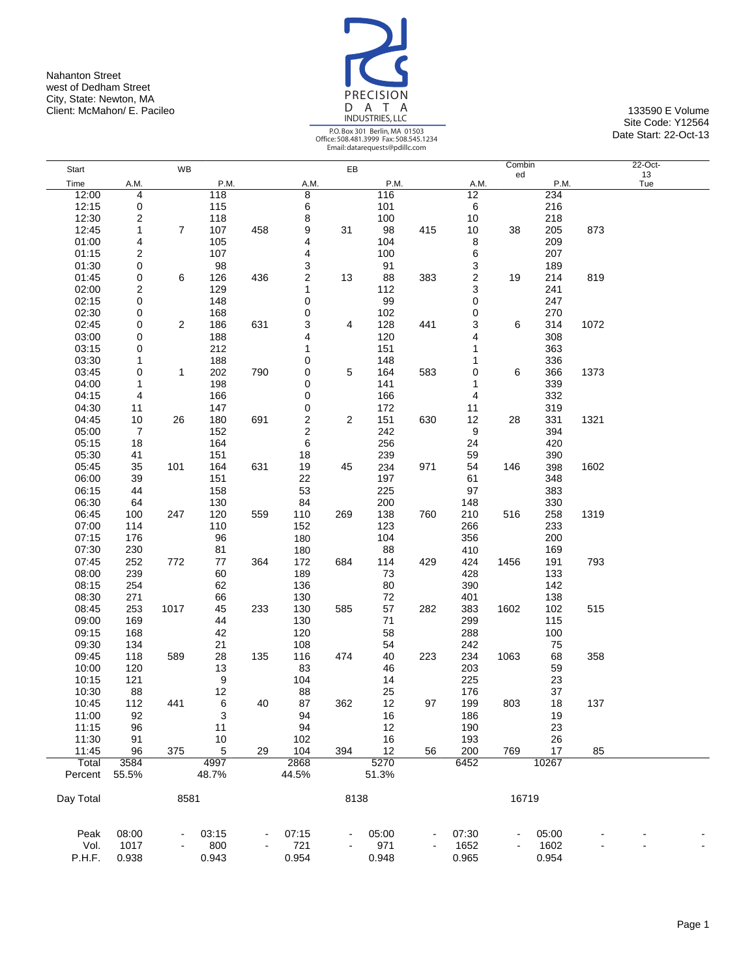Nahanton Street west of Dedham Street City, State: Newton, MA Client: McMahon/ E. Pacileo 133590 E Volume 133590 E Volume 133590 E Volume 133590 E Volume



|                  |                |                |               |     |                |                | Email: datarequests@pdillc.com |     |             |              |       |      |                  |  |
|------------------|----------------|----------------|---------------|-----|----------------|----------------|--------------------------------|-----|-------------|--------------|-------|------|------------------|--|
| Start            |                | WB             |               |     |                | EB             |                                |     |             | Combin<br>ed |       |      | $22$ -Oct-<br>13 |  |
| Time             | A.M.           |                | P.M.          |     | A.M.           |                | P.M.                           |     | A.M.        |              | P.M.  |      | Tue              |  |
| 12:00            | 4              |                | 118           |     | 8              |                | 116                            |     | 12          |              | 234   |      |                  |  |
| 12:15            | 0              |                | 115           |     | 6              |                | 101                            |     | 6           |              | 216   |      |                  |  |
| 12:30            | 2              |                | 118           |     | 8              |                | 100                            |     | 10          |              | 218   |      |                  |  |
| 12:45            | 1              | $\overline{7}$ | 107           | 458 | 9              | 31             | 98                             | 415 | 10          | 38           | 205   | 873  |                  |  |
| 01:00            | 4              |                | 105           |     | 4              |                | 104                            |     | 8           |              | 209   |      |                  |  |
| 01:15            | 2              |                | 107           |     | 4              |                | 100                            |     | 6           |              | 207   |      |                  |  |
| 01:30            | 0              |                | 98            |     | 3              |                | 91                             |     | 3           |              | 189   |      |                  |  |
| 01:45            | 0              | 6              | 126           | 436 | $\overline{c}$ | 13             | 88                             | 383 | $\mathbf 2$ | 19           | 214   | 819  |                  |  |
| 02:00            | 2              |                | 129           |     | 1              |                | 112                            |     | 3           |              | 241   |      |                  |  |
| 02:15            | 0              |                | 148           |     | 0              |                | 99                             |     | 0           |              | 247   |      |                  |  |
| 02:30            | 0              |                | 168           |     | 0              |                | 102                            |     | 0           |              | 270   |      |                  |  |
| 02:45            | 0              | 2              | 186           | 631 | 3              | 4              | 128                            | 441 | 3           | 6            | 314   | 1072 |                  |  |
| 03:00            | 0              |                | 188           |     | 4              |                | 120                            |     | 4           |              | 308   |      |                  |  |
| 03:15            | 0              |                | 212           |     | 1              |                | 151                            |     | 1           |              | 363   |      |                  |  |
| 03:30            | 1              |                | 188           |     | 0              |                | 148                            |     | 1           |              | 336   |      |                  |  |
| 03:45            | 0              | $\mathbf{1}$   | 202           | 790 | 0              | 5              | 164                            | 583 | 0           | 6            | 366   | 1373 |                  |  |
| 04:00            | 1              |                | 198           |     | 0              |                | 141                            |     | 1           |              | 339   |      |                  |  |
| 04:15            | 4              |                | 166           |     | 0              |                | 166                            |     | 4           |              | 332   |      |                  |  |
| 04:30            | 11             |                | 147           |     | 0              |                | 172                            |     | 11          |              | 319   |      |                  |  |
| 04:45            | 10             | 26             | 180           | 691 | 2              | $\overline{2}$ | 151                            | 630 | 12          | 28           | 331   | 1321 |                  |  |
| 05:00            | $\overline{7}$ |                | 152           |     | 2              |                | 242                            |     | 9           |              | 394   |      |                  |  |
|                  |                |                | 164           |     | 6              |                |                                |     | 24          |              |       |      |                  |  |
| 05:15            | 18             |                |               |     |                |                | 256                            |     |             |              | 420   |      |                  |  |
| 05:30            | 41             |                | 151           |     | 18             |                | 239                            |     | 59          |              | 390   |      |                  |  |
| 05:45            | 35             | 101            | 164           | 631 | 19             | 45             | 234                            | 971 | 54          | 146          | 398   | 1602 |                  |  |
| 06:00            | 39             |                | 151           |     | 22             |                | 197                            |     | 61          |              | 348   |      |                  |  |
| 06:15            | 44             |                | 158           |     | 53             |                | 225                            |     | 97          |              | 383   |      |                  |  |
| 06:30            | 64             |                | 130           |     | 84             |                | 200                            |     | 148         |              | 330   |      |                  |  |
| 06:45            | 100            | 247            | 120           | 559 | 110            | 269            | 138                            | 760 | 210         | 516          | 258   | 1319 |                  |  |
| 07:00            | 114            |                | 110           |     | 152            |                | 123                            |     | 266         |              | 233   |      |                  |  |
| 07:15            | 176            |                | 96            |     | 180            |                | 104                            |     | 356         |              | 200   |      |                  |  |
| 07:30            | 230            |                | 81            |     | 180            |                | 88                             |     | 410         |              | 169   |      |                  |  |
| 07:45            | 252            | 772            | 77            | 364 | 172            | 684            | 114                            | 429 | 424         | 1456         | 191   | 793  |                  |  |
| 08:00            | 239            |                | 60            |     | 189            |                | 73                             |     | 428         |              | 133   |      |                  |  |
| 08:15            | 254            |                | 62            |     | 136            |                | 80                             |     | 390         |              | 142   |      |                  |  |
| 08:30            | 271            |                | 66            |     | 130            |                | 72                             |     | 401         |              | 138   |      |                  |  |
| 08:45            | 253            | 1017           | 45            | 233 | 130            | 585            | 57                             | 282 | 383         | 1602         | 102   | 515  |                  |  |
| 09:00            | 169            |                | 44            |     | 130            |                | 71                             |     | 299         |              | 115   |      |                  |  |
| 09:15            | 168            |                | 42            |     | 120            |                | 58                             |     | 288         |              | 100   |      |                  |  |
| 09:30            | 134            |                | 21            |     | 108            |                | 54                             |     | 242         |              | 75    |      |                  |  |
| 09:45            | 118            | 589            | 28            | 135 | 116            | 474            | 40                             | 223 | 234         | 1063         | 68    | 358  |                  |  |
| 10:00            | 120            |                | 13            |     | 83             |                | 46                             |     | 203         |              | 59    |      |                  |  |
| 10:15            | 121            |                | 9             |     | 104            |                | 14                             |     | 225         |              | 23    |      |                  |  |
| 10:30            | 88             |                | 12            |     | 88             |                | 25                             |     | 176         |              | 37    |      |                  |  |
| 10:45            | 112            | 441            | 6             | 40  | 87             | 362            | 12                             | 97  | 199         | 803          | 18    | 137  |                  |  |
| 11:00            | 92             |                | 3             |     | 94             |                | 16                             |     | 186         |              | 19    |      |                  |  |
| 11:15            | 96             |                | 11            |     | 94             |                | 12                             |     | 190         |              | 23    |      |                  |  |
| 11:30            | 91             |                | 10            |     | 102            |                | 16                             |     | 193         |              | 26    |      |                  |  |
| 11:45            | 96             | 375            | 5             | 29  | 104            | 394            | 12                             | 56  | 200         | 769          | 17    | 85   |                  |  |
| Total<br>Percent | 3584<br>55.5%  |                | 4997<br>48.7% |     | 2868<br>44.5%  |                | 5270<br>51.3%                  |     | 6452        |              | 10267 |      |                  |  |
| Day Total        |                | 8581           |               |     |                | 8138           |                                |     |             | 16719        |       |      |                  |  |
| Peak             | 08:00          |                | 03:15         |     | 07:15          |                | 05:00                          |     | 07:30       |              | 05:00 |      |                  |  |
| Vol.             | 1017           |                | 800           |     | 721            |                | 971                            |     | 1652        |              | 1602  |      |                  |  |
| P.H.F.           | 0.938          |                | 0.943         |     | 0.954          |                | 0.948                          |     | 0.965       |              | 0.954 |      |                  |  |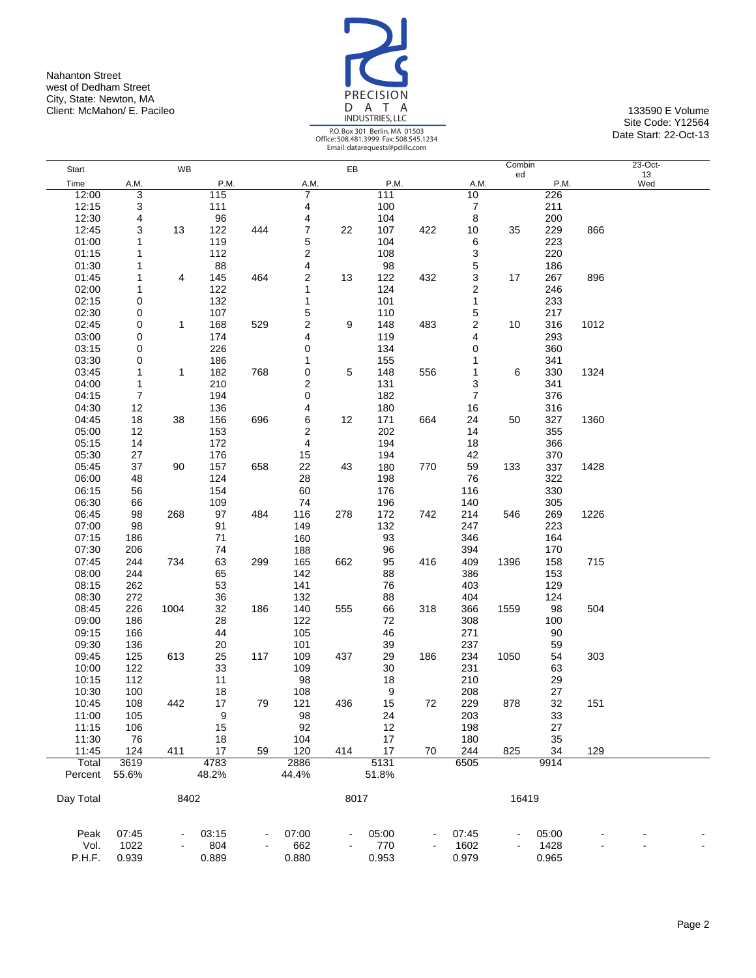Nahanton Street west of Dedham Street City, State: Newton, MA Client: McMahon/ E. Pacileo 133590 E Volume 133590 E Volume 133590 E Volume 133590 E Volume



Site Code: Y12564 Date Start: 22-Oct-13

|               |                  |             |             |     |                         |      |             |     |                         | Combin |             |      | $23-Oct-$ |  |
|---------------|------------------|-------------|-------------|-----|-------------------------|------|-------------|-----|-------------------------|--------|-------------|------|-----------|--|
| Start         |                  | WB          |             |     |                         | EB   |             |     |                         | ed     |             |      | 13        |  |
| Time<br>12:00 | A.M.             |             | P.M.<br>115 |     | A.M.<br>7               |      | P.M.<br>111 |     | A.M.<br>10              |        | P.M.<br>226 |      | Wed       |  |
| 12:15         | 3<br>3           |             | 111         |     | 4                       |      | 100         |     | 7                       |        | 211         |      |           |  |
| 12:30         | 4                |             | 96          |     | 4                       |      | 104         |     | 8                       |        | 200         |      |           |  |
| 12:45         | 3                | 13          | 122         | 444 | 7                       | 22   | 107         | 422 | 10                      | 35     | 229         | 866  |           |  |
| 01:00         | 1                |             | 119         |     | 5                       |      | 104         |     | 6                       |        | 223         |      |           |  |
| 01:15         | 1                |             | 112         |     | $\overline{\mathbf{c}}$ |      | 108         |     | 3                       |        | 220         |      |           |  |
| 01:30         | 1                |             | 88          |     | 4                       |      | 98          |     | 5                       |        | 186         |      |           |  |
| 01:45         | 1                | 4           | 145         | 464 | 2                       | 13   | 122         | 432 | 3                       | 17     | 267         | 896  |           |  |
| 02:00         | 1                |             | 122         |     | 1                       |      | 124         |     | 2                       |        | 246         |      |           |  |
| 02:15         | 0                |             | 132         |     | 1                       |      | 101         |     | 1                       |        | 233         |      |           |  |
| 02:30         | 0                |             | 107         |     | 5                       |      | 110         |     | 5                       |        | 217         |      |           |  |
| 02:45         | 0                | $\mathbf 1$ | 168         | 529 | 2                       | 9    | 148         | 483 | $\overline{\mathbf{c}}$ | 10     | 316         | 1012 |           |  |
| 03:00         | 0                |             | 174         |     | 4                       |      | 119         |     | 4                       |        | 293         |      |           |  |
| 03:15         | 0                |             | 226         |     | 0                       |      | 134         |     | 0                       |        | 360         |      |           |  |
| 03:30         | 0                |             | 186         |     | 1                       |      | 155         |     | 1                       |        | 341         |      |           |  |
| 03:45         | 1                | 1           | 182         | 768 | $\pmb{0}$               | 5    | 148         | 556 | 1                       | 6      | 330         | 1324 |           |  |
| 04:00         | 1                |             | 210         |     | 2                       |      | 131         |     | 3                       |        | 341         |      |           |  |
| 04:15         | $\boldsymbol{7}$ |             | 194         |     | 0                       |      | 182         |     | 7                       |        | 376         |      |           |  |
| 04:30         | 12               |             | 136         |     | 4                       |      | 180         |     | 16                      |        | 316         |      |           |  |
| 04:45         | 18               | 38          | 156         | 696 | 6                       | 12   | 171         | 664 | 24                      | 50     | 327         | 1360 |           |  |
| 05:00         | 12               |             | 153         |     | 2                       |      | 202         |     | 14                      |        | 355         |      |           |  |
| 05:15         | 14               |             | 172         |     | 4                       |      | 194         |     | 18                      |        | 366         |      |           |  |
| 05:30         | 27               |             | 176         |     | 15                      |      | 194         |     | 42                      |        | 370         |      |           |  |
| 05:45         | 37               | 90          | 157         | 658 | 22                      | 43   | 180         | 770 | 59                      | 133    | 337         | 1428 |           |  |
| 06:00         | 48               |             | 124         |     | 28                      |      | 198         |     | 76                      |        | 322         |      |           |  |
| 06:15         | 56               |             | 154         |     | 60                      |      | 176         |     | 116                     |        | 330         |      |           |  |
| 06:30         | 66               |             | 109         |     | 74                      |      | 196         |     | 140                     |        | 305         |      |           |  |
| 06:45         | 98               | 268         | 97          | 484 | 116                     | 278  | 172         | 742 | 214                     | 546    | 269         | 1226 |           |  |
| 07:00         | 98               |             | 91          |     | 149                     |      | 132         |     | 247                     |        | 223         |      |           |  |
| 07:15         | 186              |             | 71          |     | 160                     |      | 93          |     | 346                     |        | 164         |      |           |  |
| 07:30         | 206              |             | 74          |     | 188                     |      | 96          |     | 394                     |        | 170         |      |           |  |
| 07:45         | 244              | 734         | 63          | 299 | 165                     | 662  | 95          | 416 | 409                     | 1396   | 158         | 715  |           |  |
| 08:00         | 244              |             | 65          |     | 142                     |      | 88          |     | 386                     |        | 153         |      |           |  |
| 08:15         | 262              |             | 53          |     | 141                     |      | 76          |     | 403                     |        | 129         |      |           |  |
| 08:30         | 272              |             | 36          |     | 132                     |      | 88          |     | 404                     |        | 124         |      |           |  |
| 08:45         | 226              | 1004        | 32          | 186 | 140                     | 555  | 66          | 318 | 366                     | 1559   | 98          | 504  |           |  |
| 09:00         | 186              |             | 28          |     | 122                     |      | 72          |     | 308                     |        | 100         |      |           |  |
| 09:15         | 166              |             | 44          |     | 105                     |      | 46          |     | 271                     |        | 90          |      |           |  |
| 09:30         | 136              |             | 20          |     | 101                     |      | 39          |     | 237                     |        | 59          |      |           |  |
| 09:45         | 125              | 613         | 25          | 117 | 109                     | 437  | 29          | 186 | 234                     | 1050   | 54          | 303  |           |  |
| 10:00         | 122              |             | 33          |     | 109                     |      | 30          |     | 231                     |        | 63          |      |           |  |
| 10:15         | 112              |             | 11          |     | 98                      |      | 18          |     | 210                     |        | 29          |      |           |  |
| 10:30         | 100              |             | 18          |     | 108                     |      | 9           |     | 208                     |        | 27          |      |           |  |
| 10:45         | 108              | 442         | 17          | 79  | 121                     | 436  | 15          | 72  | 229                     | 878    | 32          | 151  |           |  |
| 11:00         | 105              |             | 9           |     | 98                      |      | 24          |     | 203                     |        | 33          |      |           |  |
| 11:15         | 106              |             | 15          |     | 92                      |      | 12          |     | 198                     |        | 27          |      |           |  |
| 11:30         | 76               |             | 18          |     | 104                     |      | 17          |     | 180                     |        | 35          |      |           |  |
| 11:45         | 124              | 411         | 17          | 59  | 120                     | 414  | 17          | 70  | 244                     | 825    | 34          | 129  |           |  |
| Total         | 3619             |             | 4783        |     | 2886                    |      | 5131        |     | 6505                    |        | 9914        |      |           |  |
| Percent       | 55.6%            |             | 48.2%       |     | 44.4%                   |      | 51.8%       |     |                         |        |             |      |           |  |
| Day Total     |                  | 8402        |             |     |                         | 8017 |             |     |                         | 16419  |             |      |           |  |
|               |                  |             |             |     |                         |      |             |     |                         |        |             |      |           |  |
| Peak          | 07:45            |             | 03:15       |     | 07:00                   |      | 05:00       |     | 07:45                   |        | 05:00       |      |           |  |
| Vol.          | 1022             |             | 804         |     | 662                     |      | 770         |     | 1602                    |        | 1428        |      |           |  |
| P.H.F.        | 0.939            |             | 0.889       |     | 0.880                   |      | 0.953       |     | 0.979                   |        | 0.965       |      |           |  |
|               |                  |             |             |     |                         |      |             |     |                         |        |             |      |           |  |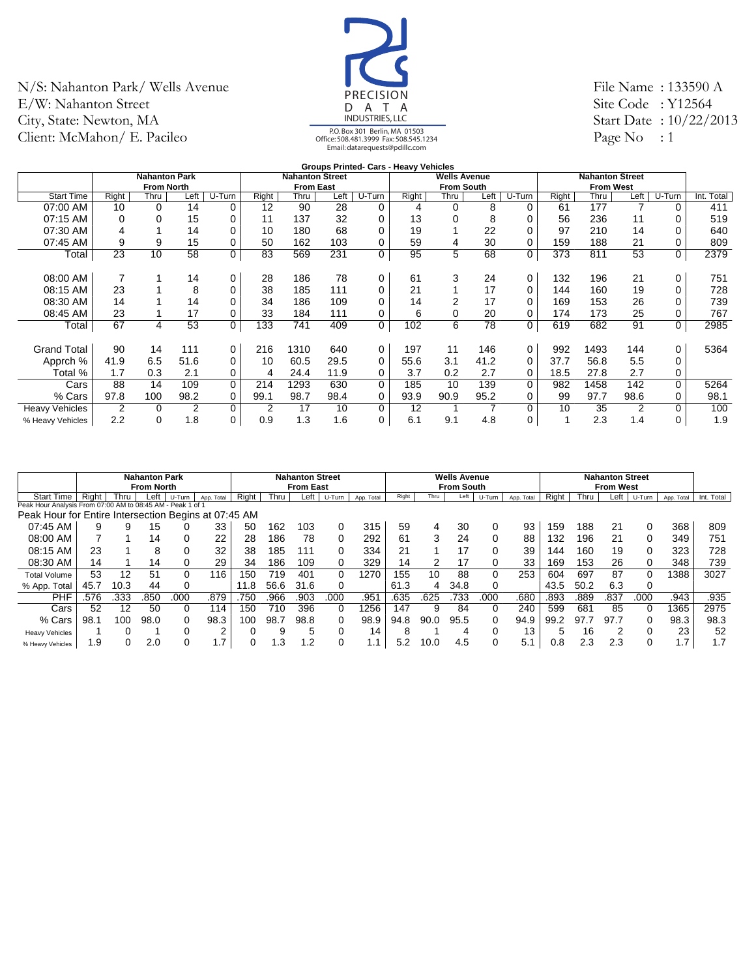

File Name : 133590 A Site Code : Y12564 Start Date : 10/22/2013 Page No : 1

|                       |                 |                      |                |        |       |                        |      | <b>Groups Printed- Cars - Heavy Vehicles</b> |       |                     |      |             |       |                        |      |             |            |
|-----------------------|-----------------|----------------------|----------------|--------|-------|------------------------|------|----------------------------------------------|-------|---------------------|------|-------------|-------|------------------------|------|-------------|------------|
|                       |                 | <b>Nahanton Park</b> |                |        |       | <b>Nahanton Street</b> |      |                                              |       | <b>Wells Avenue</b> |      |             |       | <b>Nahanton Street</b> |      |             |            |
|                       |                 | <b>From North</b>    |                |        |       | <b>From East</b>       |      |                                              |       | <b>From South</b>   |      |             |       | <b>From West</b>       |      |             |            |
| <b>Start Time</b>     | Right           | Thru                 | Left           | U-Turn | Right | Thru                   | Left | U-Turn                                       | Right | Thru                | Left | U-Turn      | Right | Thru                   | Left | U-Turn      | Int. Total |
| 07:00 AM              | 10              | $\Omega$             | 14             | 0      | 12    | 90                     | 28   | 0                                            | 4     | 0                   | 8    | $\Omega$    | 61    | 177                    |      | $\Omega$    | 411        |
| 07:15 AM              | 0               | $\Omega$             | 15             | 0      | 11    | 137                    | 32   | 0                                            | 13    | 0                   | 8    |             | 56    | 236                    | 11   | 0           | 519        |
| 07:30 AM              | 4               |                      | 14             | 0      | 10    | 180                    | 68   | 0                                            | 19    |                     | 22   |             | 97    | 210                    | 14   |             | 640        |
| 07:45 AM              | 9               | 9                    | 15             | 0      | 50    | 162                    | 103  | 0                                            | 59    | 4                   | 30   | 0           | 159   | 188                    | 21   | 0           | 809        |
| Total                 | $2\overline{3}$ | 10                   | 58             | 0      | 83    | 569                    | 231  | 0                                            | 95    | 5                   | 68   | $\mathbf 0$ | 373   | 811                    | 53   | 0           | 2379       |
|                       |                 |                      |                |        |       |                        |      |                                              |       |                     |      |             |       |                        |      |             |            |
| 08:00 AM              |                 |                      | 14             | 0      | 28    | 186                    | 78   | 0                                            | 61    | 3                   | 24   | $\mathbf 0$ | 132   | 196                    | 21   | 0           | 751        |
| 08:15 AM              | 23              |                      | 8              | 0      | 38    | 185                    | 111  | 0                                            | 21    |                     | 17   | 0           | 144   | 160                    | 19   | 0           | 728        |
| 08:30 AM              | 14              |                      | 14             | 0      | 34    | 186                    | 109  | 0                                            | 14    | 2                   | 17   |             | 169   | 153                    | 26   | 0           | 739        |
| 08:45 AM              | 23              |                      | 17             | 0      | 33    | 184                    | 111  | 0                                            | 6     | 0                   | 20   | $\Omega$    | 174   | 173                    | 25   | 0           | 767        |
| Total                 | 67              | 4                    | 53             | 0      | 133   | 741                    | 409  | 0                                            | 102   | 6                   | 78   | $\mathbf 0$ | 619   | 682                    | 91   | $\mathbf 0$ | 2985       |
|                       |                 |                      |                |        |       |                        |      |                                              |       |                     |      |             |       |                        |      |             |            |
| <b>Grand Total</b>    | 90              | 14                   | 111            | 0      | 216   | 1310                   | 640  | 0                                            | 197   | 11                  | 146  | 0           | 992   | 1493                   | 144  | 0           | 5364       |
| Apprch %              | 41.9            | 6.5                  | 51.6           | 0      | 10    | 60.5                   | 29.5 | 0                                            | 55.6  | 3.1                 | 41.2 | $\Omega$    | 37.7  | 56.8                   | 5.5  | 0           |            |
| Total %               | 1.7             | 0.3                  | 2.1            | 0      | 4     | 24.4                   | 11.9 | 0                                            | 3.7   | 0.2                 | 2.7  | $\Omega$    | 18.5  | 27.8                   | 2.7  | 0           |            |
| Cars                  | 88              | 14                   | 109            | 0      | 214   | 1293                   | 630  | 0                                            | 185   | 10                  | 139  | $\Omega$    | 982   | 1458                   | 142  | $\Omega$    | 5264       |
| % Cars                | 97.8            | 100                  | 98.2           | 0      | 99.1  | 98.7                   | 98.4 | 0                                            | 93.9  | 90.9                | 95.2 | 0           | 99    | 97.7                   | 98.6 | 0           | 98.1       |
| <b>Heavy Vehicles</b> | 2               | 0                    | $\overline{2}$ | 0      | 2     | 17                     | 10   | 0                                            | 12    |                     |      | $\Omega$    | 10    | 35                     | 2    | $\Omega$    | 100        |
| % Heavy Vehicles      | 2.2             | 0                    | 1.8            | 0      | 0.9   | 1.3                    | 1.6  | 0                                            | 6.1   | 9.1                 | 4.8  | 0           |       | 2.3                    | 1.4  | 0           | 1.9        |
|                       |                 |                      |                |        |       |                        |      |                                              |       |                     |      |             |       |                        |      |             |            |

|                                                            |       |      | <b>Nahanton Park</b> |        |            |       |      | <b>Nahanton Street</b> |        |                 |       |      | <b>Wells Avenue</b> |        |            |       |      | <b>Nahanton Street</b> |        |            |            |
|------------------------------------------------------------|-------|------|----------------------|--------|------------|-------|------|------------------------|--------|-----------------|-------|------|---------------------|--------|------------|-------|------|------------------------|--------|------------|------------|
|                                                            |       |      | <b>From North</b>    |        |            |       |      | <b>From East</b>       |        |                 |       |      | <b>From South</b>   |        |            |       |      | <b>From West</b>       |        |            |            |
| <b>Start Time</b>                                          | Right | Thru | Left                 | U-Turn | App. Total | Right | Thru | Left                   | U-Turn | App. Total      | Right | Thru | Left                | U-Turn | App. Total | Right | Thru | ∟eft                   | U-Turn | App. Total | Int. Total |
| Peak Hour Analysis From 07:00 AM to 08:45 AM - Peak 1 of 1 |       |      |                      |        |            |       |      |                        |        |                 |       |      |                     |        |            |       |      |                        |        |            |            |
| Peak Hour for Entire Intersection Begins at 07:45 AM       |       |      |                      |        |            |       |      |                        |        |                 |       |      |                     |        |            |       |      |                        |        |            |            |
| 07:45 AM                                                   | 9     | 9    | 15                   |        | 33         | 50    | 162  | 103                    | 0      | 315             | 59    | 4    | 30                  | 0      | 93         | 159   | 188  | 21                     | 0      | 368        | 809        |
| 08:00 AM                                                   |       |      | 14                   |        | 22         | 28    | 186  | 78                     |        | 292             | 61    | 3    | 24                  |        | 88         | 132   | 196  | 21                     | 0      | 349        | 751        |
| 08:15 AM                                                   | 23    |      | 8                    |        | 32         | 38    | 185  | 111                    | 0      | 334             | 21    |      | 17                  |        | 39         | 144   | 160  | 19                     | 0      | 323        | 728        |
| 08:30 AM                                                   | 14    |      | 14                   |        | 29         | 34    | 186  | 109                    | 0      | 329             | 14    | 2    | 17                  | 0      | 33         | 169   | 153  | 26                     | 0      | 348        | 739        |
| <b>Total Volume</b>                                        | 53    | 12   | 51                   |        | 116        | 150   | 719  | 401                    | 0      | 1270            | 155   | 10   | 88                  | 0      | 253        | 604   | 697  | 87                     | 0      | 1388       | 3027       |
| % App. Total                                               | 45.7  | 10.3 | 44                   |        |            | 11.8  | 56.6 | 31.6                   | 0      |                 | 61.3  | 4    | 34.8                | 0      |            | 43.5  | 50.2 | 6.3                    | 0      |            |            |
| PHF                                                        | .576  | .333 | .850                 | 000    | .879       | 750   | 966  | 903.                   | .000   | .951            | .635  | .625 | 733                 | .000   | .680       | .893  | 889  | .837                   | .000   | .943       | .935       |
| Cars                                                       | 52    | 12   | 50                   | 0      | 114        | 150   | 710  | 396                    | 0      | 1256            | 147   | 9    | 84                  | 0      | 240        | 599   | 681  | 85                     | 0      | 1365       | 2975       |
| % Cars                                                     | 98.1  | 100  | 98.0                 |        | 98.3       | 100   | 98.7 | 98.8                   | 0      | 98.9            | 94.8  | 90.0 | 95.5                | 0      | 94.9       | 99.2  | 97.  | 97.7                   | 0      | 98.3       | 98.3       |
| <b>Heavy Vehicles</b>                                      |       |      |                      |        | $\sim$     |       |      | 5                      | 0      | 14              |       |      | 4                   | 0      | 13         | 5     | 16   | ◠                      | 0      | 23         | 52         |
| % Heavy Vehicles                                           | 1.9   |      | 2.0                  |        |            |       | .3   | 1.2                    | 0      | $\mathsf{L}$ .1 | 5.2   | 10.0 | 4.5                 | 0      | 5.1        | 0.8   | 2.3  | 2.3                    | 0      | ⇁<br>، ا   | 1.7        |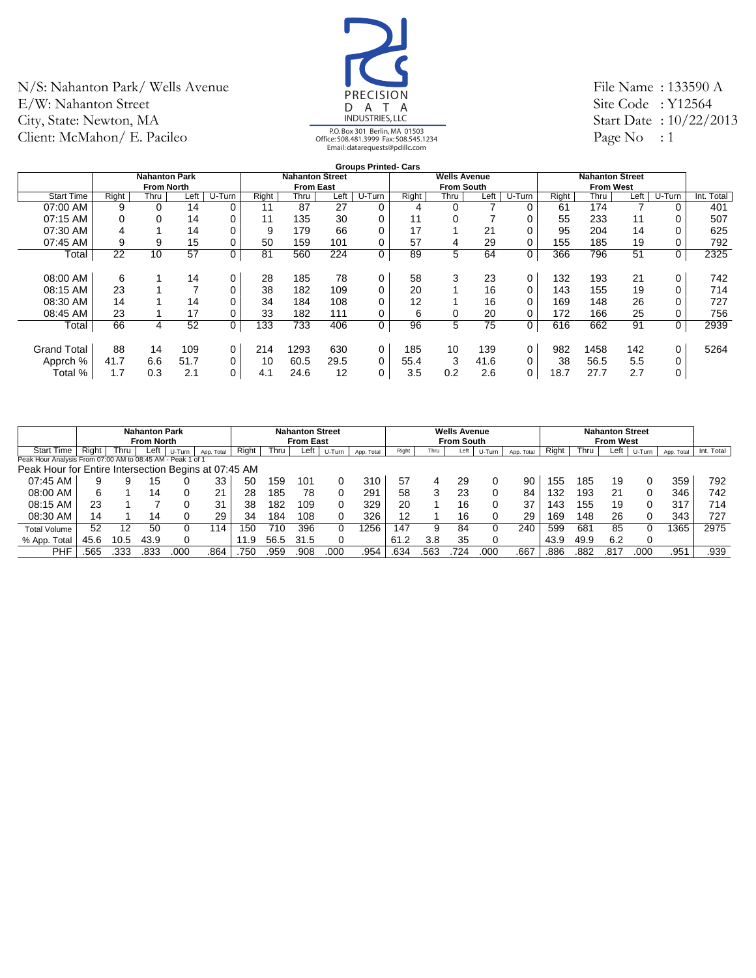

File Name : 133590 A Site Code : Y12564 Start Date : 10/22/2013 Page No : 1

|                    |       |                      |      |        |       |                        |      | <b>Groups Printed- Cars</b> |       |                     |      |        |       |                        |      |        |               |
|--------------------|-------|----------------------|------|--------|-------|------------------------|------|-----------------------------|-------|---------------------|------|--------|-------|------------------------|------|--------|---------------|
|                    |       | <b>Nahanton Park</b> |      |        |       | <b>Nahanton Street</b> |      |                             |       | <b>Wells Avenue</b> |      |        |       | <b>Nahanton Street</b> |      |        |               |
|                    |       | <b>From North</b>    |      |        |       | <b>From East</b>       |      |                             |       | <b>From South</b>   |      |        |       | <b>From West</b>       |      |        |               |
| <b>Start Time</b>  | Right | Thru                 | Left | U-Turn | Right | Thru                   | Left | U-Turn                      | Right | Thru                | Left | U-Turn | Right | Thru                   | Left | U-Turn | Total<br>Int. |
| 07:00 AM           | 9     |                      | 14   | 0      | 11    | 87                     | 27   | 0                           | 4     | 0                   |      | 0      | 61    | 174                    |      | 0      | 401           |
| 07:15 AM           |       |                      | 14   | 0      | 11    | 135                    | 30   | 0                           | 11    |                     |      | 0      | 55    | 233                    | 11   |        | 507           |
| 07:30 AM           |       |                      | 14   | 0      | 9     | 179                    | 66   | 0                           | 17    |                     | 21   | 0      | 95    | 204                    | 14   |        | 625           |
| 07:45 AM           | 9     | 9                    | 15   | 0      | 50    | 159                    | 101  | 0                           | 57    | 4                   | 29   | 0      | 155   | 185                    | 19   |        | 792           |
| Total              | 22    | 10                   | 57   | 0      | 81    | 560                    | 224  | 0                           | 89    | 5                   | 64   | 0      | 366   | 796                    | 51   | 0      | 2325          |
|                    |       |                      |      |        |       |                        |      |                             |       |                     |      |        |       |                        |      |        |               |
| 08:00 AM           | 6     |                      | 14   | 0      | 28    | 185                    | 78   | 0                           | 58    | 3                   | 23   | 0      | 132   | 193                    | 21   | 0      | 742           |
| 08:15 AM           | 23    |                      |      | 0      | 38    | 182                    | 109  | 0                           | 20    |                     | 16   | 0      | 143   | 155                    | 19   |        | 714           |
| 08:30 AM           | 14    |                      | 14   | 0      | 34    | 184                    | 108  | 0                           | 12    |                     | 16   | 0      | 169   | 148                    | 26   |        | 727           |
| 08:45 AM           | 23    |                      | 17   | 0      | 33    | 182                    | 111  | 0                           | 6     | 0                   | 20   | 0      | 172   | 166                    | 25   |        | 756           |
| Total              | 66    | 4                    | 52   | 0      | 133   | 733                    | 406  | 0                           | 96    | 5                   | 75   | 0      | 616   | 662                    | 91   | 0      | 2939          |
|                    |       |                      |      |        |       |                        |      |                             |       |                     |      |        |       |                        |      |        |               |
| <b>Grand Total</b> | 88    | 14                   | 109  | 0      | 214   | 1293                   | 630  | 0                           | 185   | 10                  | 139  | 0      | 982   | 1458                   | 142  | 0      | 5264          |
| Apprch %           | 41.7  | 6.6                  | 51.7 | 0      | 10    | 60.5                   | 29.5 | 0                           | 55.4  | 3                   | 41.6 | 0      | 38    | 56.5                   | 5.5  | 0      |               |
| Total %            | 1.7   | 0.3                  | 2.1  | 0      | 4.1   | 24.6                   | 12   | 0                           | 3.5   | 0.2                 | 2.6  | 0      | 18.7  | 27.7                   | 2.7  | 0      |               |
|                    |       |                      |      |        |       |                        |      |                             |       |                     |      |        |       |                        |      |        |               |

|                                                            |       |      | <b>Nahanton Park</b><br><b>From North</b> |        |            |       |      | <b>Nahanton Street</b><br><b>From East</b> |        |            |       |      | <b>Wells Avenue</b><br><b>From South</b> |        |            |       |      | <b>Nahanton Street</b><br><b>From West</b> |        |            |            |
|------------------------------------------------------------|-------|------|-------------------------------------------|--------|------------|-------|------|--------------------------------------------|--------|------------|-------|------|------------------------------------------|--------|------------|-------|------|--------------------------------------------|--------|------------|------------|
| <b>Start Time</b>                                          | Right | Thru | Left                                      | U-Turn | App. Total | Right | Thru | Left                                       | U-Turn | App. Total | Right | Thru | Left                                     | U-Turn | App. Total | Right | Thru | Left                                       | U-Turn | App. Total | Int. Total |
| Peak Hour Analysis From 07:00 AM to 08:45 AM - Peak 1 of 1 |       |      |                                           |        |            |       |      |                                            |        |            |       |      |                                          |        |            |       |      |                                            |        |            |            |
| Peak Hour for Entire Intersection Begins at 07:45 AM       |       |      |                                           |        |            |       |      |                                            |        |            |       |      |                                          |        |            |       |      |                                            |        |            |            |
| 07:45 AM                                                   |       |      | 15                                        |        | 33         | 50    | 159  | 101                                        |        | 310        | 57    | 4    | 29                                       |        | 90         | 155   | 185  | 19                                         | 0      | 359        | 792        |
| 08:00 AM                                                   | 6     |      | 14                                        |        | 21         | 28    | 185  | 78                                         |        | 291        | 58    | 3    | 23                                       |        | 84         | 132   | 193  | 21                                         | 0      | 346        | 742        |
| 08:15 AM                                                   | 23    |      |                                           |        | 31         | 38    | 182  | 109                                        |        | 329        | 20    |      | 16                                       |        | 37         | 143   | 155  | 19                                         | 0      | 317        | 714        |
| 08:30 AM                                                   | 14    |      | 14                                        |        | 29         | 34    | 184  | 108                                        |        | 326        | 12    |      | 16                                       |        | 29         | 169   | 148  | 26                                         | 0      | 343        | 727        |
| <b>Total Volume</b>                                        | 52    | 12   | 50                                        |        | '14        | 150   | 710  | 396                                        |        | 1256       | 147   | 9    | 84                                       |        | 240        | 599   | 681  | 85                                         | 0      | 365        | 2975       |
| % App. Total                                               | 45.6  | 10.5 | 43.9                                      |        |            | 1.9   | 56.5 | 31.5                                       |        |            | 61.2  | 3.8  | 35                                       |        |            | 43.9  | 49.9 | 6.2                                        | 0      |            |            |
| PHF                                                        | .565  |      | .833                                      | 00C    | .864       | 750   | 959  | .908                                       | 000    | 954.       | .634  | 563  | 724                                      | 000    | .667       | .886  | 882  | .817                                       | 000    | .951       | .939       |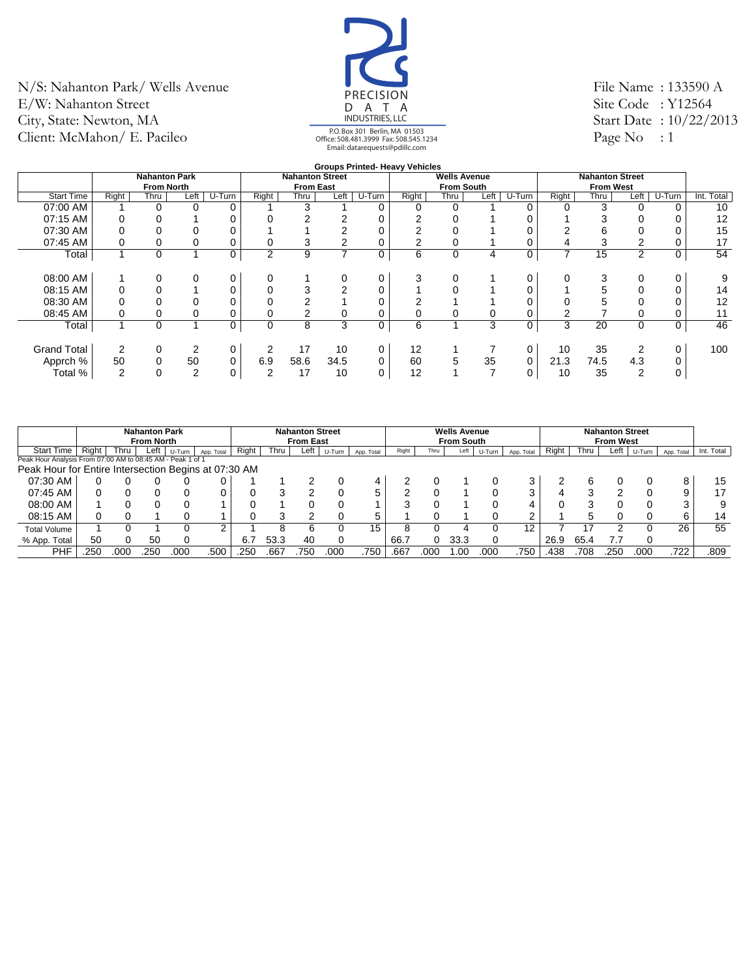

File Name : 133590 A Site Code : Y12564 Start Date : 10/22/2013 Page No : 1

#### **Groups Printed- Heavy Vehicles**

|                    |       |                      |                |        |                |                        |      |        | Groups Printed- Heavy venicles |                     |      |          |       |                        |                |          |            |
|--------------------|-------|----------------------|----------------|--------|----------------|------------------------|------|--------|--------------------------------|---------------------|------|----------|-------|------------------------|----------------|----------|------------|
|                    |       | <b>Nahanton Park</b> |                |        |                | <b>Nahanton Street</b> |      |        |                                | <b>Wells Avenue</b> |      |          |       | <b>Nahanton Street</b> |                |          |            |
|                    |       | <b>From North</b>    |                |        |                | <b>From East</b>       |      |        |                                | <b>From South</b>   |      |          |       | <b>From West</b>       |                |          |            |
| <b>Start Time</b>  | Right | Thru                 | Left           | U-Turn | Right          | Thru                   | Left | U-Turn | Right                          | Thru                | Left | $U-Turn$ | Right | Thru                   | Left           | $U-Turn$ | Int. Total |
| 07:00 AM           |       | 0                    | $\Omega$       | 0      |                | 3                      |      | 0      | 0                              | 0                   |      |          | 0     | 3                      | $\Omega$       |          | 10         |
| 07:15 AM           |       |                      |                | 0      |                | 2                      |      | 0      | 2                              |                     |      |          |       |                        |                |          | 12         |
| 07:30 AM           |       |                      |                |        |                |                        |      |        |                                |                     |      |          |       |                        |                |          | 15         |
| 07:45 AM           |       |                      |                | 0      | 0              | 3                      |      | 0      |                                |                     |      |          | 4     |                        |                |          | 17         |
| Total              |       | $\Omega$             |                | 0      | $\overline{2}$ | 9                      | 7    | 0      | 6                              | 0                   | 4    | 0        | 7     | 15                     | $\overline{2}$ |          | 54         |
|                    |       |                      |                |        |                |                        |      |        |                                |                     |      |          |       |                        |                |          |            |
| 08:00 AM           |       |                      | $\Omega$       | 0      | $\Omega$       |                        | 0    | 0      | 3                              |                     |      |          | 0     |                        | 0              |          | 9          |
| 08:15 AM           |       |                      |                | 0      |                | 3                      | 2    | 0      |                                |                     |      |          |       |                        |                |          | 14         |
| 08:30 AM           |       |                      |                |        |                |                        |      |        |                                |                     |      |          |       |                        |                |          | 12         |
| 08:45 AM           |       |                      |                | 0      |                |                        | 0    | 0      |                                |                     |      |          |       |                        |                |          | 11         |
| Total              |       | 0                    |                | 0      | 0              | 8                      | 3    | 0      | 6                              |                     | 3    | 0        | 3     | 20                     | $\Omega$       |          | 46         |
|                    |       |                      |                |        |                |                        |      |        |                                |                     |      |          |       |                        |                |          |            |
| <b>Grand Total</b> | 2     |                      | 2              | 0      | 2              | 17                     | 10   | 0      | 12                             |                     |      |          | 10    | 35                     | 2              |          | 100        |
| Apprch %           | 50    |                      | 50             | 0      | 6.9            | 58.6                   | 34.5 | 0      | 60                             | 5                   | 35   |          | 21.3  | 74.5                   | 4.3            |          |            |
| Total %            | 2     |                      | $\overline{2}$ | 0      | 2              | 17                     | 10   | 0      | 12                             |                     |      |          | 10    | 35                     | ◠              |          |            |
|                    |       |                      |                |        |                |                        |      |        |                                |                     |      |          |       |                        |                |          |            |

|                                                            |          |      | <b>Nahanton Park</b><br><b>From North</b> |        |            |       |      | <b>Nahanton Street</b><br><b>From East</b> |        |            |       |      | <b>Wells Avenue</b><br><b>From South</b> |        |            |       |      | <b>Nahanton Street</b><br><b>From West</b> |        |            |            |
|------------------------------------------------------------|----------|------|-------------------------------------------|--------|------------|-------|------|--------------------------------------------|--------|------------|-------|------|------------------------------------------|--------|------------|-------|------|--------------------------------------------|--------|------------|------------|
| <b>Start Time</b>                                          | Right    | Thru | Left                                      | U-Turn | App. Total | Right | Thru | Left                                       | U-Turn | App. Total | Right | Thru | Left                                     | U-Turn | App. Total | Right | Thru | Left                                       | U-Turn | App. Total | Int. Total |
| Peak Hour Analysis From 07:00 AM to 08:45 AM - Peak 1 of 1 |          |      |                                           |        |            |       |      |                                            |        |            |       |      |                                          |        |            |       |      |                                            |        |            |            |
| Peak Hour for Entire Intersection Begins at 07:30 AM       |          |      |                                           |        |            |       |      |                                            |        |            |       |      |                                          |        |            |       |      |                                            |        |            |            |
| 07:30 AM                                                   |          |      |                                           |        |            |       |      |                                            |        |            |       |      |                                          |        |            |       |      |                                            |        | 8          | 15         |
| 07:45 AM                                                   | 0        |      |                                           |        |            |       |      |                                            |        |            |       |      |                                          |        |            |       |      |                                            |        | 9          | 17         |
| 08:00 AM                                                   |          |      |                                           |        |            |       |      |                                            |        |            |       |      |                                          |        |            |       |      |                                            |        | ົ          | 9          |
| 08:15 AM                                                   | $\Omega$ |      |                                           |        |            |       |      |                                            |        |            |       |      |                                          |        |            |       | ∽    |                                            |        | 6          | 14         |
| <b>Total Volume</b>                                        |          |      |                                           |        | ີ          |       |      |                                            |        | 15         |       |      |                                          |        | 12         |       |      |                                            |        | 26         | 55         |
| % App. Total                                               | 50       |      | 50                                        |        |            | 6.7   | 53.3 | 40                                         |        |            | 66.7  |      | 33.3                                     | 0      |            | 26.9  | 65.4 |                                            |        |            |            |
| PHF                                                        | .250     |      | 250                                       | .000   | .500       | .250  | .667 | .750                                       | .000   | .750       | .667  | .000 | .00                                      | .000   | .750       | .438  | .708 | .250                                       | .000   | .722       | .809       |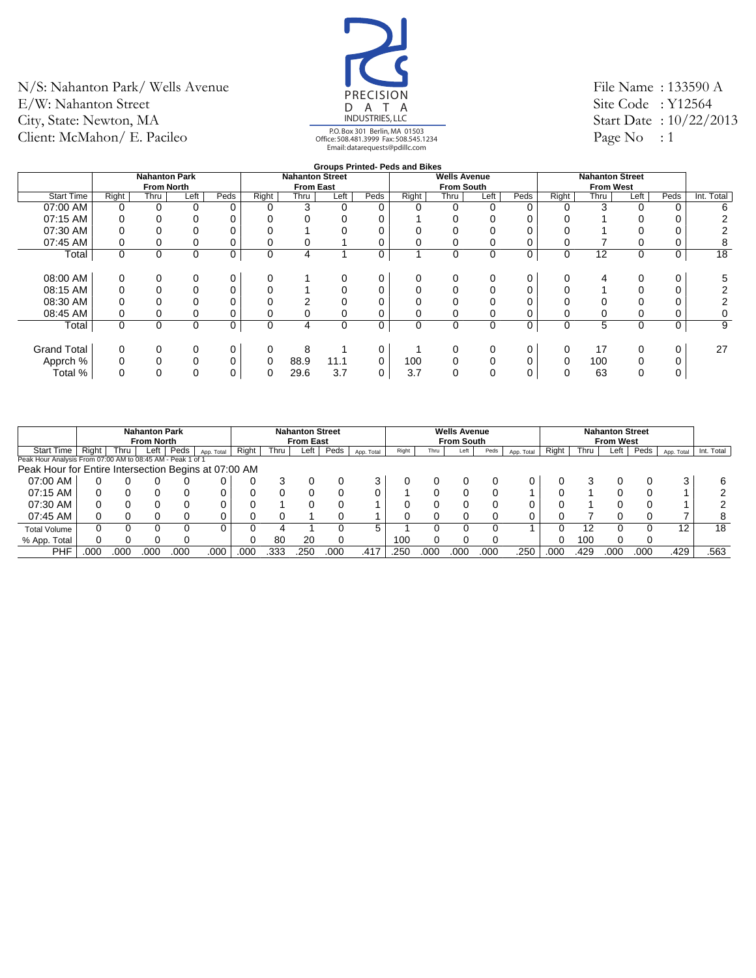

File Name : 133590 A Site Code : Y12564 Start Date : 10/22/2013 Page No : 1

|                    |       |                      |          |      |             |                        |             |      | <b>Groups Printed- Peds and Bikes</b> |                     |          |      |             |                        |          |      |            |
|--------------------|-------|----------------------|----------|------|-------------|------------------------|-------------|------|---------------------------------------|---------------------|----------|------|-------------|------------------------|----------|------|------------|
|                    |       | <b>Nahanton Park</b> |          |      |             | <b>Nahanton Street</b> |             |      |                                       | <b>Wells Avenue</b> |          |      |             | <b>Nahanton Street</b> |          |      |            |
|                    |       | <b>From North</b>    |          |      |             | <b>From East</b>       |             |      |                                       | <b>From South</b>   |          |      |             | <b>From West</b>       |          |      |            |
| <b>Start Time</b>  | Right | Thru                 | Left     | Peds | Right       | Thru                   | Left        | Peds | Right                                 | Thru                | Left     | Peds | Right       | Thru                   | Left     | Peds | Int. Total |
| 07:00 AM           |       |                      | $\Omega$ | 0    |             | 3                      | 0           | 0    |                                       | 0                   |          |      |             | 3                      |          |      | 6          |
| 07:15 AM           |       |                      |          |      |             |                        |             |      |                                       |                     |          |      |             |                        |          |      |            |
| 07:30 AM           |       |                      |          | 0    |             |                        |             |      |                                       |                     |          |      |             |                        |          |      |            |
| 07:45 AM           |       |                      | 0        | 0    |             | 0                      |             | 0    |                                       |                     |          |      |             |                        |          |      | 8          |
| Total              | 0     | $\Omega$             | $\Omega$ | 0    | $\mathbf 0$ | 4                      |             | 0    |                                       | 0                   | 0        | 0    | $\mathbf 0$ | 12                     | $\Omega$ | 0    | 18         |
|                    |       |                      |          |      |             |                        |             |      |                                       |                     |          |      |             |                        |          |      |            |
| 08:00 AM           |       |                      | 0        | 0    | 0           |                        | 0           | 0    |                                       |                     |          | 0    |             |                        |          |      | 5          |
| 08:15 AM           |       |                      | $\Omega$ | 0    |             |                        |             | 0    |                                       |                     |          | 0    |             |                        |          |      |            |
| 08:30 AM           |       |                      |          | 0    |             |                        |             | 0    |                                       |                     |          |      |             |                        |          |      |            |
| 08:45 AM           |       |                      | 0        | 0    |             |                        | 0           | 0    |                                       | 0                   |          |      |             |                        |          |      | 0          |
| Total              | 0     | $\Omega$             | $\Omega$ | 0    | $\mathbf 0$ | 4                      | $\mathbf 0$ | 0    | 0                                     | 0                   | $\Omega$ | 0    | $\mathbf 0$ | 5                      | 0        | 0    | 9          |
|                    |       |                      |          |      |             |                        |             |      |                                       |                     |          |      |             |                        |          |      |            |
| <b>Grand Total</b> |       |                      | 0        | 0    | 0           | 8                      |             | 0    |                                       |                     |          | 0    | 0           | 17                     |          |      | 27         |
| Apprch %           |       |                      | $\Omega$ | 0    | 0           | 88.9                   | 11.1        | 0    | 100                                   |                     |          | 0    | 0           | 100                    |          |      |            |
| Total %            | 0     | 0                    | $\Omega$ | 0    | 0           | 29.6                   | 3.7         | 0    | 3.7                                   | 0                   |          | 0    | 0           | 63                     | 0        |      |            |
|                    |       |                      |          |      |             |                        |             |      |                                       |                     |          |      |             |                        |          |      |            |

|                                                            |       |      | <b>Nahanton Park</b><br><b>From North</b> |      |            |       |      | <b>Nahanton Street</b><br><b>From East</b> |      |            |       |      | <b>Wells Avenue</b><br><b>From South</b> |      |            |       |      | <b>Nahanton Street</b><br><b>From West</b> |      |            |            |
|------------------------------------------------------------|-------|------|-------------------------------------------|------|------------|-------|------|--------------------------------------------|------|------------|-------|------|------------------------------------------|------|------------|-------|------|--------------------------------------------|------|------------|------------|
| <b>Start Time</b>                                          | Right | Thru | Left                                      | Peds | App. Total | Riaht | Thru | Left                                       | Peds | App. Total | Right | Thru | Left                                     | Peds | App. Total | Right | Thru | Left                                       | Peds | App. Total | Int. Total |
| Peak Hour Analysis From 07:00 AM to 08:45 AM - Peak 1 of 1 |       |      |                                           |      |            |       |      |                                            |      |            |       |      |                                          |      |            |       |      |                                            |      |            |            |
| Peak Hour for Entire Intersection Begins at 07:00 AM       |       |      |                                           |      |            |       |      |                                            |      |            |       |      |                                          |      |            |       |      |                                            |      |            |            |
| 07:00 AM                                                   |       |      |                                           |      |            |       |      |                                            |      |            |       |      |                                          |      |            |       |      |                                            |      | 3          |            |
| 07:15 AM                                                   |       |      |                                           |      |            |       |      |                                            |      |            |       |      |                                          |      |            |       |      |                                            |      |            |            |
| 07:30 AM                                                   |       |      |                                           |      |            |       |      |                                            |      |            |       |      |                                          |      |            |       |      |                                            |      |            |            |
| 07:45 AM                                                   |       |      |                                           |      |            |       |      |                                            |      |            |       |      |                                          |      |            |       |      |                                            |      |            |            |
| <b>Total Volume</b>                                        |       |      |                                           |      |            |       |      |                                            |      | 5.         |       |      |                                          |      |            |       | 12   |                                            |      | 12         | 18         |
| % App. Total                                               |       |      |                                           |      |            |       | 80   | 20                                         |      |            | 100   |      |                                          |      |            |       | 100  |                                            |      |            |            |
| PHF                                                        | .000  | 000  | .00C                                      | 00C  | .000       | .000  | .333 | .250                                       | 00C  | .417       | .250  | 000  | .000                                     | 000  | .250       | .000  | .429 | .000                                       | 000  | .429       | .563       |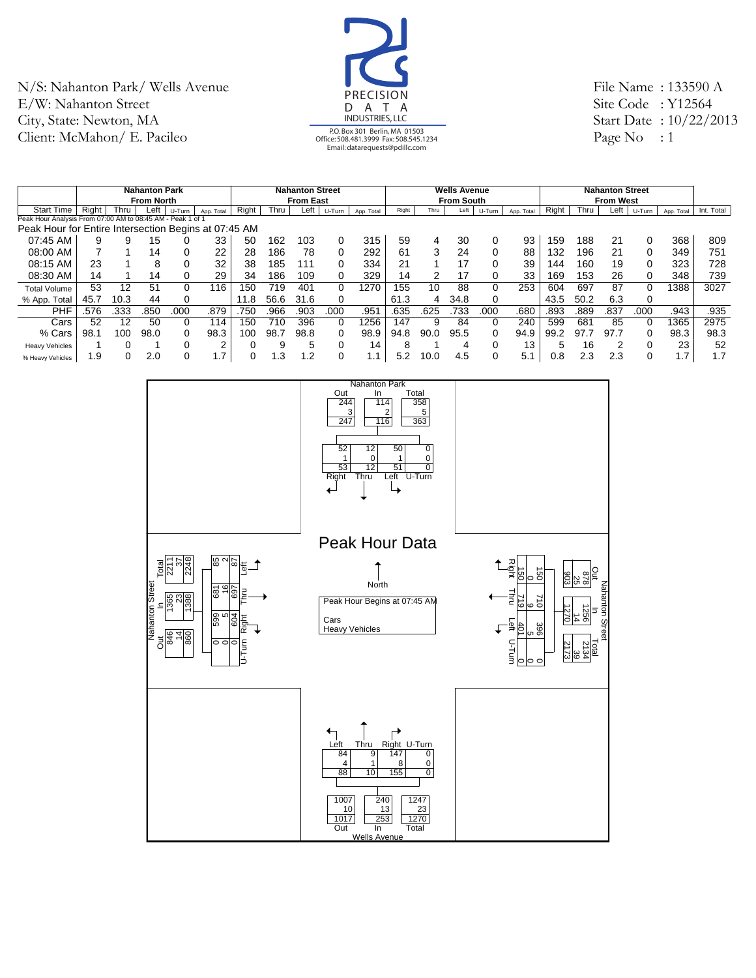

File Name : 133590 A Site Code : Y12564 Start Date : 10/22/2013 Page No : 1

|                                                            |       |        | <b>Nahanton Park</b> |        |                    |       |      | <b>Nahanton Street</b> |        |            |       |      | <b>Wells Avenue</b> |          |            |       |      | <b>Nahanton Street</b> |          |                   |            |
|------------------------------------------------------------|-------|--------|----------------------|--------|--------------------|-------|------|------------------------|--------|------------|-------|------|---------------------|----------|------------|-------|------|------------------------|----------|-------------------|------------|
|                                                            |       |        | <b>From North</b>    |        |                    |       |      | <b>From East</b>       |        |            |       |      | <b>From South</b>   |          |            |       |      | <b>From West</b>       |          |                   |            |
| <b>Start Time</b>                                          | Right | Thru l | Left                 | U-Turn | App. Total         | Right | Thru | Left                   | U-Turn | App. Total | Right | Thru | Left                | U-Turn   | App. Total | Right | Thru | Left                   | U-Turn   | App. Total        | Int. Total |
| Peak Hour Analysis From 07:00 AM to 08:45 AM - Peak 1 of 1 |       |        |                      |        |                    |       |      |                        |        |            |       |      |                     |          |            |       |      |                        |          |                   |            |
| Peak Hour for Entire Intersection Begins at 07:45 AM       |       |        |                      |        |                    |       |      |                        |        |            |       |      |                     |          |            |       |      |                        |          |                   |            |
| 07:45 AM                                                   | 9     |        | 15                   |        | 33                 | 50    | 162  | 103                    | 0      | 315        | 59    | 4    | 30                  | 0        | 93         | 159   | 188  | 21                     | 0        | 368               | 809        |
| 08:00 AM                                                   |       |        | 14                   |        | 22                 | 28    | 186  | 78                     | 0      | 292        | 61    | 3    | 24                  | $\Omega$ | 88         | 132   | 196  | 21                     | 0        | 349               | 751        |
| 08:15 AM                                                   | 23    |        | 8                    |        | 32                 | 38    | 185  | 111                    | 0      | 334        | 21    |      | 17                  | 0        | 39         | 144   | 160  | 19                     | 0        | 323               | 728        |
| 08:30 AM                                                   | 14    |        | 14                   |        | 29                 | 34    | 186  | 109                    | 0      | 329        | 14    | 2    | 17                  | 0        | 33         | 169   | 153  | 26                     | 0        | 348               | 739        |
| <b>Total Volume</b>                                        | 53    | 12     | 51                   |        | 116                | 150   | 719  | 40 <sup>4</sup>        | 0      | 1270       | 155   | 10   | 88                  | 0        | 253        | 604   | 697  | 87                     | $\Omega$ | 388               | 3027       |
| % App. Total                                               | 45.7  | 10.3   | 44                   |        |                    | 11.8  | 56.6 | 31.6                   | 0      |            | 61.3  | 4    | 34.8                | 0        |            | 43.5  | 50.2 | 6.3                    | 0        |                   |            |
| <b>PHF</b>                                                 | .576  | .333   | .850                 | .000   | .879               | 750   | 966  | .903                   | .000   | .951       | .635  | .625 | .733                | .000     | .680       | .893  | .889 | .837                   | .000     | .943              | .935       |
| Cars                                                       | 52    | 12     | 50                   |        | 114                | 150   | 710  | 396                    | 0      | 1256       | 147   | 9    | 84                  | 0        | 240        | 599   | 681  | 85                     | $\Omega$ | 1365              | 2975       |
| % Cars                                                     | 98.1  | 100    | 98.0                 |        | 98.3               | 100   | 98.7 | 98.8                   | 0      | 98.9       | 94.8  | 90.0 | 95.5                | 0        | 94.9       | 99.2  | 97.7 | 97.7                   | 0        | 98.3              | 98.3       |
| <b>Heavy Vehicles</b>                                      |       |        |                      |        | ົ                  |       |      | 5                      | 0      | 14         | 8     |      | 4                   | 0        | 13         | 5     | 16   |                        | C        | 23                | 52         |
| % Heavy Vehicles                                           | 1.9   |        | 2.0                  |        | 17<br>$\mathbf{L}$ |       | .3   | 1.2                    | 0      | 1.1        | 5.2   | 10.0 | 4.5                 | 0        | 5.1        | 0.8   | 2.3  | 2.3                    | $\Omega$ | 7<br>$\mathbf{L}$ | 1.7        |

![](_page_16_Figure_4.jpeg)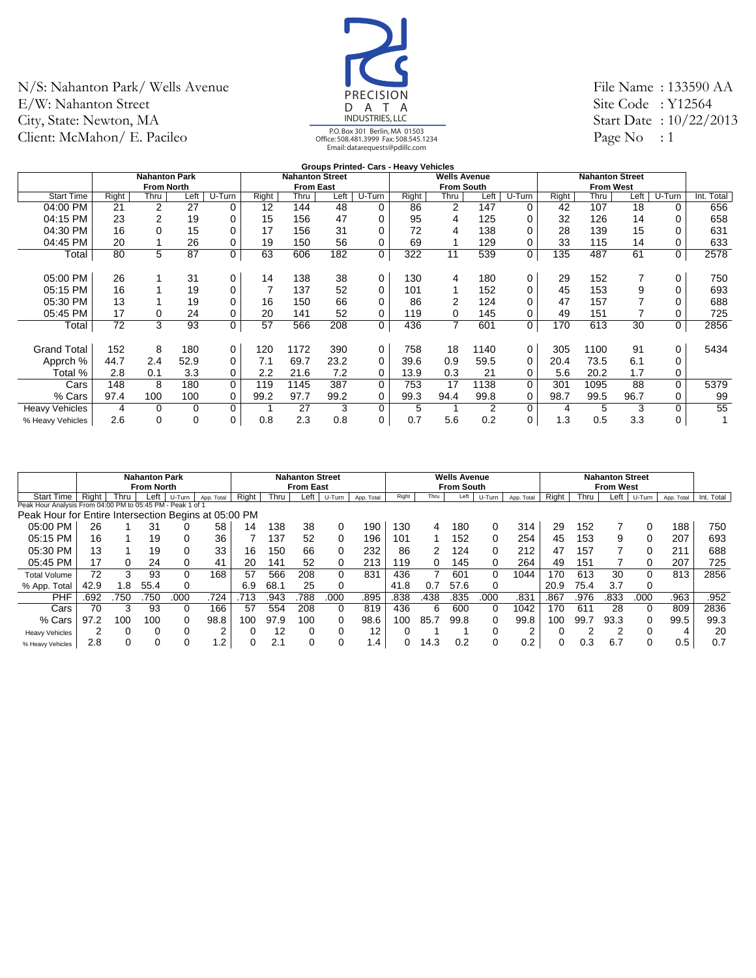![](_page_17_Picture_1.jpeg)

File Name : 133590 AA Site Code : Y12564 Start Date : 10/22/2013 Page No : 1

|                       |       |                      |      |             |       |                        |      |             | <b>Groups Printed- Cars - Heavy Vehicles</b> |                     |      |          |       |                        |      |             |            |
|-----------------------|-------|----------------------|------|-------------|-------|------------------------|------|-------------|----------------------------------------------|---------------------|------|----------|-------|------------------------|------|-------------|------------|
|                       |       | <b>Nahanton Park</b> |      |             |       | <b>Nahanton Street</b> |      |             |                                              | <b>Wells Avenue</b> |      |          |       | <b>Nahanton Street</b> |      |             |            |
|                       |       | <b>From North</b>    |      |             |       | <b>From East</b>       |      |             |                                              | <b>From South</b>   |      |          |       | <b>From West</b>       |      |             |            |
| <b>Start Time</b>     | Right | Thru                 | Left | U-Turn      | Right | Thru                   | Left | U-Turn      | Right                                        | Thru                | Left | U-Turn   | Right | Thru                   | Left | U-Turn      | Int. Total |
| 04:00 PM              | 21    | 2                    | 27   | 0           | 12    | 144                    | 48   | 0           | 86                                           | $\overline{2}$      | 147  | 0        | 42    | 107                    | 18   | $\Omega$    | 656        |
| 04:15 PM              | 23    | $\overline{2}$       | 19   | 0           | 15    | 156                    | 47   | $\Omega$    | 95                                           | 4                   | 125  | 0        | 32    | 126                    | 14   | 0           | 658        |
| 04:30 PM              | 16    | $\Omega$             | 15   | $\mathbf 0$ | 17    | 156                    | 31   | $\Omega$    | 72                                           | 4                   | 138  |          | 28    | 139                    | 15   | 0           | 631        |
| 04:45 PM              | 20    |                      | 26   | 0           | 19    | 150                    | 56   | 0           | 69                                           |                     | 129  | 0        | 33    | 115                    | 14   | 0           | 633        |
| Total                 | 80    | 5                    | 87   | 0           | 63    | 606                    | 182  | 0           | 322                                          | 11                  | 539  | 0        | 135   | 487                    | 61   | $\mathbf 0$ | 2578       |
|                       |       |                      |      |             |       |                        |      |             |                                              |                     |      |          |       |                        |      |             |            |
| 05:00 PM              | 26    |                      | 31   | $\mathbf 0$ | 14    | 138                    | 38   | $\mathbf 0$ | 130                                          | 4                   | 180  | 0        | 29    | 152                    |      | 0           | 750        |
| 05:15 PM              | 16    |                      | 19   | 0           |       | 137                    | 52   | 0           | 101                                          |                     | 152  | 0        | 45    | 153                    | 9    | 0           | 693        |
| 05:30 PM              | 13    |                      | 19   | $\mathbf 0$ | 16    | 150                    | 66   | 0           | 86                                           | $\overline{2}$      | 124  |          | 47    | 157                    |      | 0           | 688        |
| 05:45 PM              | 17    | 0                    | 24   | $\mathbf 0$ | 20    | 141                    | 52   | 0           | 119                                          | 0                   | 145  | 0        | 49    | 151                    |      | 0           | 725        |
| Total                 | 72    | 3                    | 93   | 0           | 57    | 566                    | 208  | 0           | 436                                          | 7                   | 601  | 0        | 170   | 613                    | 30   | $\mathbf 0$ | 2856       |
|                       |       |                      |      |             |       |                        |      |             |                                              |                     |      |          |       |                        |      |             |            |
| <b>Grand Total</b>    | 152   | 8                    | 180  | 0           | 120   | 1172                   | 390  | 0           | 758                                          | 18                  | 1140 | 0        | 305   | 1100                   | 91   | 0           | 5434       |
| Apprch %              | 44.7  | 2.4                  | 52.9 | 0           | 7.1   | 69.7                   | 23.2 | $\Omega$    | 39.6                                         | 0.9                 | 59.5 | 0        | 20.4  | 73.5                   | 6.1  | $\Omega$    |            |
| Total %               | 2.8   | 0.1                  | 3.3  | 0           | 2.2   | 21.6                   | 7.2  | 0           | 13.9                                         | 0.3                 | 21   | 0        | 5.6   | 20.2                   | 1.7  | 0           |            |
| Cars                  | 148   | 8                    | 180  | $\Omega$    | 119   | 1145                   | 387  | $\Omega$    | 753                                          | 17                  | 1138 | $\Omega$ | 301   | 1095                   | 88   | $\Omega$    | 5379       |
| % Cars                | 97.4  | 100                  | 100  | 0           | 99.2  | 97.7                   | 99.2 | 0           | 99.3                                         | 94.4                | 99.8 | 0        | 98.7  | 99.5                   | 96.7 | 0           | 99         |
| <b>Heavy Vehicles</b> | 4     | 0                    | 0    | 0           |       | 27                     | 3    | 0           | 5                                            |                     | 2    | $\Omega$ | 4     | 5                      | 3    | $\Omega$    | 55         |
| % Heavy Vehicles      | 2.6   | $\mathbf 0$          | 0    | 0           | 0.8   | 2.3                    | 0.8  | 0           | 0.7                                          | 5.6                 | 0.2  | 0        | 1.3   | 0.5                    | 3.3  | 0           |            |
|                       |       |                      |      |             |       |                        |      |             |                                              |                     |      |          |       |                        |      |             |            |

|                                                            |       |      | <b>Nahanton Park</b><br><b>From North</b> |        |            |       |      | <b>Nahanton Street</b><br><b>From East</b> |        |            |       |      | <b>Wells Avenue</b><br><b>From South</b> |        |            |       |      | <b>Nahanton Street</b><br><b>From West</b> |        |            |            |
|------------------------------------------------------------|-------|------|-------------------------------------------|--------|------------|-------|------|--------------------------------------------|--------|------------|-------|------|------------------------------------------|--------|------------|-------|------|--------------------------------------------|--------|------------|------------|
| <b>Start Time</b>                                          | Right | Thru | Left                                      | U-Turn | App. Total | Right | Thru | Left                                       | U-Turn | App. Total | Right | Thru | Left                                     | U-Turn | App. Total | Right | Thru | Left                                       | U-Turn | App. Total | Int. Total |
| Peak Hour Analysis From 04:00 PM to 05:45 PM - Peak 1 of 1 |       |      |                                           |        |            |       |      |                                            |        |            |       |      |                                          |        |            |       |      |                                            |        |            |            |
| Peak Hour for Entire Intersection Begins at 05:00 PM       |       |      |                                           |        |            |       |      |                                            |        |            |       |      |                                          |        |            |       |      |                                            |        |            |            |
| 05:00 PM                                                   | 26    |      | 31                                        |        | 58         | 14    | 138  | 38                                         | 0      | 190        | 130   | 4    | 180                                      | 0      | 314        | 29    | 152  |                                            | 0      | 188        | 750        |
| 05:15 PM                                                   | 16    |      | 19                                        |        | 36         |       | 137  | 52                                         | 0      | 196        | 101   |      | 152                                      | 0      | 254        | 45    | 153  | 9                                          | 0      | 207        | 693        |
| 05:30 PM                                                   | 13    |      | 19                                        |        | 33         | 16    | 150  | 66                                         | 0      | 232        | 86    |      | 124                                      | 0      | 212        | 47    | 157  |                                            | 0      | 211        | 688        |
| 05:45 PM                                                   | 17    | 0    | 24                                        |        | 41         | 20    | 141  | 52                                         | 0      | 213        | 119   | 0    | 145                                      | 0      | 264        | 49    | 151  |                                            | 0      | 207        | 725        |
| <b>Total Volume</b>                                        | 72    | 3    | 93                                        |        | 168        | 57    | 566  | 208                                        | 0      | 831        | 436   |      | 601                                      | 0      | 1044       | 170   | 613  | 30                                         | 0      | 813        | 2856       |
| % App. Total                                               | 42.9  | l.8  | 55.4                                      |        |            | 6.9   | 68.1 | 25                                         | 0      |            | 41.8  | 0.7  | 57.6                                     | 0      |            | 20.9  | 75.4 | 3.7                                        | 0      |            |            |
| PHF                                                        | .692  | 750  | 750                                       | 000    | .724       | .713  | .943 | .788                                       | .000   | .895       | .838  | .438 | .835                                     | .000   | .831       | .867  | .976 | .833                                       | .000   | .963       | .952       |
| Cars                                                       | 70    |      | 93                                        | 0      | 166        | 57    | 554  | 208                                        | 0      | 819        | 436   | 6    | 600                                      | 0      | 1042       | 170   | 611  | 28                                         | 0      | 809        | 2836       |
| % Cars                                                     | 97.2  | 100  | 100                                       |        | 98.8       | 100   | 97.9 | 100                                        | 0      | 98.6       | 100   | 85.7 | 99.8                                     | 0      | 99.8       | 100   | 99.7 | 93.3                                       | 0      | 99.5       | 99.3       |
| <b>Heavy Vehicles</b>                                      | 2     |      |                                           |        | $\sqrt{2}$ |       | 12   |                                            | 0      | 12         |       |      |                                          |        |            |       |      |                                            |        | 4          | 20         |
| % Heavy Vehicles                                           | 2.8   |      |                                           |        | .2         |       | 2.1  |                                            | 0      | 4.،        |       | 14.3 | 0.2                                      |        | 0.2        |       | 0.3  | 6.7                                        | 0      | 0.5        | 0.7        |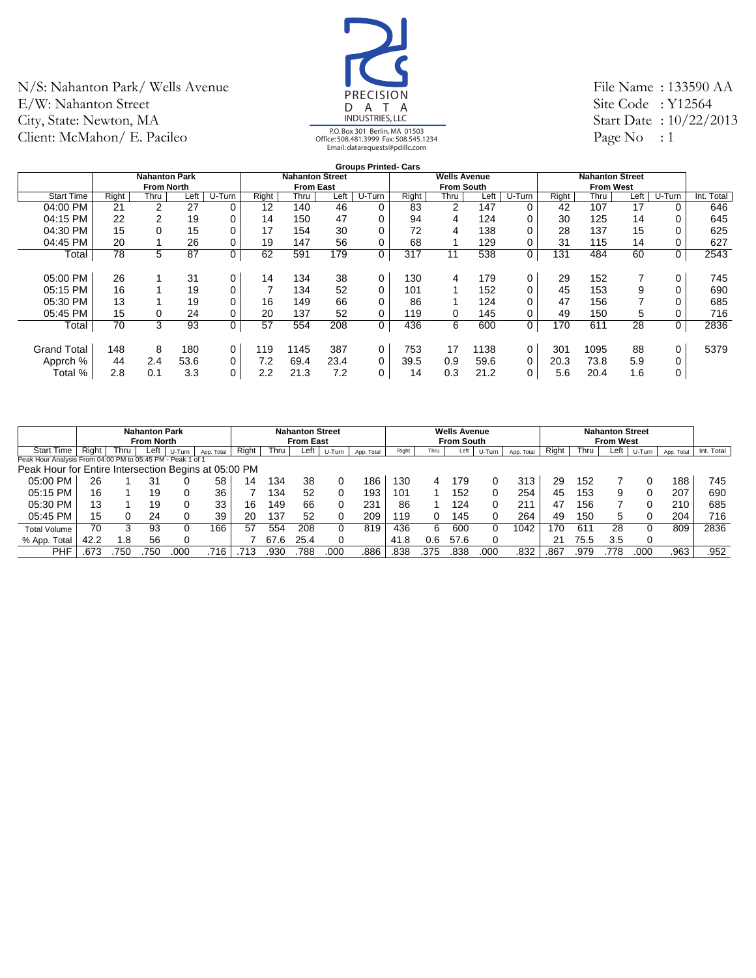![](_page_18_Picture_1.jpeg)

File Name : 133590 AA Site Code : Y12564 Start Date : 10/22/2013 Page No : 1

|                    |       |                      |      |        |       |                        |      | <b>Groups Printed- Cars</b> |       |                     |      |             |       |                        |      |             |            |
|--------------------|-------|----------------------|------|--------|-------|------------------------|------|-----------------------------|-------|---------------------|------|-------------|-------|------------------------|------|-------------|------------|
|                    |       | <b>Nahanton Park</b> |      |        |       | <b>Nahanton Street</b> |      |                             |       | <b>Wells Avenue</b> |      |             |       | <b>Nahanton Street</b> |      |             |            |
|                    |       | <b>From North</b>    |      |        |       | <b>From East</b>       |      |                             |       | <b>From South</b>   |      |             |       | <b>From West</b>       |      |             |            |
| <b>Start Time</b>  | Right | Thru                 | Left | U-Turn | Right | Thru                   | Left | U-Turn                      | Right | Thru                | Left | U-Turn      | Right | Thru                   | Left | U-Turn      | Int. Total |
| 04:00 PM           | 21    | $\overline{2}$       | 27   | 0      | 12    | 140                    | 46   | 0                           | 83    | 2                   | 147  | 0           | 42    | 107                    | 17   | 0           | 646        |
| 04:15 PM           | 22    | 2                    | 19   | 0      | 14    | 150                    | 47   | 0                           | 94    | 4                   | 124  |             | 30    | 125                    | 14   | $\Omega$    | 645        |
| 04:30 PM           | 15    |                      | 15   | 0      | 17    | 154                    | 30   | 0                           | 72    | 4                   | 138  |             | 28    | 137                    | 15   | $\Omega$    | 625        |
| 04:45 PM           | 20    |                      | 26   | 0      | 19    | 147                    | 56   | 0                           | 68    |                     | 129  |             | 31    | 115                    | 14   | $\Omega$    | 627        |
| Total              | 78    | 5                    | 87   | 0      | 62    | 591                    | 179  | 0                           | 317   | 11                  | 538  | 0           | 131   | 484                    | 60   | 0           | 2543       |
|                    |       |                      |      |        |       |                        |      |                             |       |                     |      |             |       |                        |      |             |            |
| 05:00 PM           | 26    |                      | 31   | 0      | 14    | 134                    | 38   | 0                           | 130   | 4                   | 179  | 0           | 29    | 152                    |      | 0           | 745        |
| 05:15 PM           | 16    |                      | 19   | 0      | ⇁     | 134                    | 52   | 0                           | 101   |                     | 152  |             | 45    | 153                    | 9    | 0           | 690        |
| 05:30 PM           | 13    |                      | 19   | 0      | 16    | 149                    | 66   | 0                           | 86    |                     | 124  |             | 47    | 156                    |      | 0           | 685        |
| $05:45$ PM         | 15    |                      | 24   | 0      | 20    | 137                    | 52   | 0                           | 119   | 0                   | 145  |             | 49    | 150                    | 5    | 0           | 716        |
| Total              | 70    | 3                    | 93   | 0      | 57    | 554                    | 208  | 0                           | 436   | 6                   | 600  | 0           | 170   | 611                    | 28   | $\mathbf 0$ | 2836       |
|                    |       |                      |      |        |       |                        |      |                             |       |                     |      |             |       |                        |      |             |            |
| <b>Grand Total</b> | 148   | 8                    | 180  | 0      | 119   | 1145                   | 387  | 0                           | 753   | 17                  | 138  | $\mathbf 0$ | 301   | 1095                   | 88   | 0           | 5379       |
| Apprch %           | 44    | 2.4                  | 53.6 | 0      | 7.2   | 69.4                   | 23.4 | $\mathbf 0$                 | 39.5  | 0.9                 | 59.6 | 0           | 20.3  | 73.8                   | 5.9  | 0           |            |
| Total %            | 2.8   | 0.1                  | 3.3  | 0      | 2.2   | 21.3                   | 7.2  | 0                           | 14    | 0.3                 | 21.2 | 0           | 5.6   | 20.4                   | 1.6  | 0           |            |
|                    |       |                      |      |        |       |                        |      |                             |       |                     |      |             |       |                        |      |             |            |

|                                                            |       |      | <b>Nahanton Park</b><br><b>From North</b> |        |            |       |      | <b>Nahanton Street</b><br><b>From East</b> |        |            |       |      | <b>Wells Avenue</b><br><b>From South</b> |        |            |       |      | <b>Nahanton Street</b><br><b>From West</b> |          |            |            |
|------------------------------------------------------------|-------|------|-------------------------------------------|--------|------------|-------|------|--------------------------------------------|--------|------------|-------|------|------------------------------------------|--------|------------|-------|------|--------------------------------------------|----------|------------|------------|
| <b>Start Time</b>                                          | Right | Thru | Left                                      | U-Turn | App. Total | Right | Thru | Left                                       | U-Turn | App. Total | Right | Thru | Left                                     | U-Turn | App. Total | Right | Thru | Left                                       | U-Turn   | App. Total | Int. Total |
| Peak Hour Analysis From 04:00 PM to 05:45 PM - Peak 1 of 1 |       |      |                                           |        |            |       |      |                                            |        |            |       |      |                                          |        |            |       |      |                                            |          |            |            |
| Peak Hour for Entire Intersection Begins at 05:00 PM       |       |      |                                           |        |            |       |      |                                            |        |            |       |      |                                          |        |            |       |      |                                            |          |            |            |
| 05:00 PM                                                   | 26    |      | 31                                        |        | 58         | 14    | 34   | 38                                         |        | 186        | 130   | 4    | 179                                      |        | 313        | 29    | 152  |                                            |          | 188        | 745        |
| 05:15 PM                                                   | 16    |      | 19                                        |        | 36         |       | 34   | 52                                         |        | 193        | 101   |      | 152                                      |        | 254        | 45    | 153  | 9                                          | 0        | 207        | 690        |
| 05:30 PM                                                   | 13    |      | 19                                        |        | 33         | 16    | 149  | 66                                         |        | 231        | 86    |      | 124                                      | 0      | 21'        | 47    | 156  |                                            | 0        | 210        | 685        |
| 05:45 PM                                                   | 15    |      | 24                                        |        | 39         | 20    | 37   | 52                                         |        | 209        | 119   |      | 145                                      |        | 264        | 49    | 150  | 5                                          | 0        | 204        | 716        |
| <b>Total Volume</b>                                        | 70    | 3    | 93                                        |        | 166        | 57    | 554  | 208                                        |        | 819        | 436   | 6    | 600                                      |        | 1042       | 70    | 611  | 28                                         | 0        | 809        | 2836       |
| % App. Total                                               | 42.2  | .8   | 56                                        |        |            |       |      | 25.4                                       |        |            | 41.8  | 0.6  | 57.6                                     |        |            | 21    | 75.5 | 3.5                                        | $\Omega$ |            |            |
| PHF                                                        | .673  | 75C  | 750                                       | 00C    | .716       | 713   | .930 | 788                                        | .00C   | 886.       | .838  | 375  | .838                                     | 000    | 832        | .867  | .979 | 778                                        | 000      | .963       | .952       |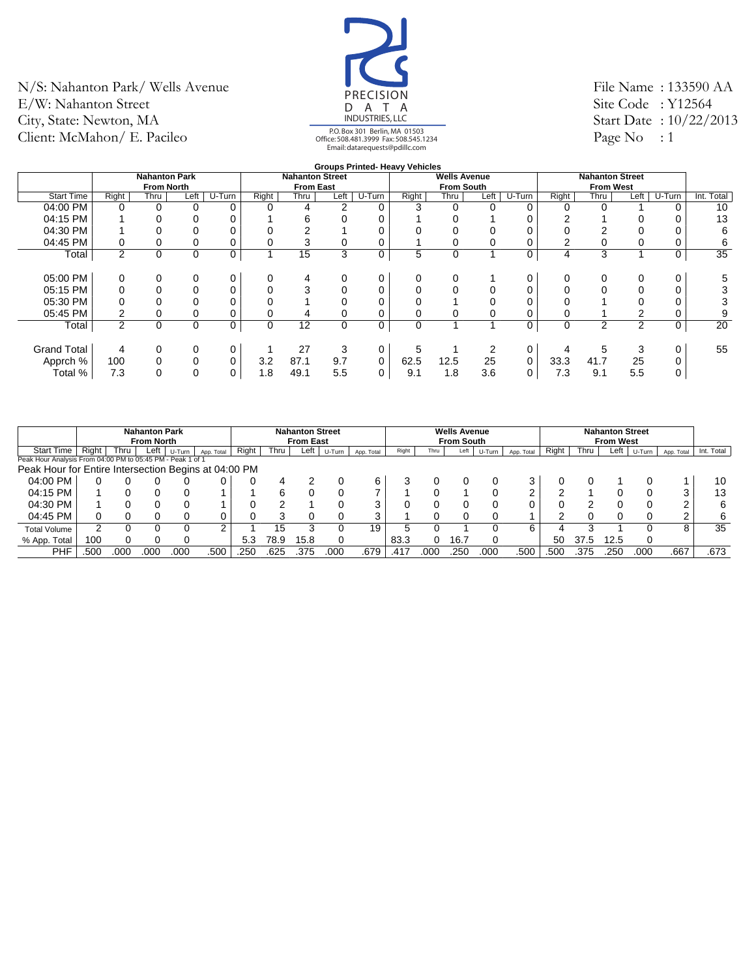![](_page_19_Picture_1.jpeg)

File Name : 133590 AA Site Code: Y12564 Start Date : 10/22/2013 Page No : 1

#### **Groups Printed- Heavy Vehicles**

|                    |                |                      |          |        |       |                        |             |        | <b>STOUDS FITTING THEAVY VEITICIES</b> |                     |          |        |          |                        |          |        |                 |
|--------------------|----------------|----------------------|----------|--------|-------|------------------------|-------------|--------|----------------------------------------|---------------------|----------|--------|----------|------------------------|----------|--------|-----------------|
|                    |                | <b>Nahanton Park</b> |          |        |       | <b>Nahanton Street</b> |             |        |                                        | <b>Wells Avenue</b> |          |        |          | <b>Nahanton Street</b> |          |        |                 |
|                    |                | <b>From North</b>    |          |        |       | <b>From East</b>       |             |        |                                        | <b>From South</b>   |          |        |          | <b>From West</b>       |          |        |                 |
| <b>Start Time</b>  | Right          | Thru                 | Left     | U-Turn | Right | Thru                   | Left        | U-Turn | Right                                  | Thru                | Left     | U-Turn | Right    | Thru                   | Left     | U-Turn | Int. Total      |
| 04:00 PM           |                |                      | 0        | 0      | 0     | 4                      |             |        |                                        |                     |          |        | 0        |                        |          |        | 10              |
| 04:15 PM           |                |                      | 0        | 0      |       | 6                      |             |        |                                        |                     |          |        |          |                        |          |        | 13              |
| 04:30 PM           |                |                      |          | 0      | 0     |                        |             |        |                                        |                     |          |        |          |                        |          |        | 6               |
| 04:45 PM           | 0              |                      | 0        | 0      | 0     | 3                      | 0           |        |                                        |                     | $\Omega$ |        |          |                        | $\Omega$ |        | 6               |
| Total              | $\overline{2}$ | 0                    | $\Omega$ | 0      |       | 15                     | 3           | 0      | 5                                      | 0                   |          | 0      | 4        | 3                      |          |        | $\overline{35}$ |
|                    |                |                      |          |        |       |                        |             |        |                                        |                     |          |        |          |                        |          |        |                 |
| 05:00 PM           | 0              | 0                    | 0        | 0      | 0     | 4                      | 0           | 0      | 0                                      |                     |          |        | $\Omega$ |                        | 0        |        | 5               |
| 05:15 PM           |                |                      |          | 0      | 0     | 3                      |             |        |                                        |                     |          |        |          |                        |          |        |                 |
| 05:30 PM           |                |                      |          |        | 0     |                        |             |        |                                        |                     |          |        |          |                        |          |        |                 |
| 05:45 PM           |                |                      |          |        | 0     | 4                      | 0           |        |                                        |                     |          |        |          |                        |          |        | 9               |
| Total              | $\overline{2}$ | 0                    | $\Omega$ | 0      | 0     | 12                     | $\mathbf 0$ | 0      | 0                                      |                     |          | 0      | 0        | 2                      | ◠        |        | 20              |
|                    |                |                      |          |        |       |                        |             |        |                                        |                     |          |        |          |                        |          |        |                 |
| <b>Grand Total</b> | 4              | 0                    | $\Omega$ | 0      |       | 27                     | 3           | 0      | 5                                      |                     |          |        | 4        |                        | 3        |        | 55              |
| Apprch %           | 100            |                      | 0        | 0      | 3.2   | 87.1                   | 9.7         | 0      | 62.5                                   | 12.5                | 25       |        | 33.3     | 41.7                   | 25       |        |                 |
| Total %            | 7.3            |                      |          | 0      | 1.8   | 49.1                   | 5.5         | 0      | 9.1                                    | 1.8                 | 3.6      |        | 7.3      | 9.1                    | 5.5      |        |                 |
|                    |                |                      |          |        |       |                        |             |        |                                        |                     |          |        |          |                        |          |        |                 |

|                                                            |       |      | <b>Nahanton Park</b><br><b>From North</b> |        |            |       |      | <b>Nahanton Street</b><br><b>From East</b> |        |            |       |      | <b>Wells Avenue</b><br><b>From South</b> |        |            |       |      | <b>Nahanton Street</b><br><b>From West</b> |        |            |            |
|------------------------------------------------------------|-------|------|-------------------------------------------|--------|------------|-------|------|--------------------------------------------|--------|------------|-------|------|------------------------------------------|--------|------------|-------|------|--------------------------------------------|--------|------------|------------|
| <b>Start Time</b>                                          | Right | Thru | Left                                      | U-Turn | App. Total | Right | Thru | Left                                       | U-Turn | App. Total | Right | Thru | Left                                     | U-Turn | App. Total | Right | Thru | Left                                       | U-Turn | App. Total | Int. Total |
| Peak Hour Analysis From 04:00 PM to 05:45 PM - Peak 1 of 1 |       |      |                                           |        |            |       |      |                                            |        |            |       |      |                                          |        |            |       |      |                                            |        |            |            |
| Peak Hour for Entire Intersection Begins at 04:00 PM       |       |      |                                           |        |            |       |      |                                            |        |            |       |      |                                          |        |            |       |      |                                            |        |            |            |
| 04:00 PM                                                   |       |      |                                           |        |            |       |      |                                            |        |            |       |      |                                          |        |            |       |      |                                            |        |            | 10         |
| 04:15 PM                                                   |       |      |                                           |        |            |       |      |                                            |        |            |       |      |                                          |        |            |       |      |                                            |        | ว          | 13         |
| 04:30 PM                                                   |       |      |                                           |        |            |       |      |                                            |        |            |       |      |                                          |        |            |       |      |                                            |        | ⌒          | 6          |
| 04:45 PM                                                   |       |      |                                           |        |            |       |      |                                            |        |            |       |      |                                          |        |            |       |      |                                            |        | ⌒          |            |
| <b>Total Volume</b>                                        | 2     |      |                                           |        |            |       | 15   |                                            |        | 19         |       |      |                                          |        | ี          |       |      |                                            |        | 8          | 35         |
| % App. Total                                               | 100   |      |                                           |        |            | 5.3   | 78.9 | 15.8                                       |        |            | 83.3  |      | 16.                                      |        |            | 50    | 37.5 | 12.5                                       |        |            |            |
| PHF                                                        | .500  | 000  | .00C                                      | 00C    | .500       | .250  | .625 | .375                                       | ooc    | .679       | .417  | 000  | .250                                     | 000    | .500       | .500  | .375 | .250                                       | .000   | .667       | .673       |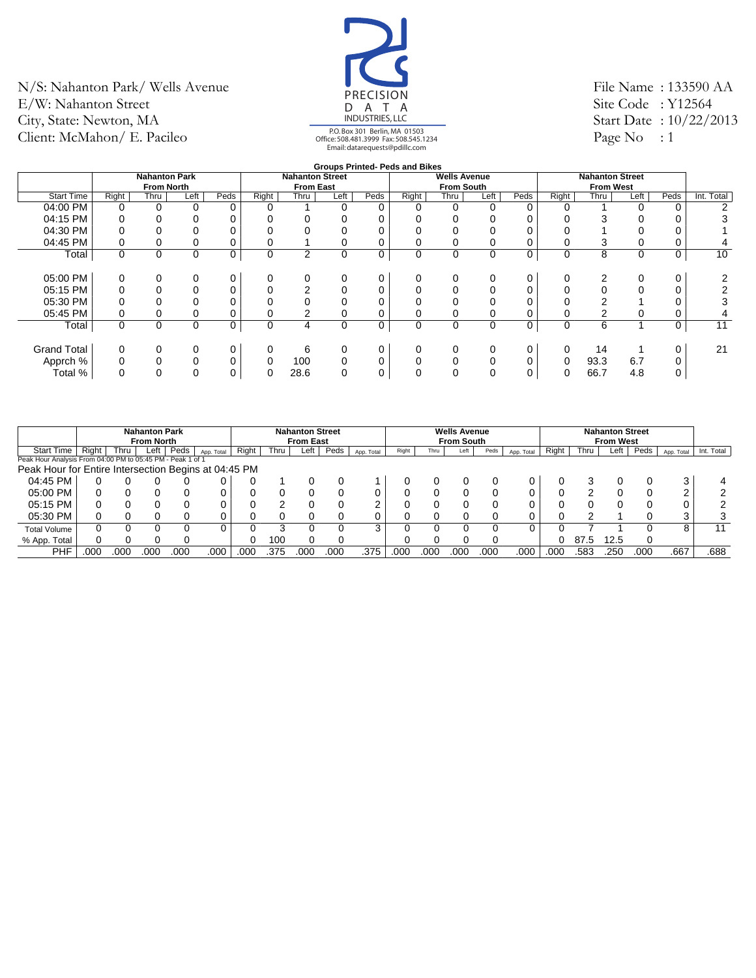![](_page_20_Picture_1.jpeg)

File Name : 133590 AA Site Code: Y12564 Start Date : 10/22/2013 Page No : 1

### **Groups Printed- Peds and Bikes**

|                    |       |                      |          |      |             |                        |             |      | Groups Printed-Peds and Bikes |                     |          |      |             |                        |      |          |            |
|--------------------|-------|----------------------|----------|------|-------------|------------------------|-------------|------|-------------------------------|---------------------|----------|------|-------------|------------------------|------|----------|------------|
|                    |       | <b>Nahanton Park</b> |          |      |             | <b>Nahanton Street</b> |             |      |                               | <b>Wells Avenue</b> |          |      |             | <b>Nahanton Street</b> |      |          |            |
|                    |       | <b>From North</b>    |          |      |             | <b>From East</b>       |             |      |                               | <b>From South</b>   |          |      |             | <b>From West</b>       |      |          |            |
| <b>Start Time</b>  | Right | Thru                 | Left     | Peds | Right       | Thru                   | Left        | Peds | Right                         | Thru                | Left     | Peds | Right       | Thru                   | Left | Peds     | Int. Total |
| 04:00 PM           | 0     | 0                    | 0        | 0    | $\Omega$    |                        | 0           | 0    | 0                             | 0                   | $\Omega$ |      |             |                        | 0    | $\Omega$ |            |
| 04:15 PM           |       |                      | 0        | 0    | 0           |                        | 0           |      |                               |                     |          |      |             |                        |      | 0        |            |
| 04:30 PM           |       |                      |          | 0    | 0           |                        |             |      |                               |                     |          |      |             |                        |      |          |            |
| 04:45 PM           |       |                      | 0        | 0    | 0           |                        |             |      |                               |                     | 0        |      |             |                        |      | 0        | 4          |
| Total              | 0     | 0                    | 0        | 0    | $\mathbf 0$ | 2                      | $\mathbf 0$ | 0    | 0                             | 0                   | 0        | 0    | $\mathbf 0$ | 8                      | 0    | 0        | 10         |
|                    |       |                      |          |      |             |                        |             |      |                               |                     |          |      |             |                        |      |          |            |
| 05:00 PM           |       |                      | 0        | 0    | 0           | 0                      | 0           | 0    | 0                             |                     | 0        | 0    |             |                        |      | 0        |            |
| 05:15 PM           |       |                      |          | 0    |             | 2                      |             | 0    |                               |                     | 0        |      |             |                        |      |          |            |
| 05:30 PM           |       |                      |          | 0    |             |                        |             |      |                               |                     |          |      |             |                        |      |          |            |
| 05:45 PM           |       |                      |          | 0    |             | 2                      |             |      |                               |                     |          |      |             |                        |      |          |            |
| Total              | 0     | 0                    | 0        | 0    | $\mathbf 0$ | $\overline{4}$         | $\Omega$    | 0    | 0                             | 0                   | $\Omega$ | 0    | $\Omega$    | 6                      |      | 0        | 11         |
|                    |       |                      |          |      |             |                        |             |      |                               |                     |          |      |             |                        |      |          |            |
| <b>Grand Total</b> |       |                      | 0        | 0    | 0           | 6                      | 0           |      | 0                             |                     | $\Omega$ |      | $\Omega$    | 14                     |      |          | 21         |
| Apprch %           |       |                      | $\Omega$ | 0    | $\Omega$    | 100                    | 0           | 0    | 0                             |                     | $\Omega$ |      |             | 93.3                   | 6.7  |          |            |
| Total %            |       | U                    | $\Omega$ | 0    | 0           | 28.6                   | 0           | 0    | 0                             |                     | $\Omega$ |      | 0           | 66.7                   | 4.8  | 0        |            |
|                    |       |                      |          |      |             |                        |             |      |                               |                     |          |      |             |                        |      |          |            |

|                                                            |       |      | <b>Nahanton Park</b><br><b>From North</b> |      |            |       |      | <b>Nahanton Street</b><br><b>From East</b> |      |            |       |      | <b>Wells Avenue</b><br><b>From South</b> |      |            |       |      | <b>Nahanton Street</b><br><b>From West</b> |      |            |            |
|------------------------------------------------------------|-------|------|-------------------------------------------|------|------------|-------|------|--------------------------------------------|------|------------|-------|------|------------------------------------------|------|------------|-------|------|--------------------------------------------|------|------------|------------|
| <b>Start Time</b>                                          | Right | Thru | Left                                      | Peds | App. Total | Riaht | Thru | Left                                       | Peds | App. Total | Right | Thru | Left                                     | Peds | App. Total | Right | Thru | Left                                       | Peds | App. Total | Int. Total |
| Peak Hour Analysis From 04:00 PM to 05:45 PM - Peak 1 of 1 |       |      |                                           |      |            |       |      |                                            |      |            |       |      |                                          |      |            |       |      |                                            |      |            |            |
| Peak Hour for Entire Intersection Begins at 04:45 PM       |       |      |                                           |      |            |       |      |                                            |      |            |       |      |                                          |      |            |       |      |                                            |      |            |            |
| 04:45 PM                                                   |       |      |                                           |      |            |       |      |                                            |      |            |       |      |                                          |      |            |       |      |                                            |      | 3          |            |
| 05:00 PM                                                   |       |      |                                           |      |            |       |      |                                            |      |            |       |      |                                          |      |            |       | ◠    |                                            |      | ົ          |            |
| 05:15 PM                                                   |       |      |                                           |      |            |       |      |                                            |      |            |       |      |                                          |      |            |       |      |                                            |      |            |            |
| 05:30 PM                                                   |       |      |                                           |      |            |       |      |                                            |      |            |       |      |                                          |      |            |       |      |                                            |      | 2          |            |
| <b>Total Volume</b>                                        |       |      |                                           |      |            |       |      |                                            |      |            |       |      |                                          |      |            |       |      |                                            |      | 8          | 11         |
| % App. Total                                               |       |      |                                           |      |            |       | 10C  |                                            |      |            |       |      |                                          |      |            |       | 87.5 | 12.5                                       |      |            |            |
| PHF                                                        | .000  | 000  | .00C                                      | 00C  | .000       | .000  | .375 | .000                                       | 000  | .375       | .000  | 000  | .000                                     | .000 | .000       | .000  | .583 | .250                                       | .000 | .667       | .688       |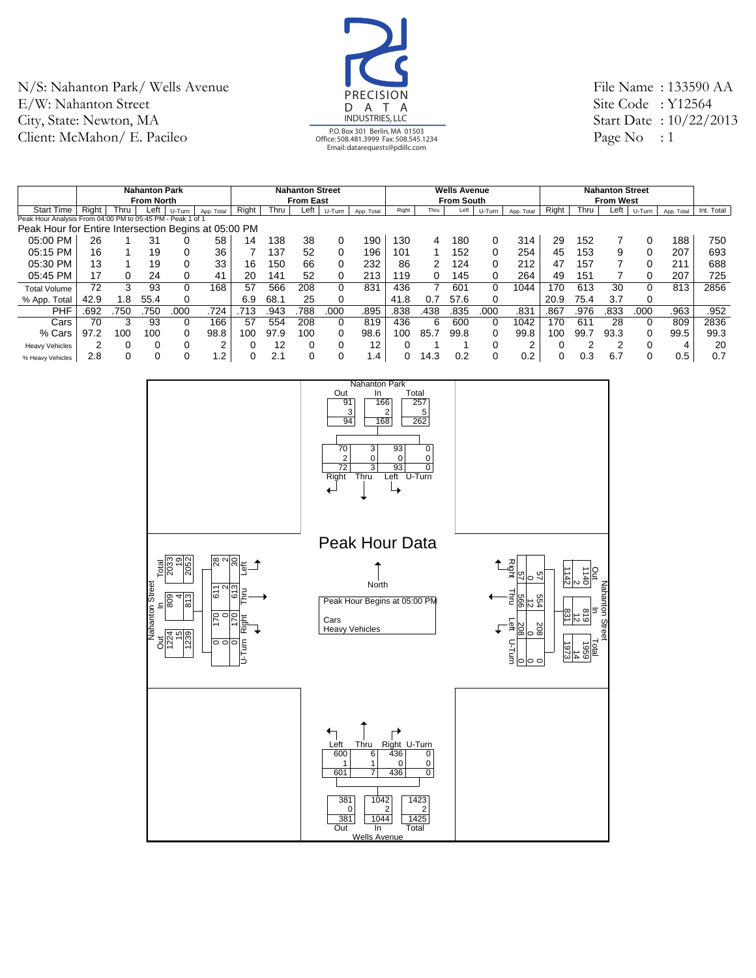![](_page_21_Picture_1.jpeg)

File Name : 133590 AA Site Code : Y12564 Start Date : 10/22/2013 Page No : 1

|                                                      |       |       | <b>Nahanton Park</b> |               |                |       |      | <b>Nahanton Street</b> |        |            |       |      | <b>Wells Avenue</b> |        |            |       |      | <b>Nahanton Street</b> |          |            |            |
|------------------------------------------------------|-------|-------|----------------------|---------------|----------------|-------|------|------------------------|--------|------------|-------|------|---------------------|--------|------------|-------|------|------------------------|----------|------------|------------|
|                                                      |       |       | <b>From North</b>    |               |                |       |      | <b>From East</b>       |        |            |       |      | <b>From South</b>   |        |            |       |      | <b>From West</b>       |          |            |            |
| Start Time                                           | Right | Thru. | Left                 | U-Turn        | App. Total     | Right | Thru | Left                   | U-Turn | App. Total | Right | Thru | Left                | U-Turn | App. Total | Right | Thru | Left                   | U-Turn   | App. Total | Int. Total |
| Peak Hour Analysis From 04:00 PM to 05:45 PM         |       |       |                      | - Peak 1 of 1 |                |       |      |                        |        |            |       |      |                     |        |            |       |      |                        |          |            |            |
| Peak Hour for Entire Intersection Begins at 05:00 PM |       |       |                      |               |                |       |      |                        |        |            |       |      |                     |        |            |       |      |                        |          |            |            |
| 05:00 PM                                             | 26    |       | 31                   |               | 58             | 14    | 138  | 38                     | 0      | 190        | 130   | 4    | 180                 | 0      | 314        | 29    | 152  |                        | -0       | 188        | 750        |
| 05:15 PM                                             | 16    |       | 19                   |               | 36             |       | 37ء  | 52                     | 0      | 196        | 101   |      | 152                 | 0      | 254        | 45    | 153  | 9                      |          | 207        | 693        |
| 05:30 PM                                             | 13    |       | 19                   |               | 33             | 16    | 150  | 66                     | 0      | 232        | 86    | 2    | 124                 | 0      | 212        | 47    | 157  |                        |          | 211        | 688        |
| 05:45 PM                                             | 17    |       | 24                   |               | 41             | 20    | 141  | 52                     | 0      | 213        | 119   | 0    | 145                 | 0      | 264        | 49    | 151  |                        | 0        | 207        | 725        |
| <b>Total Volume</b>                                  | 72    | 3     | 93                   |               | 168            | 57    | 566  | 208                    | 0      | 831        | 436   | 7    | 601                 | 0      | 1044       | 170   | 613  | 30                     | $\Omega$ | 813        | 2856       |
| % App. Total                                         | 42.9  | .8    | 55.4                 | 0             |                | 6.9   | 68.1 | 25                     | 0      |            | 41.8  | 0.7  | 57.6                | 0      |            | 20.9  | 75.4 | 3.7                    | $\Omega$ |            |            |
| <b>PHF</b>                                           | .692  | 750   | 750                  | .000          | .724           | .713  | .943 | 788                    | .000   | .895       | .838  | .438 | .835                | .000   | .831       | .867  | .976 | .833                   | .000     | .963       | .952       |
| Cars                                                 | 70    |       | 93                   |               | 166            | 57    | 554  | 208                    | 0      | 819        | 436   | 6    | 600                 | 0      | 1042       | 170   | 611  | 28                     | $\Omega$ | 809        | 2836       |
| % Cars                                               | 97.2  | 100   | 100                  |               | 98.8           | 100   | 97.9 | 100                    | 0      | 98.6       | 100   | 85.7 | 99.8                | 0      | 99.8       | 100   | 99   | 93.3                   | 0        | 99.5       | 99.3       |
| <b>Heavy Vehicles</b>                                | 2     |       |                      |               | C              |       | 12   | 0                      |        | 12         |       |      |                     | 0      | ⌒          |       | ◠    | c                      |          |            | 20         |
| % Heavy Vehicles                                     | 2.8   |       |                      |               | $\overline{2}$ |       | 2.1  |                        |        | $\cdot$ 4  | 0     | 14.3 | 0.2                 | 0      | 0.2        |       | 0.3  | 6.7                    |          | 0.5        | 0.7        |

![](_page_21_Figure_4.jpeg)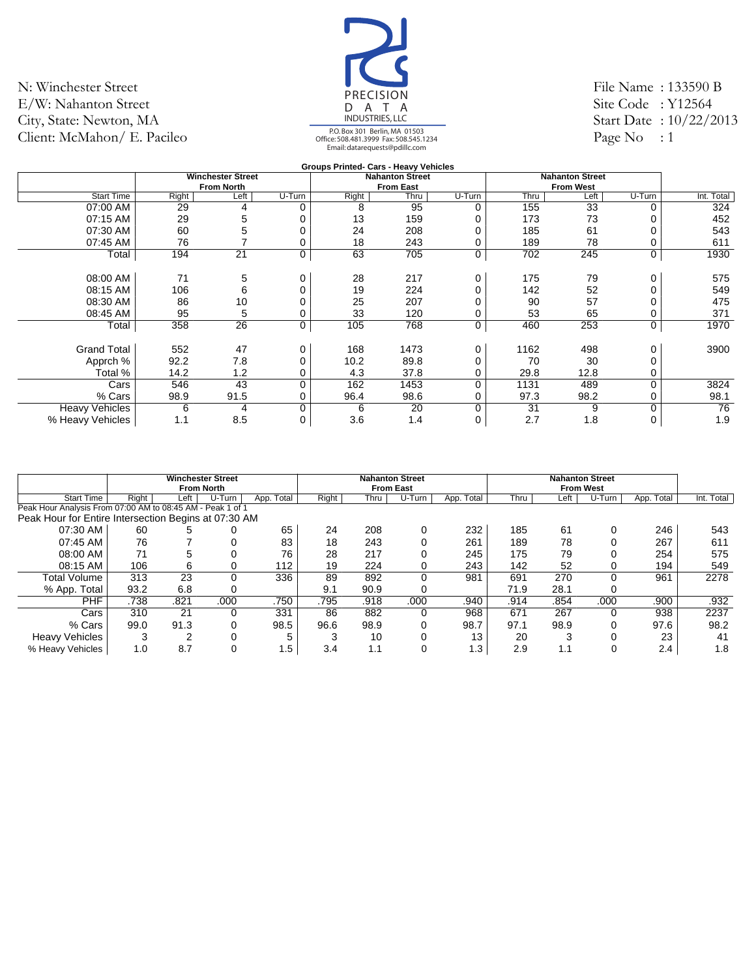![](_page_22_Picture_1.jpeg)

File Name : 133590 B Site Code: Y12564 Start Date : 10/22/2013 Page No : 1

#### **Groups Printed- Cars - Heavy Vehicles Winchester Street From North Nahanton Street From East Nahanton Street From West** Start Time | Right | Left | U-Turn | Right | Thru | U-Turn | Thru | Left | U-Turn | Int. Total 07:00 AM | 29 4 0 | 8 95 0 | 155 33 0 | 324 07:15 AM | 29 5 0 | 13 159 0 | 173 73 0 | 452 07:30 AM | 60 5 0 | 24 208 0 | 185 61 0 | 543 07:45 AM | 76 7 0 | 18 243 0 | 189 78 0 | 611 Total 194 21 0 63 705 0 702 245 0 1930 08:00 AM | 71 5 0 | 28 217 0 | 175 79 0 | 575 08:15 AM | 106 6 0 | 19 224 0 | 142 52 0 | 549 08:30 AM 86 10 0 25 207 0 90 57 0 475 08:45 AM | 95 5 0 | 33 120 0 | 53 65 0 | 371 Total 358 26 0 | 105 768 0 | 460 253 0 | 1970 Grand Total 552 47 0 168 1473 0 1162 498 0 3900 Apprch % | 92.2 7.8 0 | 10.2 89.8 0 | 70 30 0 Total % | 14.2 1.2 0 | 4.3 37.8 0 | 29.8 12.8 0 Cars 546 43 0 162 1453 0 1131 489 0 3824 % Cars | 98.9 91.5 0 | 96.4 98.6 0 | 97.3 98.2 0 | 98.1 Heavy Vehicles 6 4 0 6 20 0 31 9 0 76 % Heavy Vehicles | 1.1 8.5 0 | 3.6 1.4 0 | 2.7 1.8 0 | 1.9

|                                                            |        | <b>Winchester Street</b><br><b>From North</b> |        |               |       |      | <b>Nahanton Street</b><br><b>From East</b> |               |      |      | <b>Nahanton Street</b><br><b>From West</b> |               |            |
|------------------------------------------------------------|--------|-----------------------------------------------|--------|---------------|-------|------|--------------------------------------------|---------------|------|------|--------------------------------------------|---------------|------------|
| <b>Start Time</b>                                          | Right  | Left                                          | U-Turn | Total<br>App. | Right | Thru | U-Turn                                     | Total<br>App. | Thru | Left | U-Turn                                     | Total<br>App. | Int. Total |
| Peak Hour Analysis From 07:00 AM to 08:45 AM - Peak 1 of 1 |        |                                               |        |               |       |      |                                            |               |      |      |                                            |               |            |
| Peak Hour for Entire Intersection Begins at 07:30 AM       |        |                                               |        |               |       |      |                                            |               |      |      |                                            |               |            |
| 07:30 AM                                                   | 60     |                                               |        | 65            | 24    | 208  |                                            | 232           | 185  | 61   | 0                                          | 246           | 543        |
| 07:45 AM                                                   | 76     |                                               |        | 83            | 18    | 243  |                                            | 261           | 189  | 78   |                                            | 267           | 611        |
| 08:00 AM                                                   | 71     | 5                                             |        | 76            | 28    | 217  |                                            | 245           | 175  | 79   |                                            | 254           | 575        |
| 08:15 AM                                                   | 106    | 6                                             | 0      | 112           | 19    | 224  |                                            | 243           | 142  | 52   |                                            | 194           | 549        |
| Total Volume                                               | 313    | 23                                            | 0      | 336           | 89    | 892  |                                            | 981           | 691  | 270  | 0                                          | 961           | 2278       |
| % App. Total                                               | 93.2   | 6.8                                           | 0      |               | 9.1   | 90.9 |                                            |               | 71.9 | 28.1 | 0                                          |               |            |
| <b>PHF</b>                                                 | .738   | .821                                          | .000   | .750          | .795  | .918 | .000                                       | .940          | .914 | .854 | .000                                       | .900          | .932       |
| Cars                                                       | 310    | 21                                            | 0      | 331           | 86    | 882  |                                            | 968           | 671  | 267  |                                            | 938           | 2237       |
| % Cars                                                     | 99.0   | 91.3                                          | 0      | 98.5          | 96.6  | 98.9 |                                            | 98.7          | 97.1 | 98.9 |                                            | 97.6          | 98.2       |
| <b>Heavy Vehicles</b>                                      | $\sim$ | ົ                                             | 0      | 5             | 3     | 10   |                                            | 13            | 20   | 3    |                                            | 23            | 41         |
| % Heavy Vehicles                                           | 1.0    | 8.7                                           | 0      | 1.5           | 3.4   | 1.1  |                                            | .3            | 2.9  | 1.1  |                                            | 2.4           | 1.8        |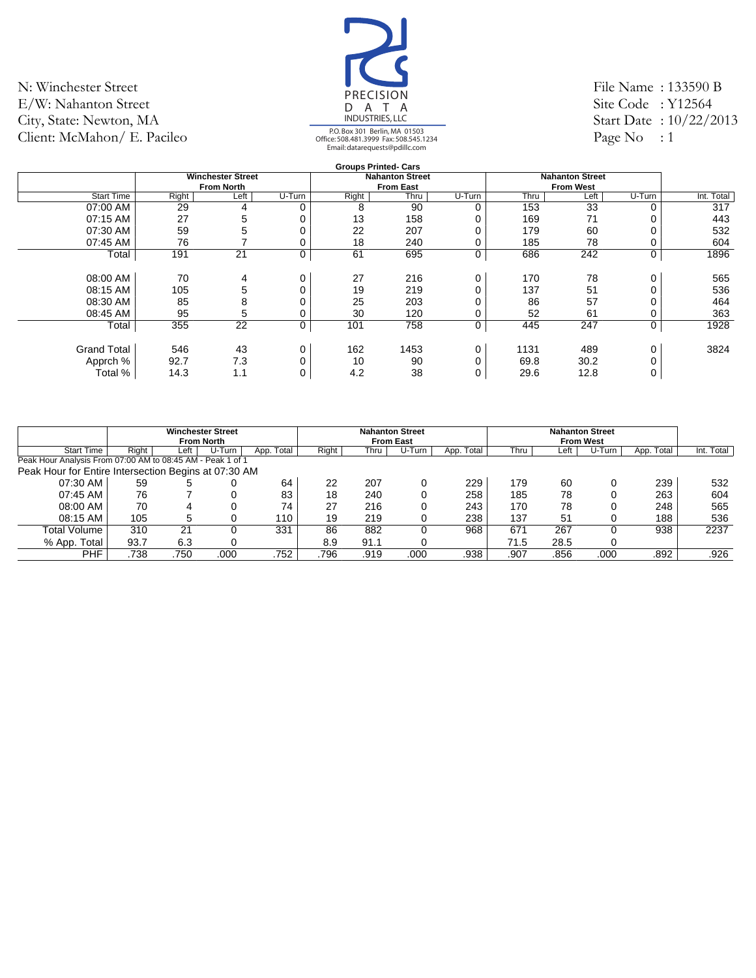![](_page_23_Picture_1.jpeg)

File Name : 133590 B Site Code: Y12564 Start Date : 10/22/2013 Page No : 1

|                    |       |                          |        |       | <b>Groups Printed- Cars</b> |        |      |                        |        |            |
|--------------------|-------|--------------------------|--------|-------|-----------------------------|--------|------|------------------------|--------|------------|
|                    |       | <b>Winchester Street</b> |        |       | <b>Nahanton Street</b>      |        |      | <b>Nahanton Street</b> |        |            |
|                    |       | <b>From North</b>        |        |       | <b>From East</b>            |        |      | <b>From West</b>       |        |            |
| <b>Start Time</b>  | Right | Left                     | U-Turn | Right | Thru                        | U-Turn | Thru | Left                   | U-Turn | Int. Total |
| 07:00 AM           | 29    | 4                        | 0      | 8     | 90                          | 0      | 153  | 33                     | ∩      | 317        |
| 07:15 AM           | 27    | 5                        | 0      | 13    | 158                         | 0      | 169  | 71                     |        | 443        |
| 07:30 AM           | 59    | 5                        |        | 22    | 207                         | 0      | 179  | 60                     |        | 532        |
| 07:45 AM           | 76    |                          |        | 18    | 240                         | 0      | 185  | 78                     |        | 604        |
| Total              | 191   | 21                       | 0      | 61    | 695                         | 0      | 686  | 242                    | 0      | 1896       |
|                    |       |                          |        |       |                             |        |      |                        |        |            |
| 08:00 AM           | 70    | 4                        | 0      | 27    | 216                         | 0      | 170  | 78                     | 0      | 565        |
| 08:15 AM           | 105   | 5                        |        | 19    | 219                         | 0      | 137  | 51                     |        | 536        |
| 08:30 AM           | 85    | 8                        |        | 25    | 203                         | 0      | 86   | 57                     |        | 464        |
| 08:45 AM           | 95    | 5                        |        | 30    | 120                         | 0      | 52   | 61                     |        | 363        |
| Total              | 355   | 22                       | 0      | 101   | 758                         | 0      | 445  | 247                    | 0      | 1928       |
|                    |       |                          |        |       |                             |        |      |                        |        |            |
| <b>Grand Total</b> | 546   | 43                       | 0      | 162   | 1453                        | 0      | 1131 | 489                    | 0      | 3824       |
| Apprch %           | 92.7  | 7.3                      |        | 10    | 90                          | 0      | 69.8 | 30.2                   |        |            |
| Total %            | 14.3  | 1.1                      | 0      | 4.2   | 38                          | 0      | 29.6 | 12.8                   |        |            |
|                    |       |                          |        |       |                             |        |      |                        |        |            |

|                                                            |       |      | <b>Winchester Street</b><br><b>From North</b> |            |       |      | <b>Nahanton Street</b><br><b>From East</b> |            |      |      | <b>Nahanton Street</b><br><b>From West</b> |            |            |
|------------------------------------------------------------|-------|------|-----------------------------------------------|------------|-------|------|--------------------------------------------|------------|------|------|--------------------------------------------|------------|------------|
| <b>Start Time</b>                                          | Right | Left | U-Turn                                        | App. Total | Right | Thru | U-Turn                                     | App. Total | Thru | ∟eft | U-Turn                                     | App. Total | Int. Total |
| Peak Hour Analysis From 07:00 AM to 08:45 AM - Peak 1 of 1 |       |      |                                               |            |       |      |                                            |            |      |      |                                            |            |            |
| Peak Hour for Entire Intersection Begins at 07:30 AM       |       |      |                                               |            |       |      |                                            |            |      |      |                                            |            |            |
| 07:30 AM                                                   | 59    |      |                                               | 64         | 22    | 207  |                                            | 229        | 179  | 60   |                                            | 239        | 532        |
| 07:45 AM                                                   | 76    |      |                                               | 83         | 18    | 240  |                                            | 258        | 185  | 78   |                                            | 263        | 604        |
| 08:00 AM                                                   | 70    |      |                                               | 74         | 27    | 216  |                                            | 243        | 170  | 78   |                                            | 248        | 565        |
| 08:15 AM                                                   | 105   |      |                                               | 110        | 19    | 219  |                                            | 238        | 137  | 51   |                                            | 188        | 536        |
| Total Volume                                               | 310   | 21   |                                               | 331        | 86    | 882  |                                            | 968        | 671  | 267  |                                            | 938        | 2237       |
| $%$ App.<br>Total                                          | 93.7  | 6.3  |                                               |            | 8.9   | 91.1 |                                            |            | 71.5 | 28.5 |                                            |            |            |
| <b>PHF</b>                                                 | .738  | .750 | .000                                          | .752       | .796  | .919 | .000                                       | .938       | .907 | .856 | .000                                       | .892       | .926       |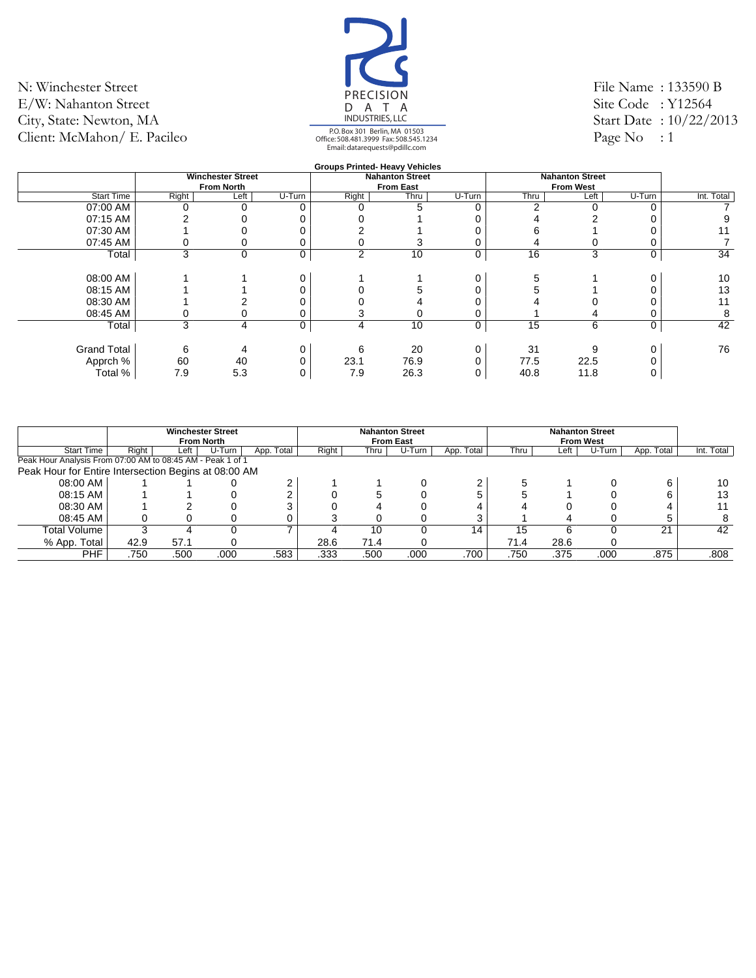![](_page_24_Picture_1.jpeg)

File Name : 133590 B Site Code: Y12564 Start Date : 10/22/2013 Page No : 1

|                    |       |                          |        |                | <b>Groups Printed- Heavy Vehicles</b> |        |      |                        |        |            |
|--------------------|-------|--------------------------|--------|----------------|---------------------------------------|--------|------|------------------------|--------|------------|
|                    |       | <b>Winchester Street</b> |        |                | <b>Nahanton Street</b>                |        |      | <b>Nahanton Street</b> |        |            |
|                    |       | <b>From North</b>        |        |                | <b>From East</b>                      |        |      | <b>From West</b>       |        |            |
| <b>Start Time</b>  | Right | Left                     | U-Turn | Right          | Thru                                  | U-Turn | Thru | Left                   | U-Turn | Int. Total |
| 07:00 AM           |       |                          |        |                | 5                                     |        | C    |                        |        |            |
| 07:15 AM           |       |                          |        |                |                                       |        |      |                        |        |            |
| 07:30 AM           |       |                          |        |                |                                       |        | n    |                        |        |            |
| 07:45 AM           |       |                          |        |                |                                       |        | 4    |                        |        |            |
| Total              | 3     | $\mathbf 0$              | 0      | $\overline{2}$ | 10                                    | 0      | 16   | 3                      | 0      | 34         |
|                    |       |                          |        |                |                                       |        |      |                        |        |            |
| 08:00 AM           |       |                          | 0      |                |                                       |        |      |                        |        | 10         |
| 08:15 AM           |       |                          |        |                |                                       |        |      |                        |        | 13         |
| 08:30 AM           |       |                          |        |                |                                       |        |      |                        |        | 11         |
| 08:45 AM           |       |                          |        |                |                                       |        |      |                        |        | 8          |
| Total              | 3     | 4                        | 0      | 4              | 10                                    | 0      | 15   | 6                      | 0      | 42         |
|                    |       |                          |        |                |                                       |        |      |                        |        |            |
| <b>Grand Total</b> | 6     |                          |        | 6              | 20                                    | 0      | 31   | 9                      | 0      | 76         |
| Apprch %           | 60    | 40                       |        | 23.1           | 76.9                                  |        | 77.5 | 22.5                   |        |            |
| Total %            | 7.9   | 5.3                      |        | 7.9            | 26.3                                  |        | 40.8 | 11.8                   |        |            |
|                    |       |                          |        |                |                                       |        |      |                        |        |            |

|                                                            |       |      | <b>Winchester Street</b><br><b>From North</b> |            |       |      | <b>Nahanton Street</b><br><b>From East</b> |            |      |      | <b>Nahanton Street</b><br><b>From West</b> |            |            |
|------------------------------------------------------------|-------|------|-----------------------------------------------|------------|-------|------|--------------------------------------------|------------|------|------|--------------------------------------------|------------|------------|
| <b>Start Time</b>                                          | Right | Left | U-Turn                                        | App. Total | Right | Thru | U-Turn                                     | App. Total | Thru | Left | U-Turn                                     | App. Total | Int. Total |
| Peak Hour Analysis From 07:00 AM to 08:45 AM - Peak 1 of 1 |       |      |                                               |            |       |      |                                            |            |      |      |                                            |            |            |
| Peak Hour for Entire Intersection Begins at 08:00 AM       |       |      |                                               |            |       |      |                                            |            |      |      |                                            |            |            |
| 08:00 AM                                                   |       |      |                                               | ົ          |       |      |                                            |            |      |      |                                            |            | 10         |
| 08:15 AM                                                   |       |      |                                               |            |       |      |                                            |            |      |      |                                            |            | 13         |
| 08:30 AM                                                   |       |      |                                               |            |       |      |                                            |            |      |      |                                            |            |            |
| 08:45 AM                                                   |       |      |                                               |            |       |      |                                            | ⌒          |      |      |                                            |            | 8          |
| Total Volume                                               |       |      |                                               |            |       | 10   |                                            | 14         | 15   | ี    |                                            | 21         | 42         |
| % App. Total                                               | 42.9  | 57.1 |                                               |            | 28.6  | 71.4 |                                            |            | 71.4 | 28.6 |                                            |            |            |
| PHF                                                        | .750  | .500 | .000                                          | .583       | .333  | .500 | .000                                       | .700       | .750 | .375 | .000                                       | .875       | .808       |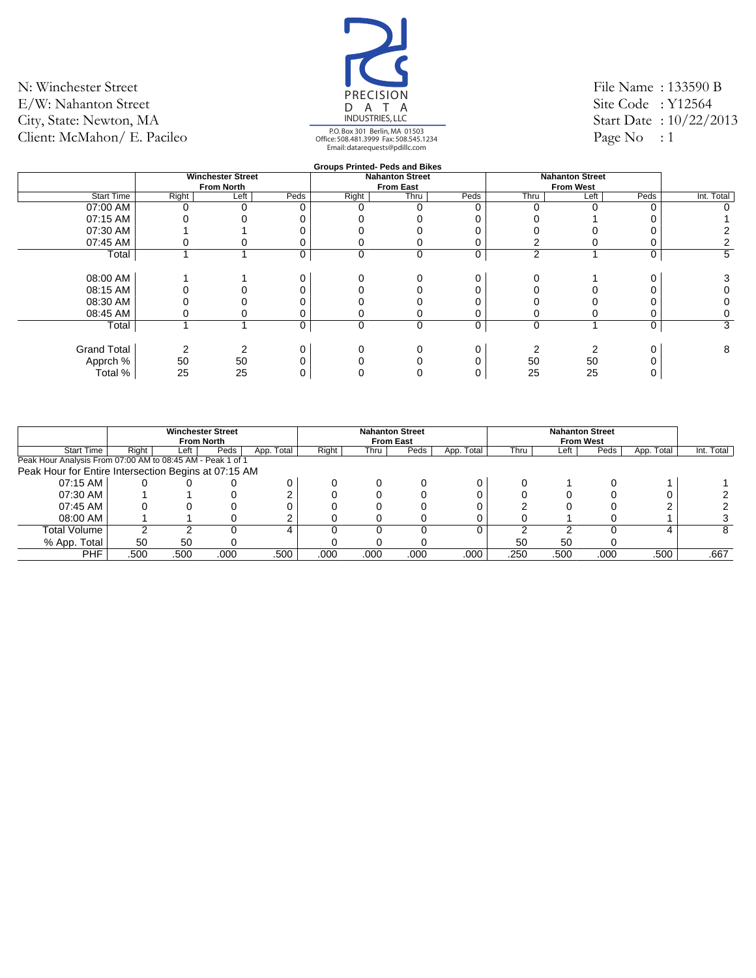![](_page_25_Picture_1.jpeg)

File Name : 133590 B Site Code: Y12564 Start Date : 10/22/2013 Page No : 1

|                    |       |                          |      |          | <b>Groups Printed- Peds and Bikes</b> |      |      |                        |      |            |
|--------------------|-------|--------------------------|------|----------|---------------------------------------|------|------|------------------------|------|------------|
|                    |       | <b>Winchester Street</b> |      |          | <b>Nahanton Street</b>                |      |      | <b>Nahanton Street</b> |      |            |
|                    |       | <b>From North</b>        |      |          | <b>From East</b>                      |      |      | <b>From West</b>       |      |            |
| <b>Start Time</b>  | Right | Left                     | Peds | Right    | Thru                                  | Peds | Thru | Left                   | Peds | Int. Total |
| 07:00 AM           |       |                          |      |          |                                       |      |      |                        |      | 0          |
| 07:15 AM           |       |                          |      |          |                                       |      |      |                        |      |            |
| 07:30 AM           |       |                          |      |          |                                       |      |      |                        |      |            |
| 07:45 AM           |       |                          |      |          |                                       |      |      |                        |      |            |
| Total              |       |                          | 0    | 0        | 0                                     | 0    | 2    |                        | 0    | 5          |
|                    |       |                          |      |          |                                       |      |      |                        |      |            |
| 08:00 AM           |       |                          | 0    |          |                                       |      |      |                        |      | 3          |
| 08:15 AM           |       |                          |      |          |                                       |      |      |                        |      | Ω          |
| 08:30 AM           |       |                          |      |          |                                       |      |      |                        |      |            |
| 08:45 AM           |       |                          |      |          |                                       |      |      |                        |      | 0          |
| Total              |       |                          | 0    | $\Omega$ | $\mathbf 0$                           | 0    | 0    |                        | 0    | 3          |
|                    |       |                          |      |          |                                       |      |      |                        |      |            |
| <b>Grand Total</b> |       |                          | 0    |          |                                       |      |      |                        |      | 8          |
| Apprch %           | 50    | 50                       |      |          |                                       |      | 50   | 50                     |      |            |
| Total %            | 25    | 25                       |      |          |                                       |      | 25   | 25                     |      |            |
|                    |       |                          |      |          |                                       |      |      |                        |      |            |

|                                                            |       | <b>Winchester Street</b><br><b>From North</b> |      |            |       |      | <b>Nahanton Street</b><br><b>From East</b> |            |      |      | <b>Nahanton Street</b><br><b>From West</b> |                   |            |
|------------------------------------------------------------|-------|-----------------------------------------------|------|------------|-------|------|--------------------------------------------|------------|------|------|--------------------------------------------|-------------------|------------|
| <b>Start Time</b>                                          | Right | Left                                          | Peds | App. Total | Right | Thru | Peds                                       | App. Total | Thru | Left | Peds                                       | App. Total        | Int. Total |
| Peak Hour Analysis From 07:00 AM to 08:45 AM - Peak 1 of 1 |       |                                               |      |            |       |      |                                            |            |      |      |                                            |                   |            |
| Peak Hour for Entire Intersection Begins at 07:15 AM       |       |                                               |      |            |       |      |                                            |            |      |      |                                            |                   |            |
| 07:15 AM                                                   |       |                                               |      |            |       |      |                                            |            |      |      |                                            |                   |            |
| 07:30 AM                                                   |       |                                               |      |            |       |      |                                            |            |      |      |                                            |                   |            |
| 07:45 AM                                                   |       |                                               |      |            |       |      |                                            |            |      |      |                                            |                   |            |
| 08:00 AM                                                   |       |                                               |      |            |       |      |                                            |            |      |      |                                            |                   |            |
| Total Volume                                               |       |                                               |      | 4          |       |      |                                            |            |      |      |                                            |                   | 8          |
| % App. Total                                               | 50    | 50                                            |      |            |       |      |                                            |            | 50   | 50   |                                            |                   |            |
| <b>PHF</b>                                                 | .500  | .500                                          | .000 | .500       | .000  | .000 | .000                                       | .000       | .250 | .500 | .000                                       | .500 <sup>2</sup> | .667       |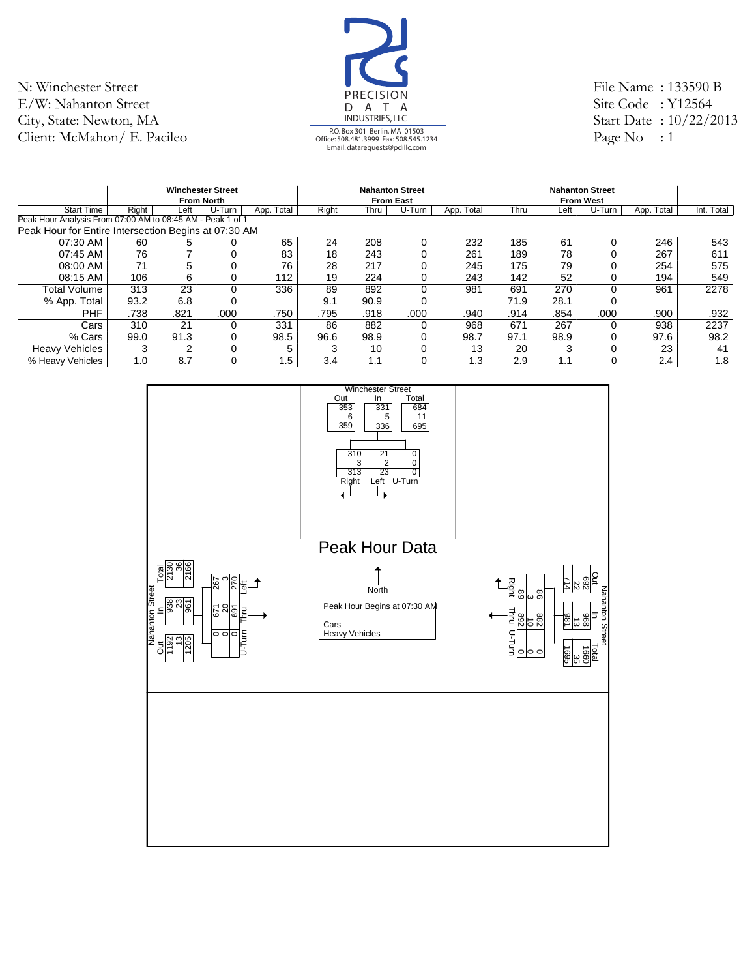![](_page_26_Picture_1.jpeg)

File Name : 133590 B Site Code: Y12564 Start Date : 10/22/2013 Page No : 1

|                                                            |       |                   | <b>Winchester Street</b> |            |       |      | <b>Nahanton Street</b> |            |      |      | <b>Nahanton Street</b> |            |            |
|------------------------------------------------------------|-------|-------------------|--------------------------|------------|-------|------|------------------------|------------|------|------|------------------------|------------|------------|
|                                                            |       | <b>From North</b> |                          |            |       |      | <b>From East</b>       |            |      |      | <b>From West</b>       |            |            |
| <b>Start Time</b>                                          | Right | Left              | U-Turn                   | App. Total | Right | Thru | U-Turn                 | App. Total | Thru | Left | U-Turn                 | App. Total | Int. Total |
| Peak Hour Analysis From 07:00 AM to 08:45 AM - Peak 1 of 1 |       |                   |                          |            |       |      |                        |            |      |      |                        |            |            |
| Peak Hour for Entire Intersection Begins at 07:30 AM       |       |                   |                          |            |       |      |                        |            |      |      |                        |            |            |
| 07:30 AM                                                   | 60    |                   | 0                        | 65         | 24    | 208  | 0                      | 232        | 185  | 61   |                        | 246        | 543        |
| 07:45 AM                                                   | 76    |                   | 0                        | 83         | 18    | 243  | 0                      | 261        | 189  | 78   |                        | 267        | 611        |
| 08:00 AM                                                   | 71    |                   | $\Omega$                 | 76         | 28    | 217  |                        | 245        | 175  | 79   |                        | 254        | 575        |
| 08:15 AM                                                   | 106   | 6                 | 0                        | 112        | 19    | 224  | 0                      | 243        | 142  | 52   |                        | 194        | 549        |
| Total Volume                                               | 313   | 23                | $\Omega$                 | 336        | 89    | 892  | 0                      | 981        | 691  | 270  | 0                      | 961        | 2278       |
| % App. Total                                               | 93.2  | 6.8               | 0                        |            | 9.1   | 90.9 | 0                      |            | 71.9 | 28.1 |                        |            |            |
| <b>PHF</b>                                                 | .738  | .821              | .000                     | .750       | .795  | .918 | .000                   | .940       | .914 | .854 | .000                   | .900       | .932       |
| Cars                                                       | 310   | 21                | 0                        | 331        | 86    | 882  | 0                      | 968        | 671  | 267  |                        | 938        | 2237       |
| % Cars                                                     | 99.0  | 91.3              | 0                        | 98.5       | 96.6  | 98.9 | 0                      | 98.7       | 97.1 | 98.9 |                        | 97.6       | 98.2       |
| <b>Heavy Vehicles</b>                                      | 3     |                   | $\Omega$                 | 5          | 3     | 10   |                        | 13         | 20   | 3    |                        | 23         | 41         |
| % Heavy Vehicles                                           | 1.0   | 8.7               | $\Omega$                 | 1.5        | 3.4   | 1.1  | 0                      | 1.3        | 2.9  | 1.1  |                        | 2.4        | 1.8        |

![](_page_26_Figure_4.jpeg)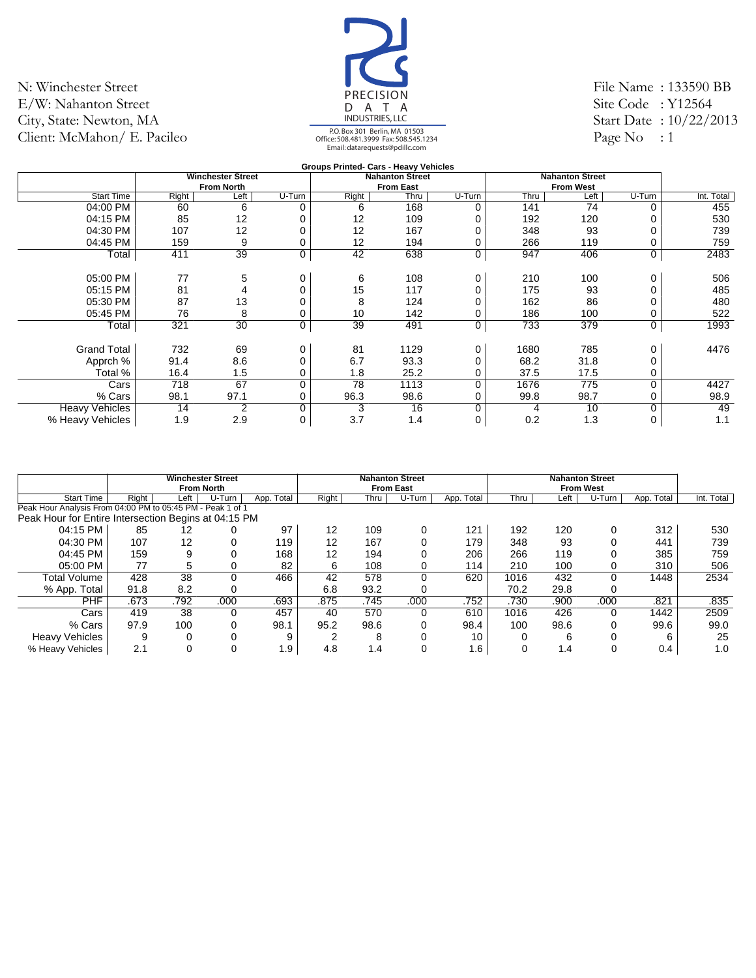![](_page_27_Picture_1.jpeg)

File Name : 133590 BB Site Code : Y12564 Start Date : 10/22/2013 Page No  $: 1$ 

|                       |       |                          |        |       | Groups Printed- Cars - Heavy Vehicles |        |      |                        |        |            |
|-----------------------|-------|--------------------------|--------|-------|---------------------------------------|--------|------|------------------------|--------|------------|
|                       |       | <b>Winchester Street</b> |        |       | <b>Nahanton Street</b>                |        |      | <b>Nahanton Street</b> |        |            |
|                       |       | <b>From North</b>        |        |       | <b>From East</b>                      |        |      | <b>From West</b>       |        |            |
| <b>Start Time</b>     | Right | Left                     | U-Turn | Right | Thru                                  | U-Turn | Thru | Left                   | U-Turn | Int. Total |
| 04:00 PM              | 60    | 6                        | 0      | 6     | 168                                   |        | 141  | 74                     | 0      | 455        |
| 04:15 PM              | 85    | 12                       |        | 12    | 109                                   |        | 192  | 120                    |        | 530        |
| 04:30 PM              | 107   | 12                       |        | 12    | 167                                   |        | 348  | 93                     |        | 739        |
| 04:45 PM              | 159   | 9                        | 0      | 12    | 194                                   |        | 266  | 119                    | 0      | 759        |
| Total                 | 411   | 39                       | 0      | 42    | 638                                   | 0      | 947  | 406                    | 0      | 2483       |
| 05:00 PM              | 77    | 5                        | 0      | 6     | 108                                   |        | 210  | 100                    | 0      | 506        |
| 05:15 PM              | 81    |                          | 0      | 15    | 117                                   |        | 175  | 93                     | 0      | 485        |
| 05:30 PM              | 87    | 13                       |        | 8     | 124                                   |        | 162  | 86                     |        | 480        |
| 05:45 PM              | 76    | 8                        | 0      | 10    | 142                                   |        | 186  | 100                    | 0      | 522        |
| Total                 | 321   | 30                       | 0      | 39    | 491                                   | 0      | 733  | 379                    | 0      | 1993       |
| <b>Grand Total</b>    | 732   | 69                       | 0      | 81    | 1129                                  |        | 1680 | 785                    | 0      | 4476       |
| Apprch %              | 91.4  | 8.6                      | 0      | 6.7   | 93.3                                  |        | 68.2 | 31.8                   | 0      |            |
| Total %               | 16.4  | 1.5                      | 0      | 1.8   | 25.2                                  |        | 37.5 | 17.5                   | 0      |            |
| Cars                  | 718   | 67                       | 0      | 78    | 1113                                  | 0      | 1676 | 775                    | 0      | 4427       |
| % Cars                | 98.1  | 97.1                     | 0      | 96.3  | 98.6                                  |        | 99.8 | 98.7                   | 0      | 98.9       |
| <b>Heavy Vehicles</b> | 14    | 2                        | 0      | 3     | 16                                    | ი      | 4    | 10                     | 0      | 49         |
| % Heavy Vehicles      | 1.9   | 2.9                      | 0      | 3.7   | 1.4                                   | 0      | 0.2  | 1.3                    | 0      | 1.1        |

|                                                            |       |      | <b>Winchester Street</b> |            |       |      | <b>Nahanton Street</b> |            |      |      | <b>Nahanton Street</b> |            |            |
|------------------------------------------------------------|-------|------|--------------------------|------------|-------|------|------------------------|------------|------|------|------------------------|------------|------------|
|                                                            |       |      | <b>From North</b>        |            |       |      | <b>From East</b>       |            |      |      | <b>From West</b>       |            |            |
| <b>Start Time</b>                                          | Right | Left | U-Turn                   | App. Total | Right | Thru | U-Turn                 | App. Total | Thru | Left | U-Turn                 | App. Total | Int. Total |
| Peak Hour Analysis From 04:00 PM to 05:45 PM - Peak 1 of 1 |       |      |                          |            |       |      |                        |            |      |      |                        |            |            |
| Peak Hour for Entire Intersection Begins at 04:15 PM       |       |      |                          |            |       |      |                        |            |      |      |                        |            |            |
| 04:15 PM                                                   | 85    | 12   | 0                        | 97         | 12    | 109  |                        | 121        | 192  | 120  | 0                      | 312        | 530        |
| 04:30 PM                                                   | 107   | 12   |                          | 119        | 12    | 167  |                        | 179        | 348  | 93   |                        | 441        | 739        |
| 04:45 PM                                                   | 159   | 9    |                          | 168        | 12    | 194  |                        | 206        | 266  | 119  |                        | 385        | 759        |
| 05:00 PM                                                   | 77    | 5    | 0                        | 82         | 6     | 108  |                        | 114        | 210  | 100  |                        | 310        | 506        |
| Total Volume                                               | 428   | 38   | 0                        | 466        | 42    | 578  |                        | 620        | 1016 | 432  | $\Omega$               | 1448       | 2534       |
| % App. Total                                               | 91.8  | 8.2  | 0                        |            | 6.8   | 93.2 |                        |            | 70.2 | 29.8 | 0                      |            |            |
| <b>PHF</b>                                                 | .673  | .792 | .000                     | .693       | .875  | .745 | .000                   | .752       | .730 | .900 | .000                   | .821       | .835       |
| Cars                                                       | 419   | 38   | 0                        | 457        | 40    | 570  |                        | 610        | 1016 | 426  | 0                      | 1442       | 2509       |
| % Cars                                                     | 97.9  | 100  | 0                        | 98.1       | 95.2  | 98.6 |                        | 98.4       | 100  | 98.6 | $\Omega$               | 99.6       | 99.0       |
| <b>Heavy Vehicles</b>                                      | 9     |      | 0                        | 9          | ົ     | 8    |                        | 10         |      | 6    |                        |            | 25         |
| % Heavy Vehicles                                           | 2.1   |      | 0                        | 1.9        | 4.8   | 1.4  |                        | 1.6        |      | 1.4  |                        | 0.4        | 1.0        |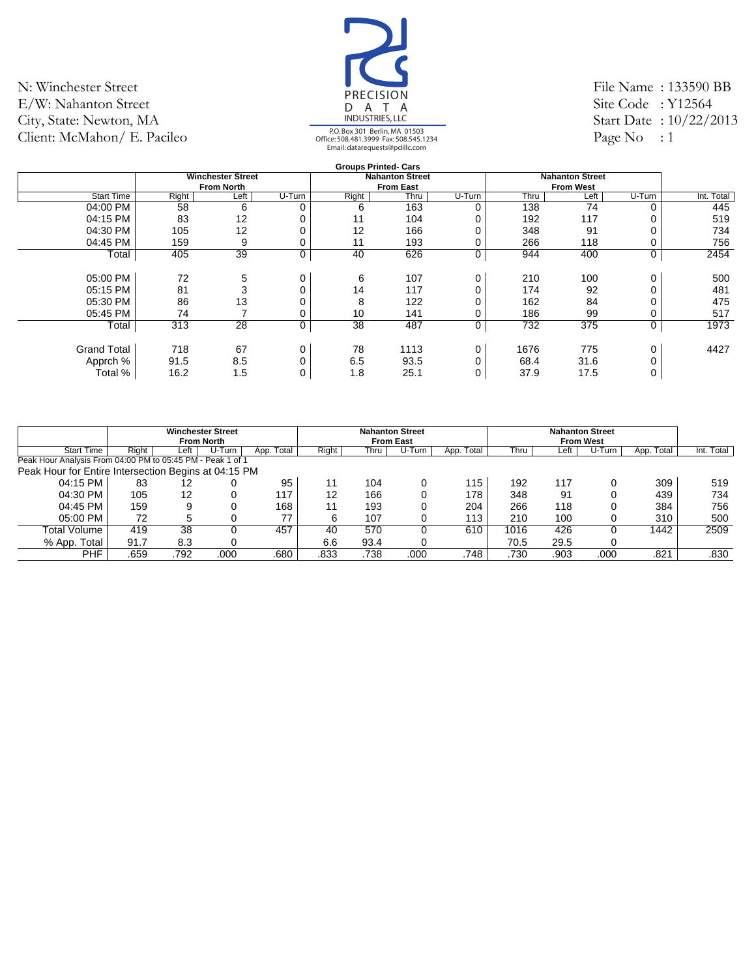![](_page_28_Picture_1.jpeg)

File Name : 133590 BB Site Code : Y12564 Start Date : 10/22/2013 Page No : 1

|                    |       |                          |        |       | <b>Groups Printed- Cars</b> |        |      |                        |             |            |
|--------------------|-------|--------------------------|--------|-------|-----------------------------|--------|------|------------------------|-------------|------------|
|                    |       | <b>Winchester Street</b> |        |       | <b>Nahanton Street</b>      |        |      | <b>Nahanton Street</b> |             |            |
|                    |       | <b>From North</b>        |        |       | <b>From East</b>            |        |      | <b>From West</b>       |             |            |
| <b>Start Time</b>  | Right | Left                     | U-Turn | Right | Thru                        | U-Turn | Thru | Left                   | U-Turn      | Int. Total |
| 04:00 PM           | 58    | 6                        | 0      | 6     | 163                         | 0      | 138  | 74                     | $\Omega$    | 445        |
| 04:15 PM           | 83    | $12 \overline{ }$        | 0      | 11    | 104                         |        | 192  | 117                    |             | 519        |
| 04:30 PM           | 105   | 12                       |        | 12    | 166                         |        | 348  | 91                     |             | 734        |
| 04:45 PM           | 159   | 9                        |        | 11    | 193                         |        | 266  | 118                    |             | 756        |
| Total              | 405   | 39                       | 0      | 40    | 626                         | 0      | 944  | 400                    | 0           | 2454       |
|                    |       |                          |        |       |                             |        |      |                        |             |            |
| 05:00 PM           | 72    | 5                        | 0      | 6     | 107                         | 0      | 210  | 100                    | $\Omega$    | 500        |
| 05:15 PM           | 81    | 3                        | 0      | 14    | 117                         | 0      | 174  | 92                     |             | 481        |
| 05:30 PM           | 86    | 13                       |        | 8     | 122                         |        | 162  | 84                     |             | 475        |
| 05:45 PM           | 74    |                          |        | 10    | 141                         |        | 186  | 99                     |             | 517        |
| Total              | 313   | 28                       | 0      | 38    | 487                         | 0      | 732  | 375                    | $\mathbf 0$ | 1973       |
|                    |       |                          |        |       |                             |        |      |                        |             |            |
| <b>Grand Total</b> | 718   | 67                       | 0      | 78    | 1113                        | 0      | 1676 | 775                    | 0           | 4427       |
| Apprch %           | 91.5  | 8.5                      | 0      | 6.5   | 93.5                        |        | 68.4 | 31.6                   |             |            |
| Total %            | 16.2  | 1.5                      | 0      | 1.8   | 25.1                        | 0      | 37.9 | 17.5                   | 0           |            |
|                    |       |                          |        |       |                             |        |      |                        |             |            |

|                                                            |       |                                                                                                                 | <b>Winchester Street</b><br><b>From North</b> |            |       |      | <b>Nahanton Street</b><br><b>From East</b> |            |      |      | <b>Nahanton Street</b><br><b>From West</b> |            |            |
|------------------------------------------------------------|-------|-----------------------------------------------------------------------------------------------------------------|-----------------------------------------------|------------|-------|------|--------------------------------------------|------------|------|------|--------------------------------------------|------------|------------|
| <b>Start Time</b>                                          | Right | Left                                                                                                            | U-Turn                                        | App. Total | Right | Thru | U-Turn                                     | App. Total | Thru | ∟eft | U-Turn                                     | App. Total | Int. Total |
| Peak Hour Analysis From 04:00 PM to 05:45 PM - Peak 1 of 1 |       |                                                                                                                 |                                               |            |       |      |                                            |            |      |      |                                            |            |            |
|                                                            |       | Peak Hour for Entire Intersection Begins at 04:15 PM<br>95<br>309<br>115<br>192<br>83<br>117<br>104<br>12<br>11 |                                               |            |       |      |                                            |            |      |      |                                            |            |            |
| 04:15 PM                                                   |       |                                                                                                                 |                                               |            |       |      |                                            |            |      |      |                                            |            | 519        |
| 04:30 PM                                                   | 105   | 12                                                                                                              |                                               | 117        | 12    | 166  |                                            | 178        | 348  | 91   |                                            | 439        | 734        |
| 04:45 PM                                                   | 159   | 9                                                                                                               |                                               | 168        | 11    | 193  |                                            | 204        | 266  | 118  |                                            | 384        | 756        |
| 05:00 PM                                                   | 72    |                                                                                                                 |                                               | 77         |       | 107  |                                            | 113        | 210  | 100  | 0                                          | 310        | 500        |
| Total Volume                                               | 419   | 38                                                                                                              |                                               | 457        | 40    | 570  |                                            | 610        | 1016 | 426  | 0                                          | 1442       | 2509       |
| % App. Total                                               | 91.7  | 8.3                                                                                                             |                                               |            | 6.6   | 93.4 |                                            |            | 70.5 | 29.5 | $\Omega$                                   |            |            |
| <b>PHF</b>                                                 | .659  | .792                                                                                                            | .000                                          | .680       | .833  | .738 | .000                                       | .748       | .730 | .903 | .000                                       | .821       | .830       |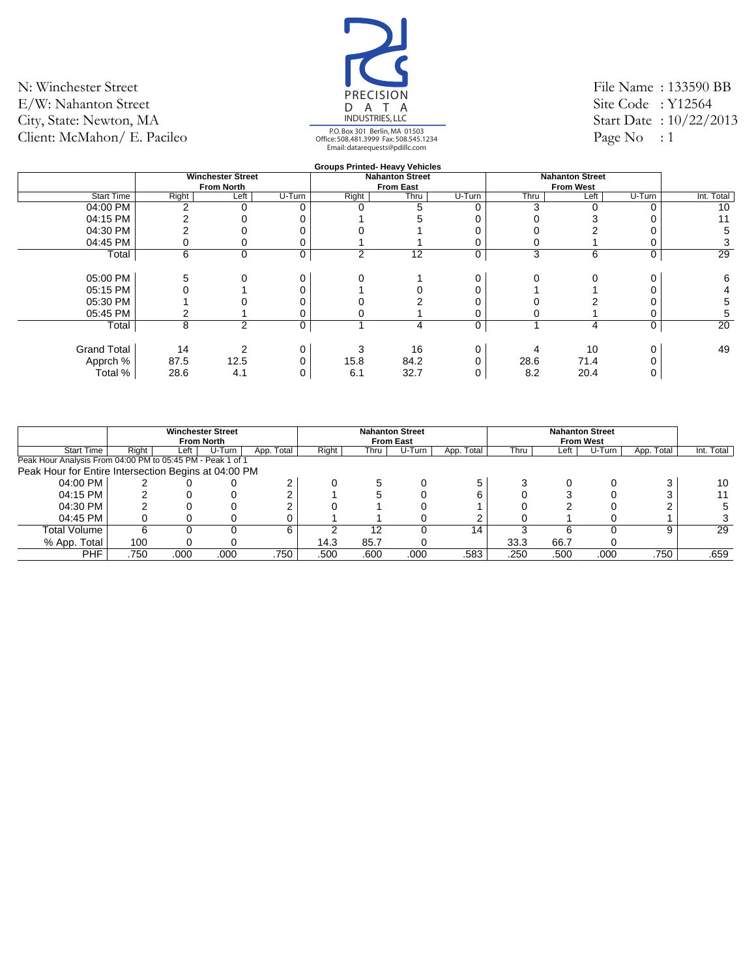![](_page_29_Picture_1.jpeg)

File Name : 133590 BB Site Code : Y12564 Start Date : 10/22/2013 Page No : 1

|                    |            |                          |        |       | <b>Groups Printed- Heavy Vehicles</b> |        |      |                        |        |            |
|--------------------|------------|--------------------------|--------|-------|---------------------------------------|--------|------|------------------------|--------|------------|
|                    |            | <b>Winchester Street</b> |        |       | <b>Nahanton Street</b>                |        |      | <b>Nahanton Street</b> |        |            |
|                    |            | <b>From North</b>        |        |       | <b>From East</b>                      |        |      | <b>From West</b>       |        |            |
| <b>Start Time</b>  | Right      | Left                     | U-Turn | Right | Thru                                  | U-Turn | Thru | Left                   | U-Turn | Int. Total |
| 04:00 PM           | $\sqrt{2}$ |                          | 0      |       | 5                                     |        | 3    |                        |        | 10         |
| 04:15 PM           |            |                          |        |       |                                       |        |      |                        |        | 11         |
| 04:30 PM           |            |                          |        |       |                                       |        |      |                        |        | 5          |
| 04:45 PM           |            |                          |        |       |                                       |        |      |                        |        | 3          |
| Total              | 6          | $\mathbf 0$              | 0      | 2     | 12                                    | 0      | 3    | 6                      | 0      | 29         |
|                    |            |                          |        |       |                                       |        |      |                        |        |            |
| 05:00 PM           |            |                          | 0      |       |                                       |        |      |                        |        | 6          |
| 05:15 PM           |            |                          |        |       |                                       |        |      |                        |        | 4          |
| 05:30 PM           |            |                          |        |       |                                       |        |      |                        |        | 5          |
| 05:45 PM           |            |                          |        |       |                                       |        |      |                        |        | 5          |
| Total              | 8          | $\mathcal{P}$            | 0      |       | 4                                     | 0      |      | 4                      | 0      | 20         |
|                    |            |                          |        |       |                                       |        |      |                        |        |            |
| <b>Grand Total</b> | 14         |                          | 0      |       | 16                                    |        |      | 10                     |        | 49         |
| Apprch %           | 87.5       | 12.5                     |        | 15.8  | 84.2                                  |        | 28.6 | 71.4                   |        |            |
| Total %            | 28.6       | 4.1                      |        | 6.1   | 32.7                                  |        | 8.2  | 20.4                   |        |            |
|                    |            |                          |        |       |                                       |        |      |                        |        |            |

|                                                            |       |      | <b>Winchester Street</b><br><b>From North</b> |            |       |      | <b>Nahanton Street</b><br><b>From East</b> |            |      |      | <b>Nahanton Street</b><br><b>From West</b> |            |            |
|------------------------------------------------------------|-------|------|-----------------------------------------------|------------|-------|------|--------------------------------------------|------------|------|------|--------------------------------------------|------------|------------|
| <b>Start Time</b>                                          | Right | Left | U-Turn                                        | App. Total | Right | Thru | U-Turn                                     | App. Total | Thru | Left | U-Turn                                     | App. Total | Int. Total |
| Peak Hour Analysis From 04:00 PM to 05:45 PM - Peak 1 of 1 |       |      |                                               |            |       |      |                                            |            |      |      |                                            |            |            |
| Peak Hour for Entire Intersection Begins at 04:00 PM       |       |      |                                               |            |       |      |                                            |            |      |      |                                            |            |            |
| 04:00 PM                                                   |       |      |                                               |            |       |      |                                            |            |      |      |                                            |            | 10         |
| 04:15 PM                                                   |       |      |                                               |            |       |      |                                            |            |      |      |                                            |            |            |
| 04:30 PM                                                   |       |      |                                               |            |       |      |                                            |            |      |      |                                            |            |            |
| 04:45 PM                                                   |       |      |                                               |            |       |      |                                            |            |      |      |                                            |            |            |
| Total Volume                                               |       |      |                                               | 6          |       | 12   |                                            | 14         |      | h    |                                            | 9          | 29         |
| % App. Total                                               | 100   |      |                                               |            | 14.3  | 85.7 |                                            |            | 33.3 | 66.7 |                                            |            |            |
| <b>PHF</b>                                                 | .750  | .000 | .000                                          | .750       | .500  | .600 | .000                                       | .583       | .250 | .500 | .000                                       | .750       | .659       |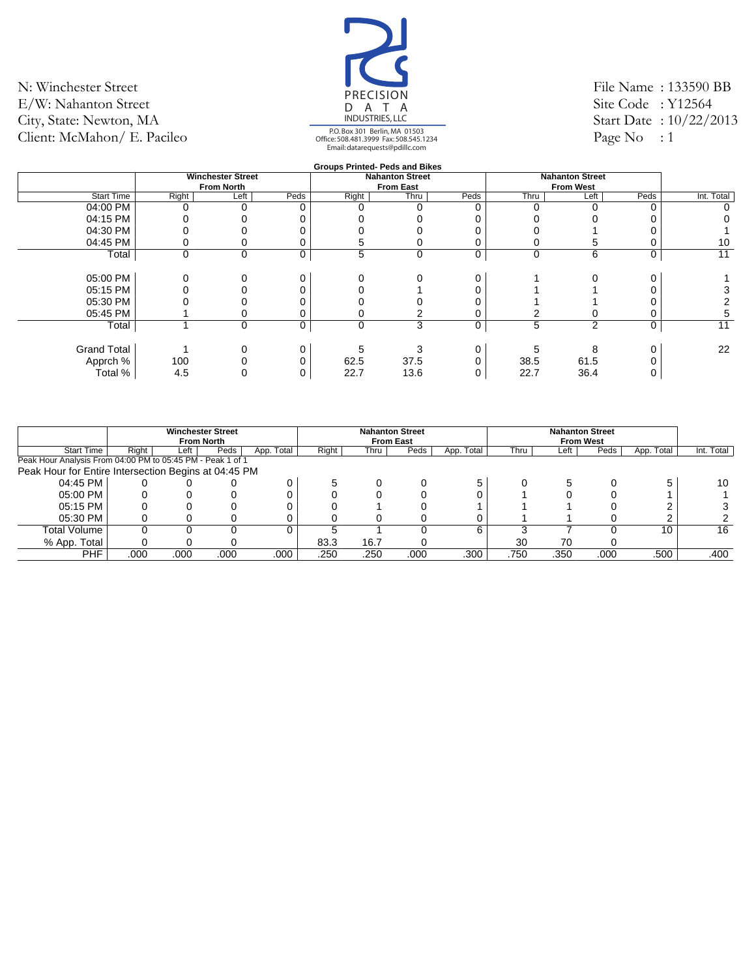![](_page_30_Picture_1.jpeg)

File Name : 133590 BB Site Code : Y12564 Start Date : 10/22/2013 Page No : 1

|                    |                                                                                                                       |  |      |          | <b>Groups Printed- Peds and Bikes</b> |      |      |                        |          |            |
|--------------------|-----------------------------------------------------------------------------------------------------------------------|--|------|----------|---------------------------------------|------|------|------------------------|----------|------------|
|                    |                                                                                                                       |  |      |          | <b>Nahanton Street</b>                |      |      | <b>Nahanton Street</b> |          |            |
|                    | <b>Winchester Street</b><br><b>From North</b><br>Left <sup>'</sup><br>Right<br>$\mathbf 0$<br>$\mathbf 0$<br>$\Omega$ |  |      |          | <b>From East</b>                      |      |      | <b>From West</b>       |          |            |
| <b>Start Time</b>  |                                                                                                                       |  | Peds | Right    | Thru                                  | Peds | Thru | Left                   | Peds     | Int. Total |
| 04:00 PM           |                                                                                                                       |  | 0    |          |                                       | 0    |      |                        | $\Omega$ |            |
| 04:15 PM           |                                                                                                                       |  |      |          |                                       |      |      |                        |          |            |
| 04:30 PM           |                                                                                                                       |  |      |          |                                       |      |      |                        |          |            |
| 04:45 PM           |                                                                                                                       |  |      | G.       |                                       | 0    |      | G                      | 0        | 10         |
| Total              |                                                                                                                       |  | 0    | 5        | 0                                     | 0    | 0    | 6                      | 0        | 11         |
|                    |                                                                                                                       |  |      |          |                                       |      |      |                        |          |            |
| 05:00 PM           |                                                                                                                       |  | 0    |          |                                       | 0    |      |                        |          |            |
| 05:15 PM           |                                                                                                                       |  |      |          |                                       |      |      |                        |          |            |
| 05:30 PM           |                                                                                                                       |  |      |          |                                       |      |      |                        |          |            |
| 05:45 PM           |                                                                                                                       |  |      |          |                                       | 0    |      |                        | 0        | 5          |
| Total              |                                                                                                                       |  | 0    | $\Omega$ | 3                                     | 0    | 5    | $\overline{2}$         | 0        | 11         |
|                    |                                                                                                                       |  |      |          |                                       |      |      |                        |          |            |
| <b>Grand Total</b> |                                                                                                                       |  |      |          |                                       | 0    |      | 8                      | 0        | 22         |
| Apprch %           | 100                                                                                                                   |  |      | 62.5     | 37.5                                  |      | 38.5 | 61.5                   | 0        |            |
| Total %            | 4.5                                                                                                                   |  |      | 22.7     | 13.6                                  | 0    | 22.7 | 36.4                   |          |            |
|                    |                                                                                                                       |  |      |          |                                       |      |      |                        |          |            |

|                                                            |       | <b>Winchester Street</b><br><b>From North</b> |      |            |       |      | <b>Nahanton Street</b><br><b>From East</b> |            |      |      | <b>Nahanton Street</b><br><b>From West</b> |            |            |
|------------------------------------------------------------|-------|-----------------------------------------------|------|------------|-------|------|--------------------------------------------|------------|------|------|--------------------------------------------|------------|------------|
| <b>Start Time</b>                                          | Right | Left                                          | Peds | App. Total | Right | Thru | Peds                                       | App. Total | Thru | Left | Peds                                       | App. Total | Int. Total |
| Peak Hour Analysis From 04:00 PM to 05:45 PM - Peak 1 of 1 |       |                                               |      |            |       |      |                                            |            |      |      |                                            |            |            |
| Peak Hour for Entire Intersection Begins at 04:45 PM       |       |                                               |      |            |       |      |                                            |            |      |      |                                            |            |            |
| 04:45 PM                                                   |       |                                               |      |            |       |      |                                            | 5          |      |      |                                            |            | 10         |
| 05:00 PM                                                   |       |                                               |      |            |       |      |                                            |            |      |      |                                            |            |            |
| 05:15 PM                                                   |       |                                               |      |            |       |      |                                            |            |      |      |                                            |            |            |
| 05:30 PM                                                   |       |                                               |      |            |       |      |                                            |            |      |      |                                            |            |            |
| Total Volume                                               |       |                                               |      |            |       |      |                                            | 6          |      |      |                                            | 10         | 16         |
| % App. Total                                               |       |                                               |      |            | 83.3  | 16.7 |                                            |            | 30   | 70   |                                            |            |            |
| PHF                                                        | .000  | .000                                          | .000 | .000       | .250  | .250 | .000                                       | .300       | .750 | .350 | .000                                       | .500       | .400       |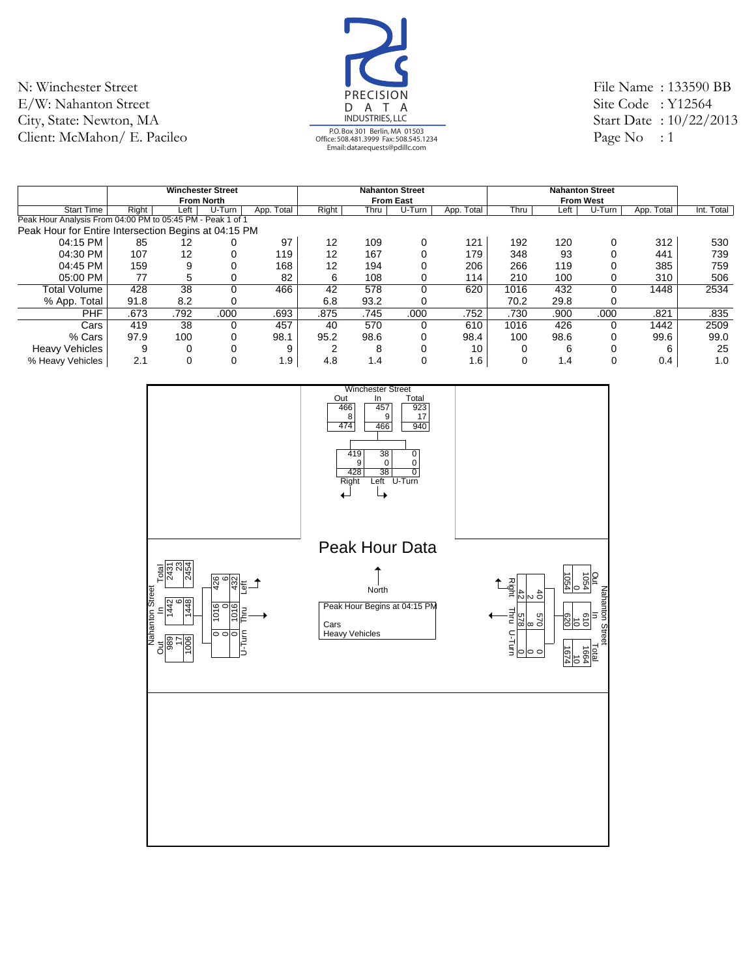![](_page_31_Picture_1.jpeg)

File Name : 133590 BB Site Code : Y12564 Start Date : 10/22/2013 Page No : 1

|                                                            |       |      | <b>Winchester Street</b><br><b>From North</b> |            |       |      | <b>Nahanton Street</b><br><b>From East</b> |            |      |      | <b>Nahanton Street</b><br><b>From West</b> |            |            |
|------------------------------------------------------------|-------|------|-----------------------------------------------|------------|-------|------|--------------------------------------------|------------|------|------|--------------------------------------------|------------|------------|
| <b>Start Time</b>                                          | Riaht | Left | U-Turn                                        | App. Total | Right | Thru | U-Turn                                     | App. Total | Thru | Left | U-Turn                                     | App. Total | Int. Total |
| Peak Hour Analysis From 04:00 PM to 05:45 PM - Peak 1 of 1 |       |      |                                               |            |       |      |                                            |            |      |      |                                            |            |            |
| Peak Hour for Entire Intersection Begins at 04:15 PM       |       |      |                                               |            |       |      |                                            |            |      |      |                                            |            |            |
| 04:15 PM                                                   | 85    | 12   |                                               | 97         | 12    | 109  | 0                                          | 121        | 192  | 120  | $\Omega$                                   | 312        | 530        |
| 04:30 PM                                                   | 107   | 12   | 0                                             | 119        | 12    | 167  | 0                                          | 179        | 348  | 93   |                                            | 441        | 739        |
| 04:45 PM                                                   | 159   |      | 0                                             | 168        | 12    | 194  | 0                                          | 206        | 266  | 119  |                                            | 385        | 759        |
| 05:00 PM                                                   | 77    | 5    | 0                                             | 82         | 6     | 108  | 0                                          | 114        | 210  | 100  | 0                                          | 310        | 506        |
| <b>Total Volume</b>                                        | 428   | 38   | $\Omega$                                      | 466        | 42    | 578  | $\Omega$                                   | 620        | 1016 | 432  | $\Omega$                                   | 1448       | 2534       |
| % App. Total                                               | 91.8  | 8.2  | 0                                             |            | 6.8   | 93.2 | 0                                          |            | 70.2 | 29.8 |                                            |            |            |
| <b>PHF</b>                                                 | .673  | .792 | .000                                          | .693       | .875  | .745 | .000                                       | .752       | .730 | .900 | .000                                       | .821       | .835       |
| Cars                                                       | 419   | 38   | $\Omega$                                      | 457        | 40    | 570  | $\Omega$                                   | 610        | 1016 | 426  | $\Omega$                                   | 1442       | 2509       |
| % Cars                                                     | 97.9  | 100  | 0                                             | 98.1       | 95.2  | 98.6 | 0                                          | 98.4       | 100  | 98.6 | 0                                          | 99.6       | 99.0       |
| <b>Heavy Vehicles</b>                                      | 9     |      | $\Omega$                                      | 9          | ◠     | 8    | 0                                          | 10         |      | 6    | $\Omega$                                   | 6          | 25         |
| % Heavy Vehicles                                           | 2.1   |      | $\Omega$                                      | 1.9        | 4.8   | 1.4  | 0                                          | 1.6        |      | 1.4  | 0                                          | 0.4        | 1.0        |

![](_page_31_Figure_4.jpeg)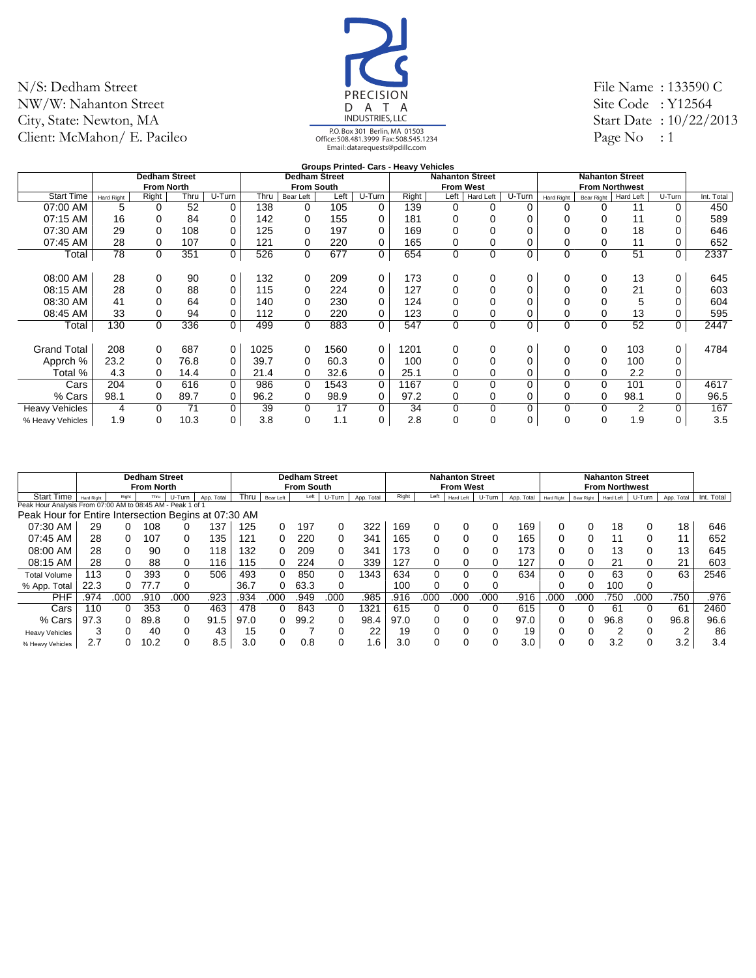![](_page_32_Picture_1.jpeg)

File Name : 133590 C Site Code: Y12564 Start Date : 10/22/2013 Page No  $: 1$ 

|                       |                   |                      |      |          |      |                      |      |        | <b>Groups Printed- Cars - Heavy Vehicles</b> |                  |                        |          |                   |                        |           |          |            |
|-----------------------|-------------------|----------------------|------|----------|------|----------------------|------|--------|----------------------------------------------|------------------|------------------------|----------|-------------------|------------------------|-----------|----------|------------|
|                       |                   | <b>Dedham Street</b> |      |          |      | <b>Dedham Street</b> |      |        |                                              |                  | <b>Nahanton Street</b> |          |                   | <b>Nahanton Street</b> |           |          |            |
|                       |                   | <b>From North</b>    |      |          |      | <b>From South</b>    |      |        |                                              | <b>From West</b> |                        |          |                   | <b>From Northwest</b>  |           |          |            |
| <b>Start Time</b>     | <b>Hard Right</b> | Right                | Thru | U-Turn   | Thru | Bear Left            | Left | U-Turn | Right                                        | Left             | Hard Left              | U-Turn   | <b>Hard Right</b> | Bear Right             | Hard Left | U-Turn   | Int. Total |
| 07:00 AM              | 5                 | $\Omega$             | 52   | 0        | 138  | 0                    | 105  | 0      | 139                                          | 0                | 0                      | 0        | $\Omega$          | 0                      | 11        | 0        | 450        |
| 07:15 AM              | 16                | 0                    | 84   | 0        | 142  | 0                    | 155  | 0      | 181                                          | 0                | $\Omega$               |          |                   |                        | 11        |          | 589        |
| 07:30 AM              | 29                | $\Omega$             | 108  | 0        | 125  | 0                    | 197  | 0      | 169                                          |                  |                        |          |                   |                        | 18        |          | 646        |
| 07:45 AM              | 28                | 0                    | 107  | 0        | 121  | 0                    | 220  | 0      | 165                                          | 0                |                        |          |                   |                        | 11        |          | 652        |
| Total                 | 78                | 0                    | 351  | 0        | 526  | 0                    | 677  | 0      | 654                                          | 0                | 0                      | 0        | $\mathbf 0$       | 0                      | 51        | 0        | 2337       |
|                       |                   |                      |      |          |      |                      |      |        |                                              |                  |                        |          |                   |                        |           |          |            |
| 08:00 AM              | 28                | 0                    | 90   | 0        | 132  | 0                    | 209  | 0      | 173                                          | 0                | 0                      | 0        | $\Omega$          | 0                      | 13        | 0        | 645        |
| 08:15 AM              | 28                | 0                    | 88   | 0        | 115  | 0                    | 224  | 0      | 127                                          | 0                | 0                      | 0        |                   |                        | 21        |          | 603        |
| 08:30 AM              | 41                | $\Omega$             | 64   | 0        | 140  | 0                    | 230  | 0      | 124                                          | 0                |                        |          |                   |                        | 5         |          | 604        |
| 08:45 AM              | 33                | 0                    | 94   | 0        | 112  | 0                    | 220  | 0      | 123                                          | 0                | 0                      |          |                   |                        | 13        |          | 595        |
| Total                 | 130               | 0                    | 336  | 0        | 499  | 0                    | 883  | 0      | 547                                          | 0                | $\mathbf 0$            | 0        | $\mathbf 0$       | 0                      | 52        | 0        | 2447       |
|                       |                   |                      |      |          |      |                      |      |        |                                              |                  |                        |          |                   |                        |           |          |            |
| <b>Grand Total</b>    | 208               | 0                    | 687  | 0        | 1025 | 0                    | 1560 | 0      | 1201                                         | 0                | 0                      | 0        | $\Omega$          | 0                      | 103       | 0        | 4784       |
| Apprch %              | 23.2              | 0                    | 76.8 | 0        | 39.7 | 0                    | 60.3 | 0      | 100                                          |                  |                        |          |                   |                        | 100       | 0        |            |
| Total %               | 4.3               | 0                    | 14.4 | 0        | 21.4 | 0                    | 32.6 | 0      | 25.1                                         | 0                | 0                      | 0        | 0                 |                        | 2.2       | 0        |            |
| Cars                  | 204               | $\Omega$             | 616  | $\Omega$ | 986  | $\Omega$             | 1543 | 0      | 1167                                         | $\Omega$         | $\Omega$               | $\Omega$ | 0                 | $\Omega$               | 101       | $\Omega$ | 4617       |
| % Cars                | 98.1              | 0                    | 89.7 | 0        | 96.2 | 0                    | 98.9 | 0      | 97.2                                         | 0                | 0                      |          | 0                 | 0                      | 98.1      | 0        | 96.5       |
| <b>Heavy Vehicles</b> | 4                 | $\Omega$             | 71   | 0        | 39   | 0                    | 17   | 0      | 34                                           | 0                | 0                      | $\Omega$ | 0                 | 0                      | 2         |          | 167        |
| % Heavy Vehicles      | 1.9               | $\Omega$             | 10.3 | 0        | 3.8  | 0                    | 1.1  | 0      | 2.8                                          | 0                | $\Omega$               | 0        | 0                 | 0                      | 1.9       | 0        | 3.5        |

|                                                            |                   |       | <b>Dedham Street</b> |        |            |      |           | <b>Dedham Street</b> |          |            |       |      | <b>Nahanton Street</b> |        |            |            |            | <b>Nahanton Street</b> |        |            |            |
|------------------------------------------------------------|-------------------|-------|----------------------|--------|------------|------|-----------|----------------------|----------|------------|-------|------|------------------------|--------|------------|------------|------------|------------------------|--------|------------|------------|
|                                                            |                   |       | <b>From North</b>    |        |            |      |           | <b>From South</b>    |          |            |       |      | <b>From West</b>       |        |            |            |            | <b>From Northwest</b>  |        |            |            |
| <b>Start Time</b>                                          | <b>Hard Right</b> | Right | Thru                 | U-Turn | App. Total | Thru | Bear Left | Left                 | U-Turn   | App. Total | Right | Left | Hard Left              | U-Turn | App. Total | Hard Right | Bear Right | Hard Left              | U-Turn | App. Total | Int. Total |
| Peak Hour Analysis From 07:00 AM to 08:45 AM - Peak 1 of 1 |                   |       |                      |        |            |      |           |                      |          |            |       |      |                        |        |            |            |            |                        |        |            |            |
| Peak Hour for Entire Intersection Begins at 07:30 AM       |                   |       |                      |        |            |      |           |                      |          |            |       |      |                        |        |            |            |            |                        |        |            |            |
| 07:30 AM                                                   | 29                | 0     | 108                  |        | 37         | 125  |           | 197                  |          | 322        | 169   |      |                        |        | 169        |            |            | 18                     | 0      | 18         | 646        |
| 07:45 AM                                                   | 28                | 0     | 107                  |        | 35         | 121  |           | 220                  |          | 341        | 165   |      |                        | 0      | 165        |            |            | 11                     | 0      |            | 652        |
| 08:00 AM                                                   | 28                | 0     | 90                   |        | 118        | 132  |           | 209                  |          | 341        | 173   |      |                        | 0      | 173        |            |            | 13                     | 0      | 13         | 645        |
| 08:15 AM                                                   | 28                | 0     | 88                   |        | 16         | 115  |           | 224                  |          | 339        | 127   |      |                        | ი      | 127        |            |            | 21                     | 0      | 21         | 603        |
| <b>Total Volume</b>                                        | 113               | 0     | 393                  | 0      | 506        | 493  |           | 850                  | $\Omega$ | 1343       | 634   | 0    | 0                      | 0      | 634        |            | 0          | 63                     | 0      | 63         | 2546       |
| % App. Total                                               | 22.3              | 0     | 77.7                 |        |            | 36.7 |           | 63.3                 | 0        |            | 100   |      | 0                      | O      |            |            |            | 100                    | 0      |            |            |
| <b>PHF</b>                                                 | .974              | .000  | .910                 | .000   | .923       | .934 | .000      | 949                  | .000     | .985       | .916  | 000  | 000                    | 000    | .916       | .000       | 000        | 750                    | 000    | .750       | .976       |
| Cars                                                       | 110               |       | 353                  |        | 463        | 478  |           | 843                  | 0        | 1321       | 615   |      |                        | 0      | 615        |            |            | 61                     | 0      | 61         | 2460       |
| % Cars                                                     | 97.3              | 0     | 89.8                 |        | 91.5       | 97.0 |           | 99.2                 | 0        | 98.4       | 97.0  |      |                        | ი      | 97.0       |            |            | 96.8                   | 0      | 96.8       | 96.6       |
| <b>Heavy Vehicles</b>                                      | 3                 |       | 40                   |        | 43         | 15   |           |                      |          | 22         | 19    |      |                        | ი      | 19         |            |            | ◠                      | 0      | $\sim$     | 86         |
| % Heavy Vehicles                                           | 2.7               |       | 10.2                 |        | 8.5        | 3.0  |           | 0.8                  | 0        | . 6        | 3.0   |      |                        |        | 3.0        |            | 0          | 3.2                    |        | 3.2        | 3.4        |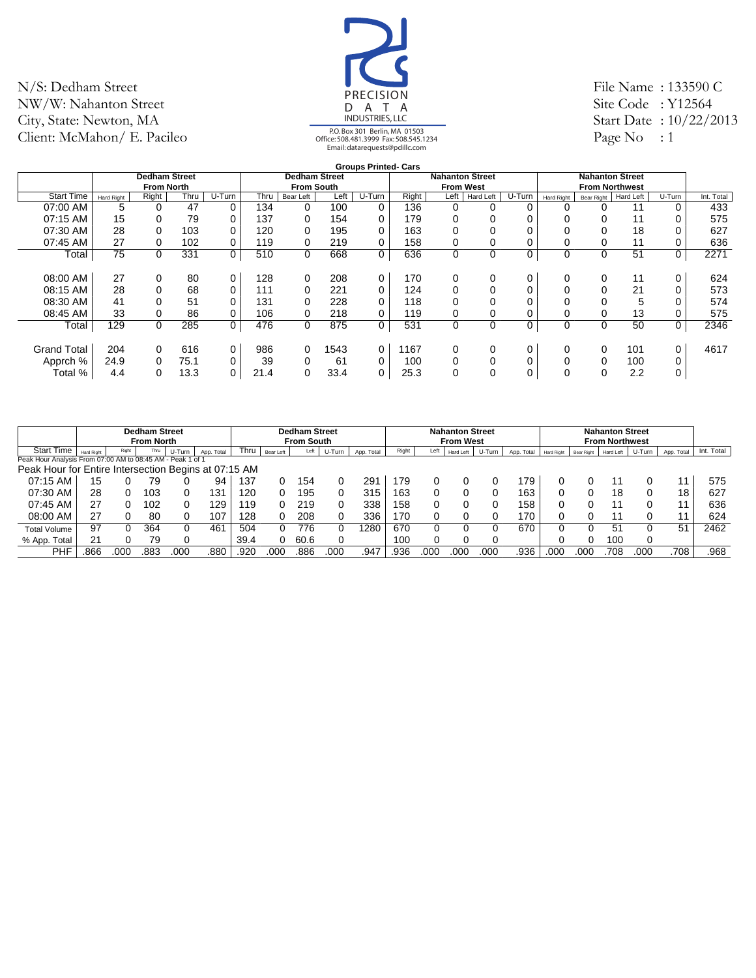![](_page_33_Picture_1.jpeg)

File Name : 133590 C Site Code: Y12564 Start Date : 10/22/2013 Page No  $: 1$ 

|                    |            |                      |      |        |      |                      |      | <b>Groups Printed- Cars</b> |       |                        |                  |        |             |                        |                  |          |            |
|--------------------|------------|----------------------|------|--------|------|----------------------|------|-----------------------------|-------|------------------------|------------------|--------|-------------|------------------------|------------------|----------|------------|
|                    |            | <b>Dedham Street</b> |      |        |      | <b>Dedham Street</b> |      |                             |       | <b>Nahanton Street</b> |                  |        |             | <b>Nahanton Street</b> |                  |          |            |
|                    |            | <b>From North</b>    |      |        |      | <b>From South</b>    |      |                             |       | <b>From West</b>       |                  |        |             | <b>From Northwest</b>  |                  |          |            |
| <b>Start Time</b>  | Hard Right | Right                | Thru | U-Turn | Thru | Bear Left            | Left | U-Turn                      | Right | Left                   | <b>Hard Left</b> | U-Turn | Hard Right  | Bear Right             | <b>Hard Left</b> | U-Turn   | Int. Total |
| 07:00 AM           | 5          |                      | 47   | 0      | 134  | 0                    | 100  | 0                           | 136   | 0                      | 0                | 0      | 0           |                        | 11               | 0        | 433        |
| 07:15 AM           | 15         |                      | 79   | 0      | 137  | $\Omega$             | 154  | 0                           | 179   | 0                      |                  |        |             |                        | 11               | 0        | 575        |
| 07:30 AM           | 28         |                      | 103  | 0      | 120  | 0                    | 195  | 0                           | 163   | 0                      |                  |        |             |                        | 18               | 0        | 627        |
| 07:45 AM           | 27         | 0                    | 102  | 0      | 119  | 0                    | 219  | 0                           | 158   | 0                      |                  |        |             |                        | 11               | 0        | 636        |
| Total              | 75         | 0                    | 331  | 0      | 510  | $\mathbf 0$          | 668  | 0                           | 636   | $\mathbf 0$            | 0                | 0      | $\mathbf 0$ | 0                      | 51               | 0        | 2271       |
|                    |            |                      |      |        |      |                      |      |                             |       |                        |                  |        |             |                        |                  |          |            |
| 08:00 AM           | 27         | 0                    | 80   | 0      | 128  | $\Omega$             | 208  | 0                           | 170   | 0                      | 0                | 0      | $\Omega$    | 0                      | 11               | $\Omega$ | 624        |
| 08:15 AM           | 28         | 0                    | 68   | 0      | 111  | $\Omega$             | 221  | $\Omega$                    | 124   | $\Omega$               | 0                |        |             |                        | 21               | 0        | 573        |
| 08:30 AM           | 41         |                      | 51   | 0      | 131  | 0                    | 228  | $\Omega$                    | 118   | 0                      |                  |        |             |                        | 5                | 0        | 574        |
| 08:45 AM           | 33         |                      | 86   | 0      | 106  | $\Omega$             | 218  | $\Omega$                    | 119   | 0                      |                  |        |             |                        | 13               | $\Omega$ | 575        |
| Total              | 129        | 0                    | 285  | 0      | 476  | $\Omega$             | 875  | 0                           | 531   | $\mathbf 0$            | 0                | 0      | $\Omega$    | 0                      | 50               | $\Omega$ | 2346       |
|                    |            |                      |      |        |      |                      |      |                             |       |                        |                  |        |             |                        |                  |          |            |
| <b>Grand Total</b> | 204        | $\Omega$             | 616  | 0      | 986  | 0                    | 1543 | 0                           | 1167  | 0                      | 0                |        | 0           | 0                      | 101              | 0        | 4617       |
| Apprch %           | 24.9       | 0                    | 75.1 | 0      | 39   | $\Omega$             | 61   | $\Omega$                    | 100   | $\Omega$               | $\Omega$         |        |             | 0                      | 100              | 0        |            |
| Total %            | 4.4        | 0                    | 13.3 | 0      | 21.4 | $\Omega$             | 33.4 | 0                           | 25.3  | 0                      | 0                | 0      | $\Omega$    | 0                      | 2.2              | 0        |            |
|                    |            |                      |      |        |      |                      |      |                             |       |                        |                  |        |             |                        |                  |          |            |

|                                                            |                   |       | <b>Dedham Street</b><br><b>From North</b> |        |            |      |           | <b>Dedham Street</b><br><b>From South</b> |        |            |       |      | <b>Nahanton Street</b><br><b>From West</b> |        |            |            |            | <b>Nahanton Street</b><br><b>From Northwest</b> |        |                |            |
|------------------------------------------------------------|-------------------|-------|-------------------------------------------|--------|------------|------|-----------|-------------------------------------------|--------|------------|-------|------|--------------------------------------------|--------|------------|------------|------------|-------------------------------------------------|--------|----------------|------------|
| <b>Start Time</b>                                          | <b>Hard Right</b> | Right | Thru                                      | U-Turn | App. Total | Thru | Bear Left | Left                                      | U-Turn | App. Total | Right | Left | Hard Left                                  | U-Turn | App. Total | Hard Right | Bear Right | Hard Left                                       | U-Turn | App. Total     | Int. Total |
| Peak Hour Analysis From 07:00 AM to 08:45 AM - Peak 1 of 1 |                   |       |                                           |        |            |      |           |                                           |        |            |       |      |                                            |        |            |            |            |                                                 |        |                |            |
| Peak Hour for Entire Intersection Begins at 07:15 AM       |                   |       |                                           |        |            |      |           |                                           |        |            |       |      |                                            |        |            |            |            |                                                 |        |                |            |
| 07:15 AM                                                   | 15                |       | 79                                        |        | 94         | 137  |           | 154                                       |        | 291        | 179   |      |                                            |        | 179        |            |            |                                                 |        |                | 575        |
| 07:30 AM                                                   | 28                |       | 103                                       |        | 131        | 120  |           | 195                                       |        | 315        | 163   |      |                                            |        | 163        |            |            | 18                                              |        | 18             | 627        |
| 07:45 AM                                                   | 27                |       | 102                                       |        | 129        | ∣19  |           | 219                                       |        | 338        | 158   |      |                                            |        | 158        |            |            |                                                 |        |                | 636        |
| 08:00 AM                                                   | 27                |       | 80                                        |        | 107        | 128  |           | 208                                       |        | 336        | 170   |      |                                            |        | 170        |            |            |                                                 |        |                | 624        |
| <b>Total Volume</b>                                        | 97                |       | 364                                       |        | 461        | 504  |           | 776                                       |        | 1280       | 670   |      |                                            |        | 670        |            |            | 51                                              |        | 5 <sup>′</sup> | 2462       |
| % App. Total                                               | 21                |       | 79                                        |        |            | 39.4 |           | 60.6                                      |        |            | 100   |      |                                            |        |            |            |            | 10C                                             |        |                |            |
| PHF                                                        | 866               | 000   | .883                                      | 00C    | .880       | .920 | 000       | .886                                      | 000    | .947       | .936  | 00C  | .000                                       | 000    | .936       | .000       | 000        | 708                                             | 000    | .708           | .968       |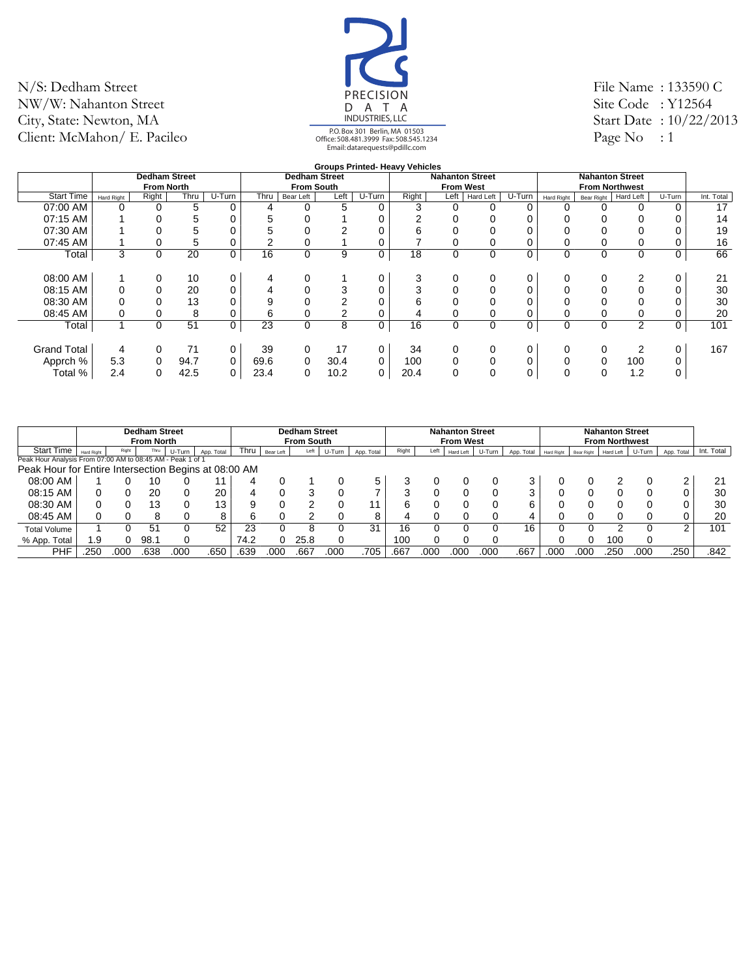![](_page_34_Picture_1.jpeg)

File Name : 133590 C Site Code: Y12564 Start Date : 10/22/2013 Page No  $: 1$ 

|                    |            |                      |      |        |      |                      |      |             | <b>Groups Printed- Heavy Vehicles</b> |                        |                  |          |            |            |                        |        |            |
|--------------------|------------|----------------------|------|--------|------|----------------------|------|-------------|---------------------------------------|------------------------|------------------|----------|------------|------------|------------------------|--------|------------|
|                    |            | <b>Dedham Street</b> |      |        |      | <b>Dedham Street</b> |      |             |                                       | <b>Nahanton Street</b> |                  |          |            |            | <b>Nahanton Street</b> |        |            |
|                    |            | <b>From North</b>    |      |        |      | <b>From South</b>    |      |             |                                       |                        | <b>From West</b> |          |            |            | <b>From Northwest</b>  |        |            |
| <b>Start Time</b>  | Hard Right | Right                | Thru | U-Turn | Thru | Bear Left            | Left | U-Turn      | Right                                 | Left                   | Hard Left        | $U-Turn$ | Hard Right | Bear Right | Hard Left              | U-Turn | Int. Total |
| 07:00 AM           | 0          | 0                    | 5    | 0      | 4    | 0                    | 5    | 0           | 3                                     | 0                      |                  |          | 0          |            |                        |        | 17         |
| 07:15 AM           |            |                      | 5    |        | 5    |                      |      |             |                                       | 0                      |                  |          |            |            |                        |        | 14         |
| 07:30 AM           |            |                      | 5    |        | 5    |                      | 2    |             |                                       |                        |                  |          |            |            |                        |        | 19         |
| 07:45 AM           |            |                      | 5    | 0      | 2    | 0                    |      |             |                                       |                        |                  |          |            |            |                        |        | 16         |
| Total              | 3          | 0                    | 20   | 0      | 16   | 0                    | 9    | 0           | 18                                    | 0                      | 0                | 0        | $\Omega$   | 0          | 0                      | 0      | 66         |
|                    |            |                      |      |        |      |                      |      |             |                                       |                        |                  |          |            |            |                        |        |            |
| 08:00 AM           |            | 0                    | 10   | 0      | 4    | 0                    |      | 0           | 3                                     | 0                      | 0                | 0        | 0          |            |                        |        | 21         |
| 08:15 AM           |            | $\Omega$             | 20   | 0      | 4    | 0                    | 3    | 0           |                                       | 0                      |                  |          |            |            |                        |        | 30         |
| 08:30 AM           |            |                      | 13   |        | 9    | 0                    | 2    | 0           | 6                                     |                        |                  |          |            |            |                        |        | 30         |
| 08:45 AM           |            |                      | 8    | 0      | 6    | 0                    | 2    | $\mathbf 0$ |                                       | 0                      |                  |          |            |            |                        |        | 20         |
| Total              | 4          | $\Omega$             | 51   | 0      | 23   | $\mathbf 0$          | 8    | 0           | 16                                    | 0                      | 0                | 0        | 0          | 0          | 2                      | 0      | 101        |
|                    |            |                      |      |        |      |                      |      |             |                                       |                        |                  |          |            |            |                        |        |            |
| <b>Grand Total</b> | 4          | $\Omega$             | 71   | 0      | 39   | 0                    | 17   | 0           | 34                                    | 0                      | 0                |          | $\Omega$   |            | 2                      | 0      | 167        |
| Apprch %           | 5.3        | $\Omega$             | 94.7 | 0      | 69.6 | $\Omega$             | 30.4 | $\Omega$    | 100                                   | 0                      | $\Omega$         | 0        |            | 0          | 100                    | 0      |            |
| Total %            | 2.4        | 0                    | 42.5 | 0      | 23.4 | 0                    | 10.2 | 0           | 20.4                                  | $\Omega$               | $\Omega$         | 0        | $\Omega$   | 0          | 1.2                    | 0      |            |
|                    |            |                      |      |        |      |                      |      |             |                                       |                        |                  |          |            |            |                        |        |            |

|                                                            |            |       | <b>Dedham Street</b><br><b>From North</b> |        |                 |      |           | <b>Dedham Street</b><br><b>From South</b> |        |            |       |      | <b>Nahanton Street</b><br><b>From West</b> |        |            |            |            | <b>Nahanton Street</b><br><b>From Northwest</b> |        |            |            |
|------------------------------------------------------------|------------|-------|-------------------------------------------|--------|-----------------|------|-----------|-------------------------------------------|--------|------------|-------|------|--------------------------------------------|--------|------------|------------|------------|-------------------------------------------------|--------|------------|------------|
| <b>Start Time</b>                                          | Hard Right | Right | Thru                                      | U-Turn | App. Total      | Thru | Bear Left | Left                                      | U-Turn | App. Total | Right | Left | Hard Left                                  | U-Turn | App. Total | Hard Right | Bear Right | Hard Left                                       | U-Turn | App. Total | Int. Total |
| Peak Hour Analysis From 07:00 AM to 08:45 AM - Peak 1 of 1 |            |       |                                           |        |                 |      |           |                                           |        |            |       |      |                                            |        |            |            |            |                                                 |        |            |            |
| Peak Hour for Entire Intersection Begins at 08:00 AM       |            |       |                                           |        |                 |      |           |                                           |        |            |       |      |                                            |        |            |            |            |                                                 |        |            |            |
| 08:00 AM                                                   |            |       |                                           |        |                 | 4    |           |                                           |        | b.         |       |      |                                            |        |            |            |            |                                                 |        |            | 21         |
| 08:15 AM                                                   |            |       | 20                                        |        | 20              |      |           |                                           |        |            |       |      |                                            |        |            |            |            |                                                 |        | 0          | 30         |
| 08:30 AM                                                   | 0          |       | 13                                        |        | 13 <sub>1</sub> |      |           |                                           |        |            |       |      |                                            |        | ⌒<br>6     |            |            |                                                 |        | 0          | 30         |
| 08:45 AM                                                   |            |       |                                           |        | R.              | n    |           |                                           |        |            |       |      |                                            |        |            |            |            |                                                 |        | 0          | 20         |
| <b>Total Volume</b>                                        |            |       | -51                                       |        | 52              | 23   |           |                                           |        | 31         | 16    |      |                                            |        | 16         |            |            |                                                 |        | ົ          | 101        |
| % App. Total                                               | . 9        |       | 98.1                                      |        |                 | 74.2 |           | 25.8                                      |        |            | 100   |      |                                            |        |            |            |            | 100                                             |        |            |            |
| PHF                                                        | 250        | 00C   | .638                                      | .000   | .650            | .639 | .00C      | .667                                      | .000   | .705       | .667  | .000 | 000                                        | .00C   | .667       | .000       | 000        | .250                                            | .000   | .250       | .842       |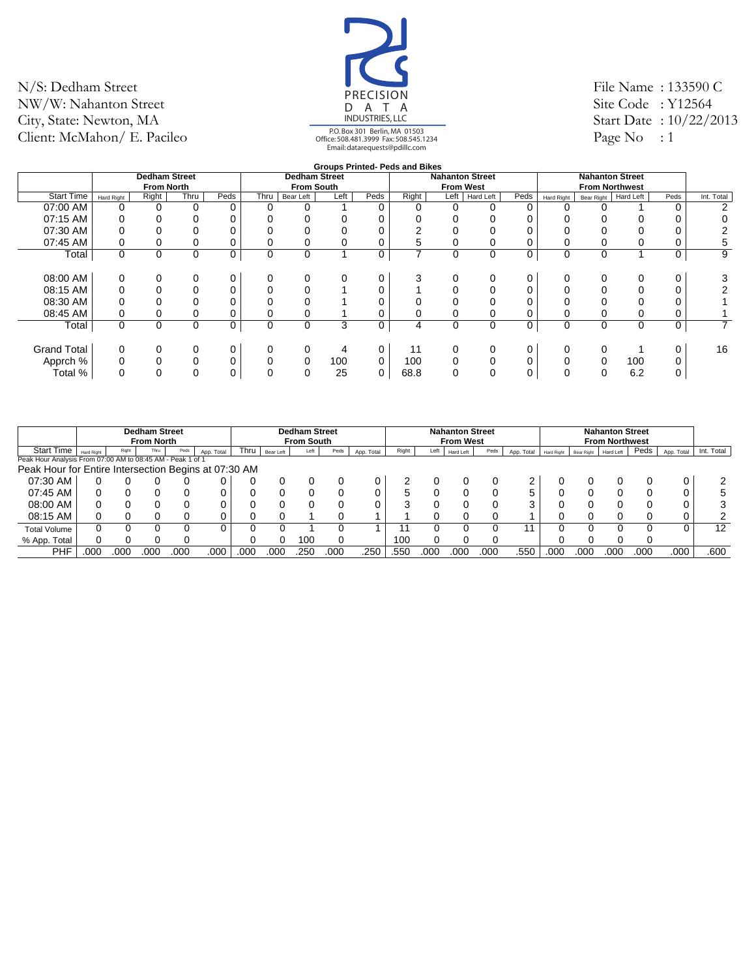![](_page_35_Picture_1.jpeg)

File Name : 133590 C Site Code: Y12564 Start Date : 10/22/2013 Page No : 1

|                    |            |                      |          |      |             |                      |          |      | <b>Groups Printed- Peds and Bikes</b> |                  |                        |      |            |            |                        |      |                |
|--------------------|------------|----------------------|----------|------|-------------|----------------------|----------|------|---------------------------------------|------------------|------------------------|------|------------|------------|------------------------|------|----------------|
|                    |            | <b>Dedham Street</b> |          |      |             | <b>Dedham Street</b> |          |      |                                       |                  | <b>Nahanton Street</b> |      |            |            | <b>Nahanton Street</b> |      |                |
|                    |            | <b>From North</b>    |          |      |             | <b>From South</b>    |          |      |                                       | <b>From West</b> |                        |      |            |            | <b>From Northwest</b>  |      |                |
| <b>Start Time</b>  | Hard Right | Right                | Thru     | Peds | Thru        | Bear Left            | Left     | Peds | Right                                 | Left             | Hard Left              | Peds | Hard Right | Bear Right | Hard Left              | Peds | Int. Total     |
| 07:00 AM           |            | $\Omega$             | $\Omega$ | 0    | $\Omega$    | 0                    |          | 0    | 0                                     |                  |                        |      |            |            |                        |      | $\overline{2}$ |
| 07:15 AM           |            |                      | $\Omega$ |      |             |                      |          | 0    |                                       |                  |                        |      |            |            |                        |      |                |
| 07:30 AM           |            |                      |          |      |             |                      |          |      | ົ                                     |                  |                        |      |            |            |                        |      |                |
| 07:45 AM           |            |                      | 0        | 0    |             | 0                    | 0        | 0    | 5                                     |                  |                        |      |            |            |                        |      | 5              |
| Total              | 0          | 0                    | $\Omega$ | 0    | $\mathbf 0$ | 0                    | и        | 0    | $\overline{ }$                        | 0                | $\Omega$               | 0    | 0          | 0          |                        |      | 9              |
|                    |            |                      |          |      |             |                      |          |      |                                       |                  |                        |      |            |            |                        |      |                |
| 08:00 AM           | 0          |                      | $\Omega$ | 0    | 0           | 0                    | $\Omega$ | 0    | 3                                     |                  | $\Omega$               |      | 0          |            | $\Omega$               |      | 3              |
| 08:15 AM           |            |                      |          | 0    |             | 0                    |          |      |                                       |                  |                        |      |            |            |                        |      |                |
| 08:30 AM           |            |                      |          |      |             |                      |          |      |                                       |                  |                        |      |            |            |                        |      |                |
| 08:45 AM           |            |                      |          | 0    |             |                      |          | 0    |                                       |                  |                        |      |            |            |                        |      |                |
| Total              | 0          | 0                    | $\Omega$ | 0    | $\mathbf 0$ | $\mathbf 0$          | 3        | 0    | 4                                     | 0                | 0                      | 0    | 0          | 0          | 0                      | 0    | $\overline{7}$ |
|                    |            |                      |          |      |             |                      |          |      |                                       |                  |                        |      |            |            |                        |      |                |
| <b>Grand Total</b> | 0          |                      | 0        | 0    | 0           | 0                    | 4        | 0    | 11                                    |                  | 0                      |      | 0          |            |                        |      | 16             |
| Apprch %           |            |                      | 0        | 0    | $\Omega$    | $\mathbf 0$          | 100      | 0    | 100                                   |                  | 0                      |      |            |            | 100                    |      |                |
| Total %            |            | $\Omega$             | $\Omega$ | 0    | $\mathbf 0$ | $\mathbf 0$          | 25       | 0    | 68.8                                  | $\Omega$         |                        | 0    | 0          |            | 6.2                    |      |                |
|                    |            |                      |          |      |             |                      |          |      |                                       |                  |                        |      |            |            |                        |      |                |

|                                                            |            |       | <b>Dedham Street</b><br><b>From North</b> |      |            |       |           | <b>Dedham Street</b><br><b>From South</b> |      |            |       |      | <b>Nahanton Street</b><br><b>From West</b> |      |            |                   |            | <b>Nahanton Street</b><br><b>From Northwest</b> |      |            |            |
|------------------------------------------------------------|------------|-------|-------------------------------------------|------|------------|-------|-----------|-------------------------------------------|------|------------|-------|------|--------------------------------------------|------|------------|-------------------|------------|-------------------------------------------------|------|------------|------------|
| <b>Start Time</b>                                          | Hard Right | Right | Thru                                      | Peds | App. Total | Thru, | Bear Left | Left                                      | Peds | App. Total | Right | Left | Hard Left                                  | Peds | App. Total | <b>Hard Right</b> | Bear Right | Hard Left                                       | Peds | App. Total | Int. Total |
| Peak Hour Analysis From 07:00 AM to 08:45 AM - Peak 1 of 1 |            |       |                                           |      |            |       |           |                                           |      |            |       |      |                                            |      |            |                   |            |                                                 |      |            |            |
| Peak Hour for Entire Intersection Begins at 07:30 AM       |            |       |                                           |      |            |       |           |                                           |      |            |       |      |                                            |      |            |                   |            |                                                 |      |            |            |
| 07:30 AM                                                   |            |       |                                           |      |            |       |           |                                           |      |            |       |      |                                            |      |            |                   |            |                                                 |      | 0          |            |
| 07:45 AM                                                   |            |       |                                           |      |            |       |           |                                           |      |            |       |      |                                            |      | 5          |                   |            |                                                 |      | 0          |            |
| 08:00 AM                                                   |            |       |                                           |      |            |       |           |                                           |      |            |       |      |                                            |      |            |                   |            |                                                 |      | ∩          | 3          |
| 08:15 AM                                                   |            |       |                                           |      |            |       |           |                                           |      |            |       |      |                                            |      |            |                   |            |                                                 |      |            |            |
| <b>Total Volume</b>                                        |            |       |                                           |      |            |       |           |                                           |      |            |       |      |                                            |      |            |                   |            |                                                 |      |            | 12         |
| % App. Total                                               |            |       |                                           |      |            |       |           | 10C                                       |      |            | 100   |      |                                            |      |            |                   |            |                                                 |      |            |            |
| PHF                                                        | .000       | 00C   | 00C                                       | .000 | .000       | .000  | 00C       | .25C                                      | .000 | .250       | .550  | .000 | 000                                        | .000 | .550       | .000              | 000        | 000                                             | .000 | .000       | .600       |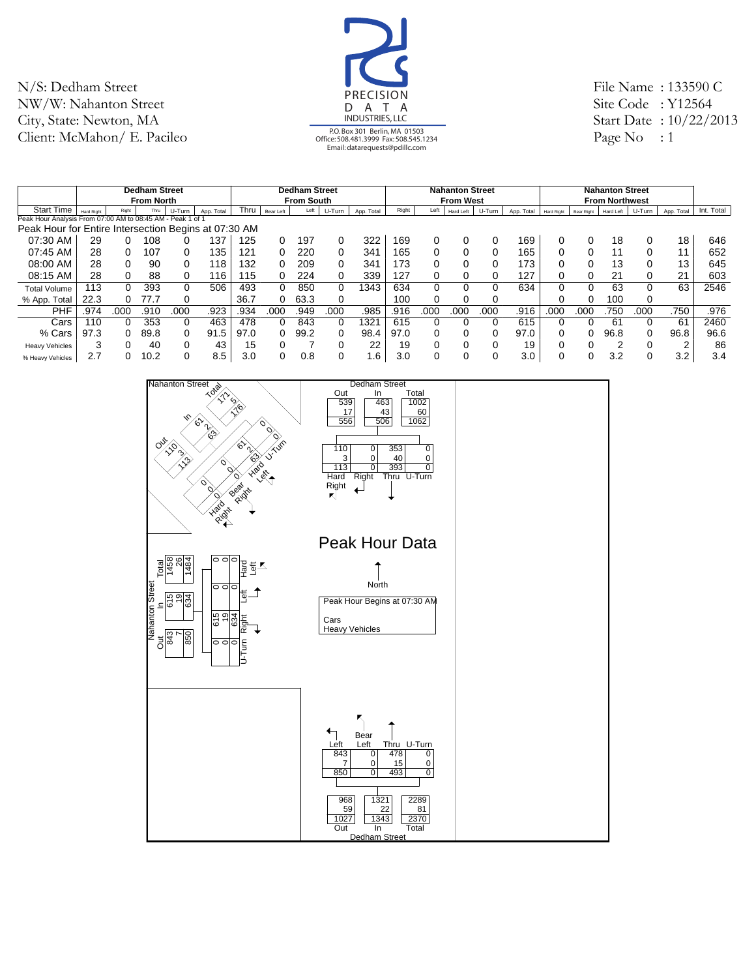![](_page_36_Picture_1.jpeg)

File Name : 133590 C Site Code: Y12564 Start Date : 10/22/2013 Page No : 1

|                                                            |                   |          | <b>Dedham Street</b> |          |            |      |           | <b>Dedham Street</b> |          |            |       |      | <b>Nahanton Street</b> |        |            |            |            | <b>Nahanton Street</b> |          |            |            |
|------------------------------------------------------------|-------------------|----------|----------------------|----------|------------|------|-----------|----------------------|----------|------------|-------|------|------------------------|--------|------------|------------|------------|------------------------|----------|------------|------------|
|                                                            |                   |          | <b>From North</b>    |          |            |      |           | <b>From South</b>    |          |            |       |      | <b>From West</b>       |        |            |            |            | <b>From Northwest</b>  |          |            |            |
| <b>Start Time</b>                                          | <b>Hard Right</b> | Right    | Thru                 | U-Turn   | App. Total | Thru | Bear Left | Left                 | U-Turn   | App. Total | Right | Left | Hard Left              | U-Turn | App. Total | Hard Right | Bear Right | Hard Left              | U-Turn   | App. Total | Int. Total |
| Peak Hour Analysis From 07:00 AM to 08:45 AM - Peak 1 of 1 |                   |          |                      |          |            |      |           |                      |          |            |       |      |                        |        |            |            |            |                        |          |            |            |
| Peak Hour for Entire Intersection Begins at 07:30 AM       |                   |          |                      |          |            |      |           |                      |          |            |       |      |                        |        |            |            |            |                        |          |            |            |
| 07:30 AM                                                   | 29                |          | 108                  |          | 137        | 125  |           | 197                  | 0        | 322        | 169   |      |                        |        | 169        |            |            | 18                     | 0        | 18         | 646        |
| 07:45 AM                                                   | 28                | 0        | 107                  |          | 135        | 121  |           | 220                  | 0        | 341        | 165   |      |                        |        | 165        |            |            | 11                     | $\Omega$ | 11         | 652        |
| 08:00 AM                                                   | 28                | 0        | 90                   |          | 118        | 132  |           | 209                  | 0        | 341        | 173   |      |                        |        | 173        |            |            | 13                     | 0        | 13         | 645        |
| 08:15 AM                                                   | 28                | 0        | 88                   |          | 116        | 115  |           | 224                  | 0        | 339        | 127   |      |                        |        | 127        |            |            | 21                     | $\Omega$ | 21         | 603        |
| <b>Total Volume</b>                                        | 13                |          | 393                  | 0        | 506        | 493  | 0         | 850                  | 0        | 343        | 634   | 0    |                        |        | 634        |            |            | 63                     | 0        | 63         | 2546       |
| % App. Total                                               | 22.3              | $\Omega$ | 77.7                 |          |            | 36.7 |           | 63.3                 | 0        |            | 100   | 0    |                        |        |            |            |            | 100                    | 0        |            |            |
| PHF                                                        | .974              | .000     | .910                 | .000     | .923       | .934 | 000       | 949                  | .000     | .985       | .916  | 000  | 000                    | 000    | .916       | .000       | 000        | 750                    | .000     | .750       | .976       |
| Cars                                                       | 110               | 0        | 353                  | $\Omega$ | 463        | 478  |           | 843                  | $\Omega$ | 1321       | 615   | 0    |                        | 0      | 615        |            |            | -61                    | $\Omega$ | 61         | 2460       |
| % Cars                                                     | 97.3              | $\Omega$ | 89.8                 | $\Omega$ | 91.5       | 97.0 |           | 99.2                 | 0        | 98.4       | 97.0  | 0    |                        | 0      | 97.0       |            |            | 96.8                   | 0        | 96.8       | 96.6       |
| <b>Heavy Vehicles</b>                                      | 3                 |          | 40                   |          | 43         | 15   |           |                      |          | 22         | 19    | 0    |                        |        | 19         |            |            | າ                      | $\Omega$ | ⌒          | 86         |
| % Heavy Vehicles                                           | 2.7               |          | 10.2                 |          | 8.5        | 3.0  |           | 0.8                  | 0        | . 6        | 3.0   | 0    |                        |        | 3.0        |            |            | 3.2                    |          | 3.2        | 3.4        |

![](_page_36_Figure_4.jpeg)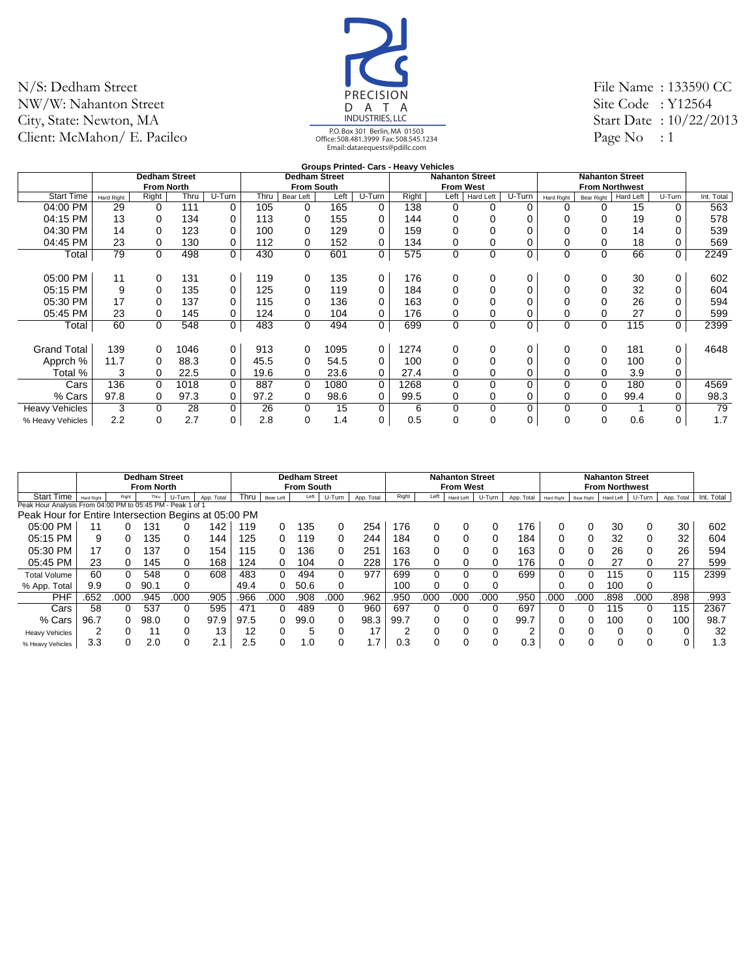![](_page_37_Picture_1.jpeg)

File Name : 133590 CC Site Code: Y12564 Start Date : 10/22/2013 Page No  $: 1$ 

|                       |                   |                      |      |                |      |                      |      |          | Groups Printed- Cars - Heavy Vehicles |                        |             |          |                   |                        |                  |             |            |
|-----------------------|-------------------|----------------------|------|----------------|------|----------------------|------|----------|---------------------------------------|------------------------|-------------|----------|-------------------|------------------------|------------------|-------------|------------|
|                       |                   | <b>Dedham Street</b> |      |                |      | <b>Dedham Street</b> |      |          |                                       | <b>Nahanton Street</b> |             |          |                   | <b>Nahanton Street</b> |                  |             |            |
|                       |                   | <b>From North</b>    |      |                |      | <b>From South</b>    |      |          |                                       | <b>From West</b>       |             |          |                   | <b>From Northwest</b>  |                  |             |            |
| <b>Start Time</b>     | <b>Hard Right</b> | Right                | Thru | U-Turn         | Thru | Bear Left            | Left | $U-Turn$ | Right                                 | Left                   | Hard Left   | U-Turn   | <b>Hard Right</b> | <b>Bear Right</b>      | <b>Hard Left</b> | U-Turn      | Int. Total |
| 04:00 PM              | 29                | $\Omega$             | 111  | 0              | 105  | 0                    | 165  | 0        | 138                                   | 0                      | 0           | $\Omega$ | 0                 |                        | 15               | 0           | 563        |
| 04:15 PM              | 13                | $\Omega$             | 134  | 0              | 113  | 0                    | 155  | $\Omega$ | 144                                   | 0                      |             |          |                   | 0                      | 19               | $\Omega$    | 578        |
| 04:30 PM              | 14                | $\Omega$             | 123  | 0              | 100  | 0                    | 129  | $\Omega$ | 159                                   |                        |             |          |                   |                        | 14               |             | 539        |
| 04:45 PM              | 23                | 0                    | 130  | 0              | 112  | 0                    | 152  | 0        | 134                                   | 0                      |             | 0        |                   | 0                      | 18               | 0           | 569        |
| Total                 | 79                | 0                    | 498  | $\overline{0}$ | 430  | $\mathbf 0$          | 601  | 0        | 575                                   | $\mathbf 0$            | 0           | 0        | 0                 | 0                      | 66               | 0           | 2249       |
| 05:00 PM              | 11                | 0                    | 131  | 0              | 119  | 0                    | 135  | 0        | 176                                   | 0                      | 0           | 0        | 0                 | 0                      | 30               | 0           | 602        |
|                       |                   |                      |      |                |      |                      |      |          |                                       |                        |             |          |                   |                        |                  |             |            |
| 05:15 PM              | 9                 | 0                    | 135  | 0              | 125  | 0                    | 119  | 0        | 184                                   |                        |             | 0        |                   |                        | 32               | 0           | 604        |
| 05:30 PM              | 17                | $\Omega$             | 137  | $\mathbf 0$    | 115  | 0                    | 136  | $\Omega$ | 163                                   | 0                      |             |          |                   |                        | 26               |             | 594        |
| 05:45 PM              | 23                | 0                    | 145  | 0              | 124  | 0                    | 104  | 0        | 176                                   |                        |             |          |                   |                        | 27               | 0           | 599        |
| Total                 | 60                | $\mathbf 0$          | 548  | $\overline{0}$ | 483  | 0                    | 494  | 0        | 699                                   | $\mathbf 0$            | $\mathbf 0$ | 0        | 0                 | $\mathbf 0$            | 115              | $\mathbf 0$ | 2399       |
| <b>Grand Total</b>    | 139               | $\Omega$             | 1046 | 0              | 913  | 0                    | 1095 | 0        | 1274                                  | 0                      | 0           | 0        | 0                 | 0                      | 181              | 0           | 4648       |
| Apprch %              | 11.7              | 0                    | 88.3 | 0              | 45.5 | 0                    | 54.5 | $\Omega$ | 100                                   |                        |             | 0        |                   | 0                      | 100              | 0           |            |
| Total %               | 3                 | 0                    | 22.5 | 0              | 19.6 | 0                    | 23.6 | 0        | 27.4                                  | 0                      | 0           | 0        | 0                 | 0                      | 3.9              | 0           |            |
| Cars                  | 136               | $\Omega$             | 1018 | $\mathbf 0$    | 887  | $\mathbf 0$          | 1080 | $\Omega$ | 1268                                  | $\Omega$               | 0           | 0        | $\Omega$          | $\Omega$               | 180              | $\Omega$    | 4569       |
| % Cars                | 97.8              | 0                    | 97.3 | 0              | 97.2 | 0                    | 98.6 | 0        | 99.5                                  | 0                      |             | 0        | 0                 | 0                      | 99.4             | 0           | 98.3       |
| <b>Heavy Vehicles</b> | 3                 | $\Omega$             | 28   | 0              | 26   | 0                    | 15   | 0        | 6                                     | 0                      | 0           | $\Omega$ | $\Omega$          | 0                      |                  | $\Omega$    | 79         |
| % Heavy Vehicles      | 2.2               | $\Omega$             | 2.7  | 0              | 2.8  | 0                    | 1.4  | 0        | 0.5                                   | 0                      | 0           | $\Omega$ | $\Omega$          | 0                      | 0.6              | 0           | 1.7        |

|                                                            |                   |       | <b>Dedham Street</b> |        |            |      |           | <b>Dedham Street</b> |        |            |       |      | <b>Nahanton Street</b> |        |            |            |            | <b>Nahanton Street</b> |          |            |            |
|------------------------------------------------------------|-------------------|-------|----------------------|--------|------------|------|-----------|----------------------|--------|------------|-------|------|------------------------|--------|------------|------------|------------|------------------------|----------|------------|------------|
|                                                            |                   |       | <b>From North</b>    |        |            |      |           | <b>From South</b>    |        |            |       |      | <b>From West</b>       |        |            |            |            | <b>From Northwest</b>  |          |            |            |
| <b>Start Time</b>                                          | <b>Hard Right</b> | Right | Thru                 | U-Turn | App. Total | Thru | Bear Left | Left                 | U-Turn | App. Total | Right | Left | Hard Left              | U-Turn | App. Total | Hard Right | Bear Right | Hard Left              | U-Turn   | App. Total | Int. Total |
| Peak Hour Analysis From 04:00 PM to 05:45 PM - Peak 1 of 1 |                   |       |                      |        |            |      |           |                      |        |            |       |      |                        |        |            |            |            |                        |          |            |            |
| Peak Hour for Entire Intersection Begins at 05:00 PM       |                   |       |                      |        |            |      |           |                      |        |            |       |      |                        |        |            |            |            |                        |          |            |            |
| 05:00 PM                                                   | 11                |       | 131                  |        | 42         | 119  |           | 135                  |        | 254        | 176   |      |                        | 0      | 176        |            |            | 30                     | 0        | 30         | 602        |
| 05:15 PM                                                   | 9                 | 0     | 135                  |        | 44         | 125  |           | 119                  |        | 244        | 184   |      |                        | 0      | 184        |            |            | 32                     | 0        | 32         | 604        |
| 05:30 PM                                                   | 17                |       | 137                  |        | 154        | 115  |           | 136                  |        | 251        | 163   |      |                        | 0      | 163        |            |            | 26                     | 0        | 26         | 594        |
| 05:45 PM                                                   | 23                | 0     | 145                  |        | 168        | 124  | 0         | 104                  |        | 228        | 176   |      |                        | ი      | 176        |            |            | 27                     | 0        | 27         | 599        |
| <b>Total Volume</b>                                        | 60                | 0     | 548                  |        | 608        | 483  |           | 494                  | 0      | 977        | 699   | 0    |                        | 0      | 699        |            |            | 115                    | $\Omega$ | 115        | 2399       |
| % App. Total                                               | 9.9               | 0     | 90.1                 |        |            | 49.4 |           | 50.6                 |        |            | 100   |      |                        |        |            |            |            | 100                    | 0        |            |            |
| PHF                                                        | 652               | 000   | 945                  | .000   | .905       | .966 | .000      | .908                 | .000   | .962       | .950  | 000  | .000                   | 000    | .950       | .000       | 000        | .898                   | .000     | .898       | .993       |
| Cars                                                       | 58                | 0     | 537                  |        | 595        | 471  |           | 489                  | 0      | 960        | 697   |      |                        | 0      | 697        |            |            | 115                    | 0        | 115        | 2367       |
| % Cars                                                     | 96.7              | 0     | 98.0                 |        | 97.9       | 97.5 |           | 99.0                 | 0      | 98.3       | 99.7  |      |                        | 0      | 99.7       |            | o          | 100                    | 0        | 100        | 98.7       |
| <b>Heavy Vehicles</b>                                      | 2                 |       | 11                   |        | 13         | 12   |           | 5                    |        | 17         |       |      |                        | 0      | $\sqrt{2}$ |            |            |                        | 0        |            | 32         |
| % Heavy Vehicles                                           | 3.3               |       | 2.0                  |        | 2.1        | 2.5  |           | 1.0                  |        | .7         | 0.3   |      | 0                      | ი      | 0.3        |            |            |                        |          | 0          | 1.3        |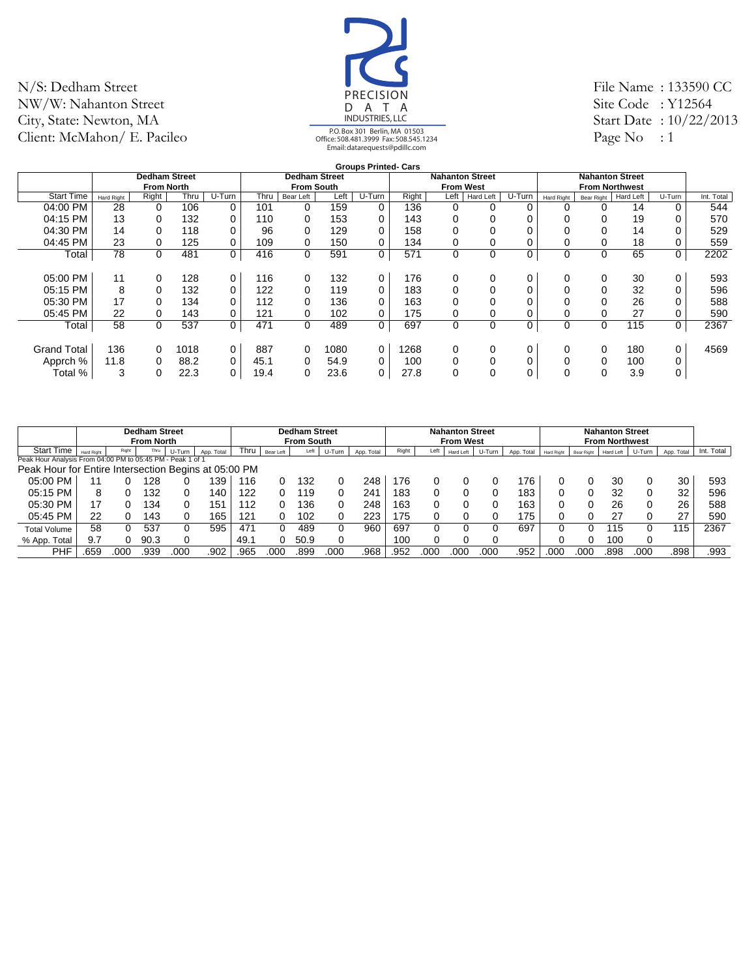![](_page_38_Picture_1.jpeg)

File Name : 133590 CC Site Code: Y12564 Start Date : 10/22/2013 Page No  $: 1$ 

|                    |            |                      |      |             |      |                      |      | <b>Groups Printed- Cars</b> |       |                        |             |          |             |                        |           |             |            |
|--------------------|------------|----------------------|------|-------------|------|----------------------|------|-----------------------------|-------|------------------------|-------------|----------|-------------|------------------------|-----------|-------------|------------|
|                    |            | <b>Dedham Street</b> |      |             |      | <b>Dedham Street</b> |      |                             |       | <b>Nahanton Street</b> |             |          |             | <b>Nahanton Street</b> |           |             |            |
|                    |            | <b>From North</b>    |      |             |      | <b>From South</b>    |      |                             |       | <b>From West</b>       |             |          |             | <b>From Northwest</b>  |           |             |            |
| <b>Start Time</b>  | Hard Right | Right                | Thru | U-Turn      | Thru | Bear Left            | Left | U-Turn                      | Right | Left                   | Hard Left   | U-Turn   | Hard Right  | Bear Right             | Hard Left | U-Turn      | Int. Total |
| 04:00 PM           | 28         | $\Omega$             | 106  | 0           | 101  | $\Omega$             | 159  | 0                           | 136   | 0                      | 0           | 0        | 0           |                        | 14        | 0           | 544        |
| 04:15 PM           | 13         | $\Omega$             | 132  | 0           | 110  | 0                    | 153  | 0                           | 143   | 0                      | 0           |          |             |                        | 19        | 0           | 570        |
| 04:30 PM           | 14         | $\Omega$             | 118  | 0           | 96   | $\Omega$             | 129  | 0                           | 158   | 0                      |             |          |             |                        | 14        | 0           | 529        |
| 04:45 PM           | 23         | 0                    | 125  | 0           | 109  | 0                    | 150  | 0                           | 134   | 0                      | 0           |          |             |                        | 18        | 0           | 559        |
| Total              | 78         | $\Omega$             | 481  | 0           | 416  | $\mathbf 0$          | 591  | 0                           | 571   | 0                      | 0           | 0        | 0           | 0                      | 65        | 0           | 2202       |
|                    |            |                      |      |             |      |                      |      |                             |       |                        |             |          |             |                        |           |             |            |
| 05:00 PM           | 11         | $\Omega$             | 128  | 0           | 116  | 0                    | 132  | 0                           | 176   | 0                      | 0           | 0        | 0           | 0                      | 30        | 0           | 593        |
| 05:15 PM           | 8          | $\Omega$             | 132  | 0           | 122  | $\Omega$             | 119  | 0                           | 183   | 0                      | 0           | $\Omega$ |             |                        | 32        | 0           | 596        |
| 05:30 PM           | 17         | $\Omega$             | 134  | 0           | 112  | 0                    | 136  | 0                           | 163   | 0                      | 0           |          |             |                        | 26        | 0           | 588        |
| 05:45 PM           | 22         | 0                    | 143  | 0           | 121  | 0                    | 102  | 0                           | 175   | 0                      | 0           |          |             |                        | 27        | 0           | 590        |
| Total              | 58         | $\Omega$             | 537  | 0           | 471  | $\mathbf 0$          | 489  | 0                           | 697   | $\mathbf 0$            | $\mathbf 0$ | 0        | $\mathbf 0$ | 0                      | 115       | $\mathbf 0$ | 2367       |
|                    |            |                      |      |             |      |                      |      |                             |       |                        |             |          |             |                        |           |             |            |
| <b>Grand Total</b> | 136        | $\Omega$             | 1018 | $\mathbf 0$ | 887  | 0                    | 1080 | 0                           | 1268  | 0                      | 0           | 0        | 0           | 0                      | 180       | 0           | 4569       |
| Apprch %           | 11.8       | $\Omega$             | 88.2 | 0           | 45.1 | $\Omega$             | 54.9 | 0                           | 100   | $\Omega$               | 0           |          |             | 0                      | 100       | 0           |            |
| Total %            | 3          |                      | 22.3 | 0           | 19.4 | 0                    | 23.6 | 0                           | 27.8  | 0                      | 0           |          | 0           | 0                      | 3.9       | 0           |            |
|                    |            |                      |      |             |      |                      |      |                             |       |                        |             |          |             |                        |           |             |            |

|                                                            |            |       | <b>Dedham Street</b><br><b>From North</b> |        |            |      |           | <b>Dedham Street</b><br><b>From South</b> |        |            |       |      | <b>Nahanton Street</b><br><b>From West</b> |        |            |                   |            | <b>Nahanton Street</b><br><b>From Northwest</b> |          |            |            |
|------------------------------------------------------------|------------|-------|-------------------------------------------|--------|------------|------|-----------|-------------------------------------------|--------|------------|-------|------|--------------------------------------------|--------|------------|-------------------|------------|-------------------------------------------------|----------|------------|------------|
| <b>Start Time</b>                                          | Hard Right | Right | Thru                                      | U-Turn | App. Total | Thru | Bear Left | Left                                      | U-Turn | App. Total | Right | Left | Hard Left                                  | U-Turn | App. Total | <b>Hard Right</b> | Bear Right | Hard Left                                       | U-Turn   | App. Total | Int. Total |
| Peak Hour Analysis From 04:00 PM to 05:45 PM - Peak 1 of 1 |            |       |                                           |        |            |      |           |                                           |        |            |       |      |                                            |        |            |                   |            |                                                 |          |            |            |
| Peak Hour for Entire Intersection Begins at 05:00 PM       |            |       |                                           |        |            |      |           |                                           |        |            |       |      |                                            |        |            |                   |            |                                                 |          |            |            |
| 05:00 PM                                                   | 11         |       | 128                                       |        | 39         | 116  |           | 132                                       |        | 248        | 176   |      |                                            |        | 76         |                   |            | 30                                              | 0        | 30         | 593        |
| 05:15 PM                                                   | 8          |       | 132                                       |        | 40         | 122  |           | 119                                       |        | 241        | 183   |      |                                            |        | 183        |                   |            | 32                                              | 0        | 32         | 596        |
| 05:30 PM                                                   | 17         |       | 134                                       |        | .51        | 12   |           | 136                                       |        | 248        | 163   |      |                                            |        | 163        |                   |            | 26                                              | 0        | 26         | 588        |
| 05:45 PM                                                   | 22         |       | 143                                       |        | 65         | 121  |           | 102                                       |        | 223        | 175   |      |                                            |        | 75         |                   |            | 27                                              | 0        | 27         | 590        |
| <b>Total Volume</b>                                        | 58         |       | 537                                       |        | 595        | 471  |           | 489                                       | 0      | 960        | 697   |      |                                            |        | 697        |                   |            | 115                                             | 0        | 115        | 2367       |
| % App. Total                                               | 9.7        |       | 90.3                                      |        |            | 49.1 |           | 50.9                                      | 0      |            | 100   |      |                                            |        |            |                   |            | 100                                             | $\Omega$ |            |            |
| <b>PHF</b>                                                 | .659       | 00C   | .939                                      | .00C   | .902       | .965 | .000      | 899                                       | .000   | .968       | .952  | 000  | 000                                        | 000    | .952       | .000              | 000        | 898                                             | 000      | .898       | .993       |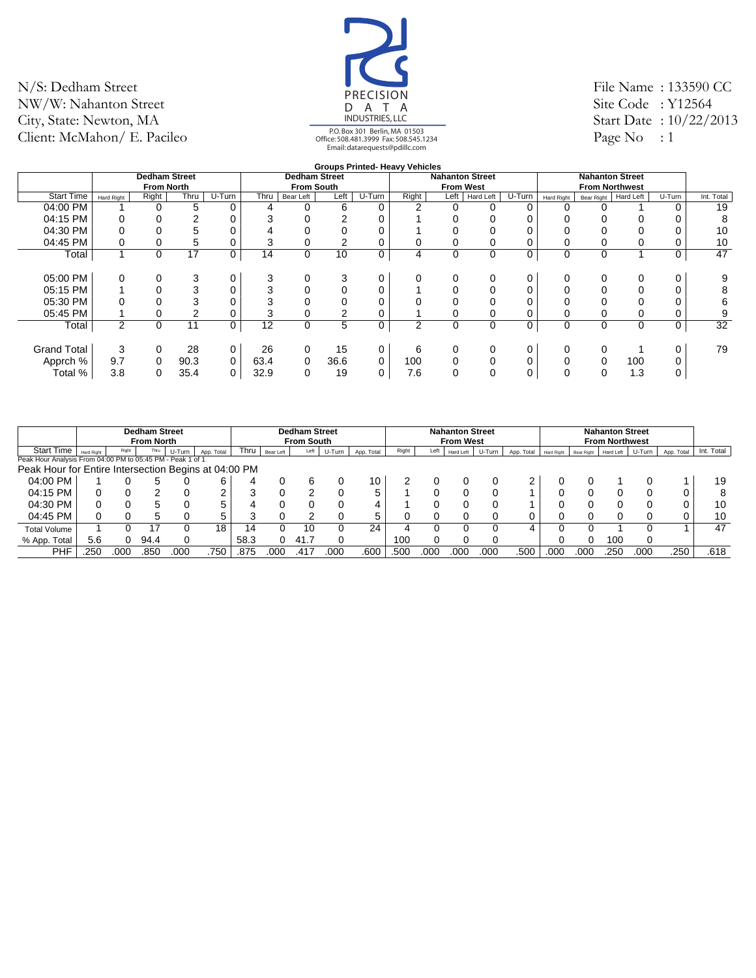![](_page_39_Picture_1.jpeg)

File Name : 133590 CC Site Code: Y12564 Start Date : 10/22/2013 Page No  $: 1$ 

|                    |                |                      |        |             |      |                      |      |        | <b>Groups Printed- Heavy Vehicles</b> |                  |                        |        |            |                        |           |        |            |
|--------------------|----------------|----------------------|--------|-------------|------|----------------------|------|--------|---------------------------------------|------------------|------------------------|--------|------------|------------------------|-----------|--------|------------|
|                    |                | <b>Dedham Street</b> |        |             |      | <b>Dedham Street</b> |      |        |                                       |                  | <b>Nahanton Street</b> |        |            | <b>Nahanton Street</b> |           |        |            |
|                    |                | <b>From North</b>    |        |             |      | <b>From South</b>    |      |        |                                       | <b>From West</b> |                        |        |            | <b>From Northwest</b>  |           |        |            |
| <b>Start Time</b>  | Hard Right     | Right                | Thru   | U-Turn      | Thru | Bear Left            | Left | U-Turn | Right                                 | Left             | Hard Left              | U-Turn | Hard Right | Bear Right             | Hard Left | U-Turn | Int. Total |
| 04:00 PM           |                | $\Omega$             | 5      | 0           | 4    | 0                    | 6    | 0      | 2                                     |                  |                        |        | 0          |                        |           |        | 19         |
| 04:15 PM           |                |                      | 2      |             | 3    |                      | ◠    |        |                                       |                  |                        |        |            |                        |           |        | 8          |
| 04:30 PM           |                |                      | 5      |             | 4    |                      |      |        |                                       |                  |                        |        |            |                        |           |        | 10         |
| 04:45 PM           |                |                      | 5      |             | 3    |                      | 2    |        |                                       |                  |                        |        |            |                        |           |        | 10         |
| Total              |                | 0                    | 17     | 0           | 14   | 0                    | 10   | 0      | 4                                     | 0                | $\mathbf 0$            | 0      | 0          | $\Omega$               |           |        | 47         |
|                    |                |                      |        |             |      |                      |      |        |                                       |                  |                        |        |            |                        |           |        |            |
| 05:00 PM           | 0              |                      | 3      | 0           | 3    | 0                    | 3    |        | 0                                     |                  |                        |        | $\Omega$   |                        | 0         |        | 9          |
| 05:15 PM           |                |                      | 3      | 0           | 3    |                      |      |        |                                       |                  |                        |        |            |                        |           |        | 8          |
| 05:30 PM           |                |                      | 3      |             | 3    |                      |      |        |                                       |                  |                        |        |            |                        |           |        | 6          |
| 05:45 PM           |                |                      | $\sim$ |             | 3    |                      | ົ    |        |                                       |                  |                        |        |            |                        |           |        | 9          |
| Total              | $\overline{2}$ | 0                    | 11     | 0           | 12   | 0                    | 5    | 0      | 2                                     | 0                | $\mathbf 0$            | 0      | 0          | 0                      | 0         | 0      | 32         |
|                    |                |                      |        |             |      |                      |      |        |                                       |                  |                        |        |            |                        |           |        |            |
| <b>Grand Total</b> | 3              | 0                    | 28     | 0           | 26   | 0                    | 15   | 0      | 6                                     |                  | 0                      |        | 0          |                        |           |        | 79         |
| Apprch %           | 9.7            | 0                    | 90.3   | $\mathbf 0$ | 63.4 | 0                    | 36.6 | 0      | 100                                   |                  |                        |        |            |                        | 100       |        |            |
| Total %            | 3.8            | 0                    | 35.4   | 0           | 32.9 | 0                    | 19   | 0      | 7.6                                   |                  |                        |        | 0          |                        | 1.3       |        |            |

|                                                            |                   |       | <b>Dedham Street</b><br><b>From North</b> |        |            |      |           | <b>Dedham Street</b><br><b>From South</b> |        |            |       |      | <b>Nahanton Street</b><br><b>From West</b> |        |            |            |            | <b>Nahanton Street</b><br><b>From Northwest</b> |        |            |            |
|------------------------------------------------------------|-------------------|-------|-------------------------------------------|--------|------------|------|-----------|-------------------------------------------|--------|------------|-------|------|--------------------------------------------|--------|------------|------------|------------|-------------------------------------------------|--------|------------|------------|
| <b>Start Time</b>                                          | <b>Hard Right</b> | Right | Thru                                      | U-Turn | App. Total | Thru | Bear Left | Left                                      | U-Turn | App. Total | Right | Left | Hard Left                                  | U-Turn | App. Total | Hard Right | Bear Right | Hard Left                                       | U-Turn | App. Total | Int. Total |
| Peak Hour Analysis From 04:00 PM to 05:45 PM - Peak 1 of 1 |                   |       |                                           |        |            |      |           |                                           |        |            |       |      |                                            |        |            |            |            |                                                 |        |            |            |
| Peak Hour for Entire Intersection Begins at 04:00 PM       |                   |       |                                           |        |            |      |           |                                           |        |            |       |      |                                            |        |            |            |            |                                                 |        |            |            |
| 04:00 PM                                                   |                   |       |                                           |        |            |      |           |                                           |        | 10         |       |      |                                            |        |            |            |            |                                                 |        |            | 19         |
| 04:15 PM                                                   |                   |       |                                           |        |            |      |           |                                           |        | Б.         |       |      |                                            |        |            |            |            |                                                 |        |            |            |
| 04:30 PM                                                   | 0                 |       |                                           |        |            |      |           |                                           |        | 4          |       |      |                                            |        |            |            |            |                                                 |        | 0          | 10         |
| 04:45 PM                                                   |                   |       | h                                         |        | 5          |      |           |                                           |        | 5.         |       |      |                                            |        |            |            |            |                                                 |        |            | 10         |
| <b>Total Volume</b>                                        |                   |       | 17                                        |        | 18         | 14   |           | 10                                        |        | 24         |       |      |                                            |        | Δ          |            |            |                                                 |        |            | 47         |
| % App. Total                                               | 5.6               |       | 94.4                                      |        |            | 58.3 |           | 41.7                                      |        |            | 100   |      |                                            |        |            |            |            | 10C                                             |        |            |            |
| PHF                                                        | .250              | 000   | .850                                      | 00C    | .750       | .875 | 000       | .417                                      | .00C   | .600       | .500  | 00C  | .000                                       | .000   | .500       | .000       | 000        | .250                                            | .000   | 250        | .618       |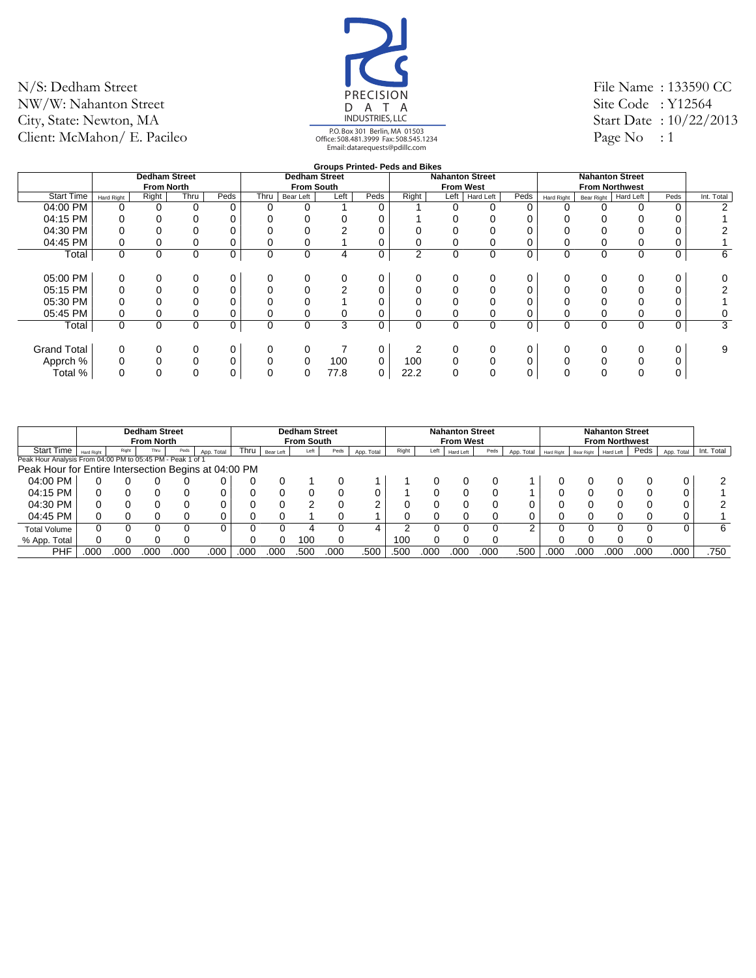![](_page_40_Picture_1.jpeg)

File Name : 133590 CC Site Code: Y12564 Start Date : 10/22/2013 Page No  $: 1$ 

|                    |                   |                      |             |      |      |                      |      |      | <b>Groups Printed- Peds and Bikes</b> |                        |           |      |             |            |                        |             |            |
|--------------------|-------------------|----------------------|-------------|------|------|----------------------|------|------|---------------------------------------|------------------------|-----------|------|-------------|------------|------------------------|-------------|------------|
|                    |                   | <b>Dedham Street</b> |             |      |      | <b>Dedham Street</b> |      |      |                                       | <b>Nahanton Street</b> |           |      |             |            | <b>Nahanton Street</b> |             |            |
|                    |                   | <b>From North</b>    |             |      |      | <b>From South</b>    |      |      |                                       | <b>From West</b>       |           |      |             |            | <b>From Northwest</b>  |             |            |
| <b>Start Time</b>  | <b>Hard Right</b> | Right                | Thru        | Peds | Thru | Bear Left            | Left | Peds | Right                                 | Left                   | Hard Left | Peds | Hard Right  | Bear Right | Hard Left              | Peds        | Int. Total |
| $04:00$ PM         |                   |                      | $\Omega$    | 0    | 0    | 0                    |      |      |                                       | 0                      |           |      |             |            |                        | 0           |            |
| 04:15 PM           |                   |                      | 0           | 0    |      |                      |      |      |                                       |                        |           |      |             |            |                        |             |            |
| 04:30 PM           |                   |                      | 0           | 0    |      |                      |      |      |                                       |                        |           |      |             |            |                        |             |            |
| 04:45 PM           |                   | 0                    | 0           | 0    | 0    | 0                    |      |      |                                       |                        |           |      |             |            |                        |             |            |
| Total              | $\mathbf 0$       | $\Omega$             | $\mathbf 0$ | 0    | 0    | $\mathbf 0$          | 4    | 0    | 2                                     | 0                      | 0         | 0    | $\mathbf 0$ | 0          | $\Omega$               | $\mathbf 0$ | 6          |
|                    |                   |                      |             |      |      |                      |      |      |                                       |                        |           |      |             |            |                        |             |            |
| 05:00 PM           | 0                 | 0                    | 0           | 0    | 0    | 0                    | 0    |      |                                       |                        | 0         |      | 0           |            |                        | 0           |            |
| 05:15 PM           |                   | $\Omega$             | 0           | 0    | 0    | $\Omega$             | 2    |      |                                       |                        |           |      |             |            |                        |             |            |
| 05:30 PM           |                   |                      | 0           | 0    |      | 0                    |      |      |                                       |                        |           |      |             |            |                        |             |            |
| 05:45 PM           | 0                 |                      | 0           | 0    | 0    | 0                    | 0    |      |                                       |                        |           |      |             |            |                        |             |            |
| Total              | 0                 | $\Omega$             | 0           | 0    | 0    | $\mathbf 0$          | 3    | 0    | $\Omega$                              | $\mathbf 0$            | 0         | 0    | $\mathbf 0$ | 0          | $\Omega$               | 0           | 3          |
|                    |                   |                      |             |      |      |                      |      |      |                                       |                        |           |      |             |            |                        |             |            |
| <b>Grand Total</b> | 0                 | 0                    | 0           | 0    | 0    | 0                    |      |      |                                       |                        | 0         |      | 0           |            |                        |             | 9          |
| Apprch %           |                   |                      | 0           | 0    | 0    | 0                    | 100  | 0    | 100                                   | 0                      |           |      |             |            |                        |             |            |
| Total %            | $\Omega$          | $\Omega$             | 0           | 0    | 0    | 0                    | 77.8 | 0    | 22.2                                  | 0                      | 0         | 0    | $\Omega$    |            |                        |             |            |
|                    |                   |                      |             |      |      |                      |      |      |                                       |                        |           |      |             |            |                        |             |            |

|                                                            |                   |       | <b>Dedham Street</b><br><b>From North</b> |      |            |      |           | <b>Dedham Street</b><br><b>From South</b> |      |            |       |      | <b>Nahanton Street</b><br><b>From West</b> |      |            |            |            | <b>Nahanton Street</b><br><b>From Northwest</b> |      |            |            |
|------------------------------------------------------------|-------------------|-------|-------------------------------------------|------|------------|------|-----------|-------------------------------------------|------|------------|-------|------|--------------------------------------------|------|------------|------------|------------|-------------------------------------------------|------|------------|------------|
| Start Time                                                 | <b>Hard Right</b> | Right | Thru                                      | Peds | App. Total | Thru | Bear Left | Left                                      | Peds | App. Total | Right | Left | Hard Left                                  | Peds | App. Total | Hard Right | Bear Right | <b>Hard Left</b>                                | Peds | App. Total | Int. Total |
| Peak Hour Analysis From 04:00 PM to 05:45 PM - Peak 1 of 1 |                   |       |                                           |      |            |      |           |                                           |      |            |       |      |                                            |      |            |            |            |                                                 |      |            |            |
| Peak Hour for Entire Intersection Begins at 04:00 PM       |                   |       |                                           |      |            |      |           |                                           |      |            |       |      |                                            |      |            |            |            |                                                 |      |            |            |
| 04:00 PM                                                   |                   |       |                                           |      |            |      |           |                                           |      |            |       |      |                                            |      |            |            |            |                                                 |      |            |            |
| 04:15 PM                                                   |                   |       |                                           |      |            |      |           |                                           |      |            |       |      |                                            |      |            |            |            |                                                 |      |            |            |
| 04:30 PM                                                   |                   |       |                                           |      |            |      |           |                                           |      |            |       |      |                                            |      |            |            |            |                                                 |      |            |            |
| 04:45 PM                                                   |                   |       |                                           |      |            |      |           |                                           |      |            |       |      |                                            |      |            |            |            |                                                 |      |            |            |
| <b>Total Volume</b>                                        |                   |       |                                           |      |            |      |           |                                           |      |            |       |      |                                            |      |            |            |            |                                                 |      |            | 6          |
| % App. Total                                               |                   |       |                                           |      |            |      |           | 100                                       |      |            | 100   |      |                                            |      |            |            |            |                                                 |      |            |            |
| <b>PHF</b>                                                 | 000               | 000   | 000                                       | 000  | .000       | .000 | 00C       | .500                                      | 00C  | .500       | .500  | 00C  | .000                                       | 000  | .500       | .000       | 000        | 00C                                             | 000  | .000       | .750       |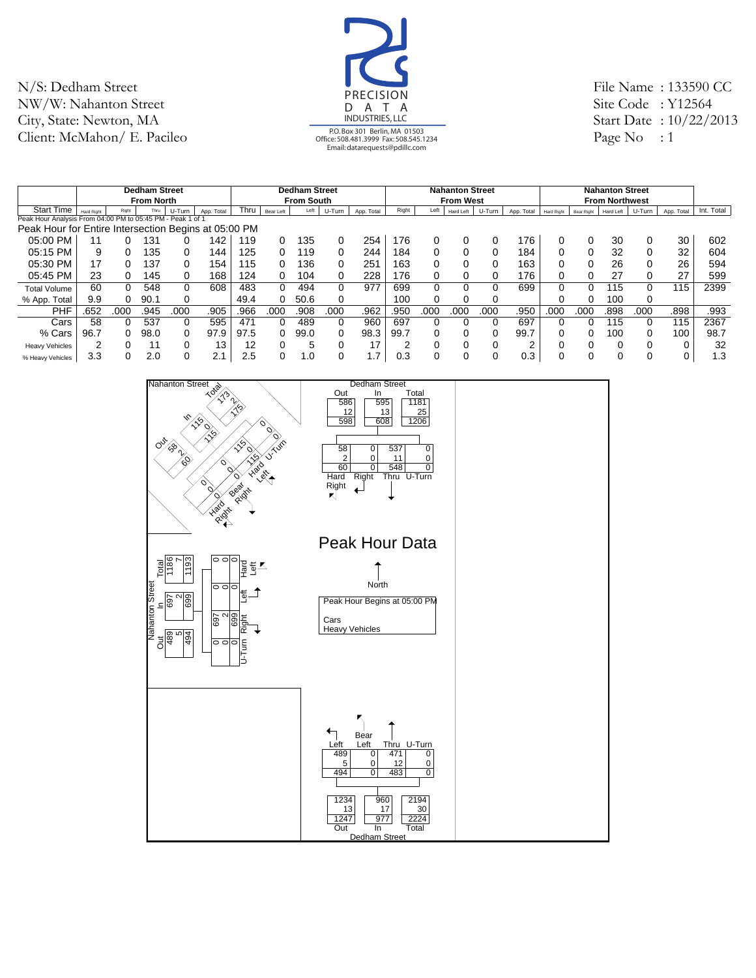![](_page_41_Picture_1.jpeg)

File Name : 133590 CC Site Code : Y12564 Start Date : 10/22/2013 Page No : 1

|                                                            |                   |          | <b>Dedham Street</b> |        |            |      |              | <b>Dedham Street</b> |        |            |       |      | <b>Nahanton Street</b> |        |            |            |            | <b>Nahanton Street</b> |          |            |            |
|------------------------------------------------------------|-------------------|----------|----------------------|--------|------------|------|--------------|----------------------|--------|------------|-------|------|------------------------|--------|------------|------------|------------|------------------------|----------|------------|------------|
|                                                            |                   |          | <b>From North</b>    |        |            |      |              | <b>From South</b>    |        |            |       |      | <b>From West</b>       |        |            |            |            | <b>From Northwest</b>  |          |            |            |
| <b>Start Time</b>                                          | <b>Hard Right</b> | Right    | Thru                 | U-Turn | App. Total | Thru | Bear Left    | Left                 | U-Turn | App. Total | Right | Left | Hard Left              | U-Turn | App. Total | Hard Right | Bear Right | Hard Left              | U-Turn   | App. Total | Int. Total |
| Peak Hour Analysis From 04:00 PM to 05:45 PM - Peak 1 of 1 |                   |          |                      |        |            |      |              |                      |        |            |       |      |                        |        |            |            |            |                        |          |            |            |
| Peak Hour for Entire Intersection Begins at 05:00 PM       |                   |          |                      |        |            |      |              |                      |        |            |       |      |                        |        |            |            |            |                        |          |            |            |
| 05:00 PM                                                   |                   |          | 131                  |        | 142        | 119  |              | 135                  | 0      | 254        | 176   |      |                        |        | 176        |            |            | 30                     | 0        | 30         | 602        |
| 05:15 PM                                                   | 9                 | $\Omega$ | 135                  |        | 144.       | 125  | 0            | 19،                  | 0      | 244        | 184   |      |                        |        | 184        |            |            | 32                     | 0        | 32         | 604        |
| 05:30 PM                                                   | 17                |          | 137                  |        | 154        | 115  |              | 136                  | 0      | 251        | 163   |      |                        |        | 163        |            |            | 26                     |          | 26         | 594        |
| 05:45 PM                                                   | 23                | 0        | 145                  | 0      | 168        | 124  | 0            | 104                  | 0      | 228        | 176   |      |                        |        | 176        | 0          |            | 27                     | 0        | 27         | 599        |
| <b>Total Volume</b>                                        | 60                | $\Omega$ | 548                  | 0      | 608        | 483  | <sup>0</sup> | 494                  | 0      | 977        | 699   | 0    |                        |        | 699        | 0          | 0          | 115                    | 0        | 115        | 2399       |
| % App. Total                                               | 9.9               |          | 90.1                 |        |            | 49.4 |              | 50.6                 | 0      |            | 100   |      |                        |        |            |            |            | 100                    | 0        |            |            |
| <b>PHF</b>                                                 | .652              | .000     | .945                 | .000   | .905       | .966 | .000         | .908                 | .000   | .962       | .950  | .000 | .000                   | .000   | .950       | .000       | .000       | .898                   | .000     | .898       | .993       |
| Cars                                                       | 58                |          | 537                  |        | 595        | 471  |              | 489                  | 0      | 960        | 697   |      |                        |        | 697        |            |            | 115                    | $\Omega$ | 115        | 2367       |
| % Cars                                                     | 96.7              | 0        | 98.0                 |        | 97.9       | 97.5 |              | 99.0                 | 0      | 98.3       | 99.7  |      |                        |        | 99.7       |            |            | 100                    | $\Omega$ | 100        | 98.7       |
| <b>Heavy Vehicles</b>                                      | 2                 | $\Omega$ | 11                   |        | 13         | 12   |              | 5                    | 0      | 17         |       |      |                        |        | $\sqrt{2}$ |            |            |                        | $\Omega$ |            | 32         |
| % Heavy Vehicles                                           | 3.3               |          | 2.0                  |        | 2.1        | 2.5  |              | 1.0                  | 0      | . .7       | 0.3   | ∩    |                        |        | 0.3        |            | 0          |                        | $\Omega$ | 0          | 1.3        |

![](_page_41_Figure_4.jpeg)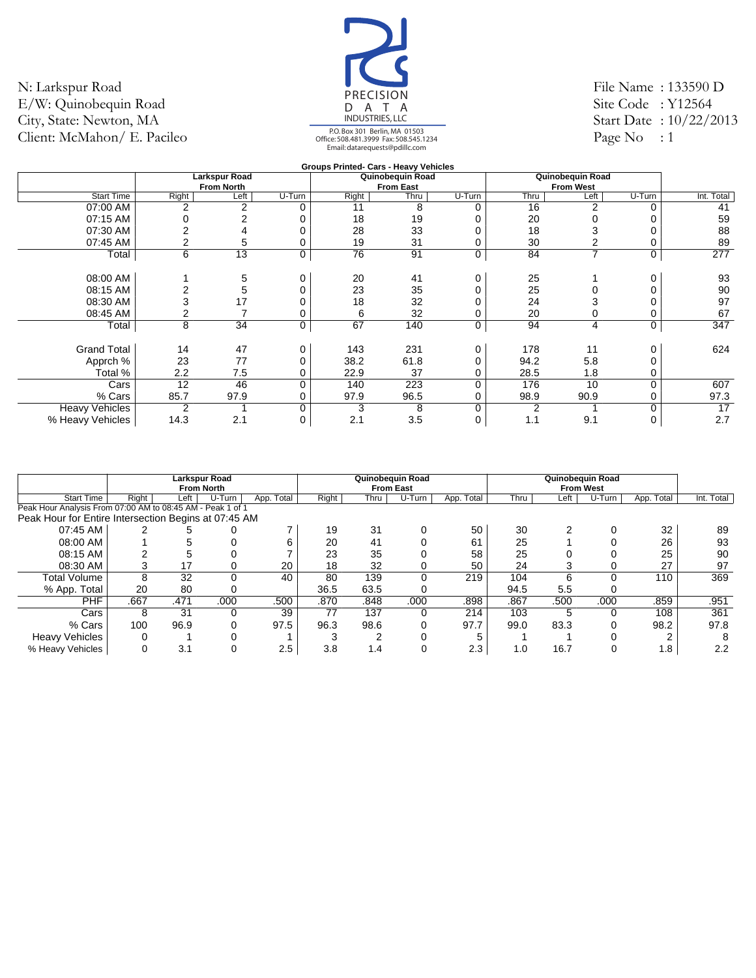![](_page_42_Picture_1.jpeg)

File Name : 133590 D Site Code: Y12564 Start Date : 10/22/2013 Page No  $: 1$ 

|                       |                |                   |        | Groups Printed- Cars - Heavy Vehicles |                  |        |      |                  |             |            |
|-----------------------|----------------|-------------------|--------|---------------------------------------|------------------|--------|------|------------------|-------------|------------|
|                       |                | Larkspur Road     |        |                                       | Quinobequin Road |        |      | Quinobequin Road |             |            |
|                       |                | <b>From North</b> |        |                                       | <b>From East</b> |        |      | <b>From West</b> |             |            |
| <b>Start Time</b>     | Right          | Left              | U-Turn | Right                                 | Thru             | U-Turn | Thru | Left             | U-Turn      | Int. Total |
| 07:00 AM              | 2              | 2                 | n      | 11                                    | 8                | 0      | 16   | 2                | 0           | 41         |
| 07:15 AM              |                |                   |        | 18                                    | 19               |        | 20   |                  |             | 59         |
| 07:30 AM              |                |                   |        | 28                                    | 33               |        | 18   |                  |             | 88         |
| 07:45 AM              |                | 5                 |        | 19                                    | 31               | 0      | 30   |                  | 0           | 89         |
| Total                 | 6              | 13                | 0      | 76                                    | 91               | 0      | 84   | $\overline{ }$   | 0           | 277        |
| 08:00 AM              |                | 5                 |        | 20                                    | 41               | 0      | 25   |                  | 0           | 93         |
| 08:15 AM              |                | 5                 |        | 23                                    | 35               | 0      | 25   |                  | 0           | 90         |
| 08:30 AM              | 3              | 17                |        | 18                                    | 32               |        | 24   |                  |             | 97         |
| 08:45 AM              |                |                   |        | 6                                     | 32               | 0      | 20   |                  | 0           | 67         |
| Total                 | 8              | 34                | 0      | 67                                    | 140              | 0      | 94   | 4                | 0           | 347        |
| <b>Grand Total</b>    | 14             | 47                |        | 143                                   | 231              | 0      | 178  | 11               | 0           | 624        |
| Apprch %              | 23             | 77                |        | 38.2                                  | 61.8             | 0      | 94.2 | 5.8              | 0           |            |
| Total %               | 2.2            | 7.5               |        | 22.9                                  | 37               | 0      | 28.5 | 1.8              |             |            |
| Cars                  | 12             | 46                | O      | 140                                   | 223              | 0      | 176  | 10               | $\Omega$    | 607        |
| % Cars                | 85.7           | 97.9              |        | 97.9                                  | 96.5             | 0      | 98.9 | 90.9             | 0           | 97.3       |
| <b>Heavy Vehicles</b> | $\overline{2}$ |                   | U      | 3                                     | 8                | 0      | 2    |                  | $\mathbf 0$ | 17         |
| % Heavy Vehicles      | 14.3           | 2.1               |        | 2.1                                   | 3.5              | 0      | 1.1  | 9.1              | 0           | 2.7        |

|                                                            |       |      | <b>Larkspur Road</b><br><b>From North</b> |            |       |      | Quinobequin Road<br><b>From East</b> |               |      |      | Quinobequin Road<br><b>From West</b> |            |            |
|------------------------------------------------------------|-------|------|-------------------------------------------|------------|-------|------|--------------------------------------|---------------|------|------|--------------------------------------|------------|------------|
| <b>Start Time</b>                                          | Right | Left | $U-T$ urn                                 | App. Total | Right | Thru | U-Turn                               | Total<br>App. | Thru | Left | U-Turn                               | App. Total | Int. Total |
| Peak Hour Analysis From 07:00 AM to 08:45 AM - Peak 1 of 1 |       |      |                                           |            |       |      |                                      |               |      |      |                                      |            |            |
| Peak Hour for Entire Intersection Begins at 07:45 AM       |       |      |                                           |            |       |      |                                      |               |      |      |                                      |            |            |
| 07:45 AM                                                   |       |      |                                           |            | 19    | 31   |                                      | 50            | 30   | ົ    |                                      | 32         | 89         |
| 08:00 AM                                                   |       |      |                                           | ค          | 20    | 41   |                                      | 61            | 25   |      |                                      | 26         | 93         |
| 08:15 AM                                                   |       |      |                                           |            | 23    | 35   |                                      | 58            | 25   |      |                                      | 25         | 90         |
| 08:30 AM                                                   |       | 17   | 0                                         | 20         | 18    | 32   |                                      | 50            | 24   |      |                                      | 27         | 97         |
| Total Volume                                               | 8     | 32   | 0                                         | 40         | 80    | 139  |                                      | 219           | 104  | 6    |                                      | 110        | 369        |
| % App. Total                                               | 20    | 80   |                                           |            | 36.5  | 63.5 |                                      |               | 94.5 | 5.5  |                                      |            |            |
| <b>PHF</b>                                                 | .667  | .471 | .000                                      | .500       | .870  | .848 | .000                                 | .898          | .867 | .500 | .000                                 | .859       | .951       |
| Cars                                                       | 8     | 31   | 0                                         | 39         | 77    | 137  |                                      | 214           | 103  | 5    |                                      | 108        | 361        |
| % Cars                                                     | 100   | 96.9 | 0                                         | 97.5       | 96.3  | 98.6 |                                      | 97.7          | 99.0 | 83.3 |                                      | 98.2       | 97.8       |
| <b>Heavy Vehicles</b>                                      |       |      |                                           |            |       |      |                                      |               |      |      |                                      |            |            |
| % Heavy Vehicles                                           |       | 3.1  |                                           | 2.5        | 3.8   | 1.4  |                                      | 2.3           | 1.0  | 16.7 |                                      | 1.8        | 2.2        |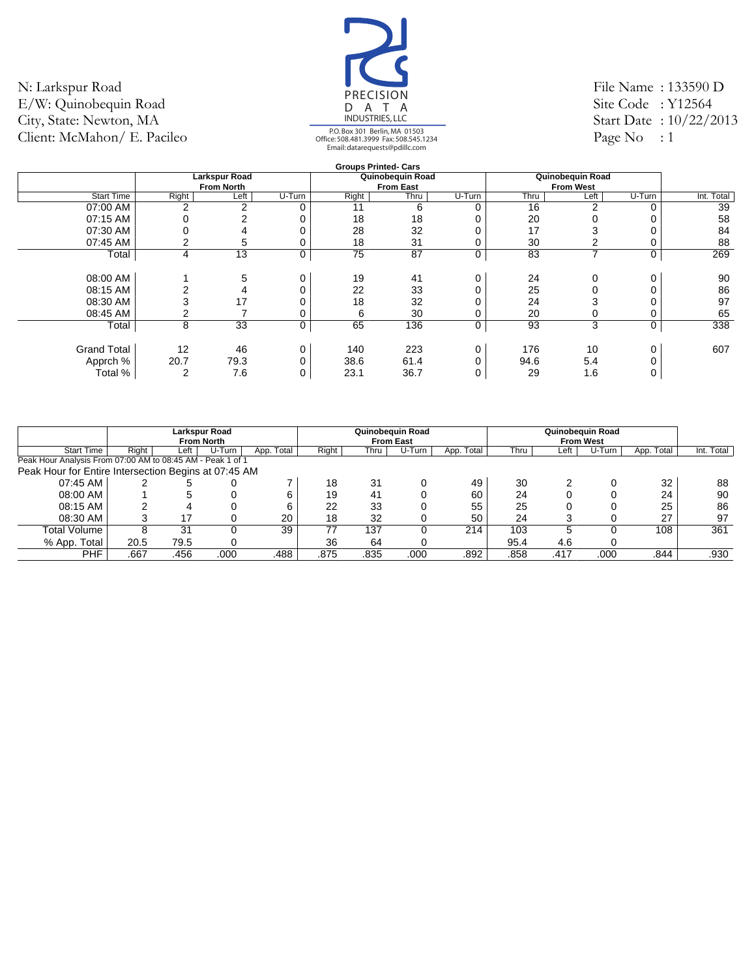![](_page_43_Picture_1.jpeg)

File Name : 133590 D Site Code: Y12564 Start Date : 10/22/2013 Page  $No$  : 1

|                    |       |                      |        |       | <b>Groups Printed- Cars</b> |        |      |                  |        |            |
|--------------------|-------|----------------------|--------|-------|-----------------------------|--------|------|------------------|--------|------------|
|                    |       | <b>Larkspur Road</b> |        |       | Quinobequin Road            |        |      | Quinobequin Road |        |            |
|                    |       | <b>From North</b>    |        |       | <b>From East</b>            |        |      | <b>From West</b> |        |            |
| <b>Start Time</b>  | Right | Left                 | U-Turn | Right | Thru                        | U-Turn | Thru | Left             | U-Turn | Int. Total |
| 07:00 AM           | 2     | $\mathcal{P}$        | 0      | 11    | 6                           | U      | 16   | 2                | ∩      | 39         |
| 07:15 AM           |       | 2                    | 0      | 18    | 18                          |        | 20   |                  |        | 58         |
| 07:30 AM           |       |                      |        | 28    | 32                          |        | 17   |                  |        | 84         |
| 07:45 AM           |       | 5                    | 0      | 18    | 31                          |        | 30   | $\sim$           |        | 88         |
| Total              | 4     | 13                   | 0      | 75    | 87                          | 0      | 83   | 7                | 0      | 269        |
|                    |       |                      |        |       |                             |        |      |                  |        |            |
| 08:00 AM           |       | 5                    | 0      | 19    | 41                          |        | 24   | 0                | 0      | 90         |
| 08:15 AM           |       |                      |        | 22    | 33                          |        | 25   | $\Omega$         |        | 86         |
| 08:30 AM           |       | 17                   |        | 18    | 32                          |        | 24   | 3                |        | 97         |
| 08:45 AM           |       |                      |        | 6     | 30                          |        | 20   | 0                |        | 65         |
| Total              | 8     | 33                   | 0      | 65    | 136                         | 0      | 93   | 3                | 0      | 338        |
|                    |       |                      |        |       |                             |        |      |                  |        |            |
| <b>Grand Total</b> | 12    | 46                   | 0      | 140   | 223                         | 0      | 176  | 10               | 0      | 607        |
| Apprch %           | 20.7  | 79.3                 |        | 38.6  | 61.4                        |        | 94.6 | 5.4              |        |            |
| Total %            | 2     | 7.6                  | 0      | 23.1  | 36.7                        |        | 29   | 1.6              |        |            |
|                    |       |                      |        |       |                             |        |      |                  |        |            |

|                                                            |       |      | <b>Larkspur Road</b><br><b>From North</b> |            |       |      | Quinobequin Road<br><b>From East</b> |            |      |      | Quinobequin Road<br><b>From West</b> |            |            |
|------------------------------------------------------------|-------|------|-------------------------------------------|------------|-------|------|--------------------------------------|------------|------|------|--------------------------------------|------------|------------|
| <b>Start Time</b>                                          | Right | Left | U-Turn                                    | App. Total | Right | Thru | U-Turn                               | App. Total | Thru | ∟eft | U-Turn                               | App. Total | Int. Total |
| Peak Hour Analysis From 07:00 AM to 08:45 AM - Peak 1 of 1 |       |      |                                           |            |       |      |                                      |            |      |      |                                      |            |            |
| Peak Hour for Entire Intersection Begins at 07:45 AM       |       |      |                                           |            |       |      |                                      |            |      |      |                                      |            |            |
| 07:45 AM                                                   |       |      |                                           |            | 18    | 31   |                                      | 49         | 30   |      |                                      | 32         | 88         |
| 08:00 AM                                                   |       | h.   |                                           | 6          | 19    | 41   |                                      | 60         | 24   |      |                                      | 24         | 90         |
| 08:15 AM                                                   |       |      |                                           | 6          | 22    | 33   |                                      | 55         | 25   |      |                                      | 25         | 86         |
| 08:30 AM                                                   |       |      |                                           | 20         | 18    | 32   |                                      | 50         | 24   |      |                                      | 27         | 97         |
| Total Volume                                               |       | 31   |                                           | 39         | 77    | 137  |                                      | 214        | 103  | 5    |                                      | 108        | 361        |
| % App. Total                                               | 20.5  | 79.5 |                                           |            | 36    | 64   |                                      |            | 95.4 | 4.6  |                                      |            |            |
| <b>PHF</b>                                                 | .667  | .456 | .000                                      | .488       | .875  | .835 | .000                                 | .892       | .858 | .417 | .000                                 | .844       | .930       |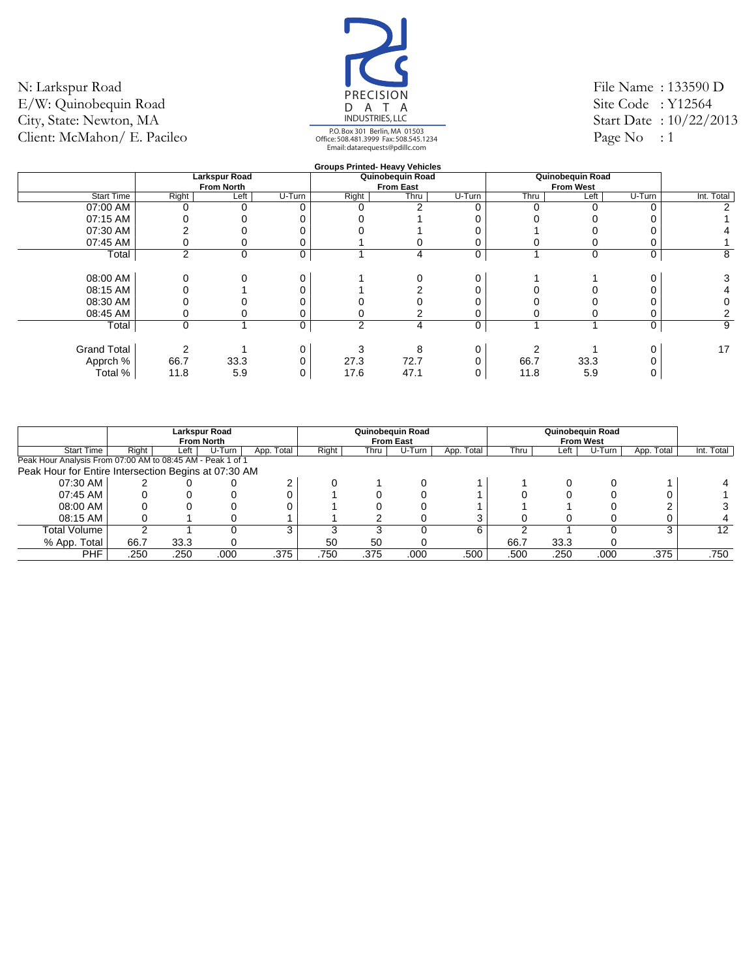![](_page_44_Picture_1.jpeg)

File Name : 133590 D Site Code: Y12564 Start Date : 10/22/2013 Page  $No$  : 1

|                    |       |                   |        |                | <b>Groups Printed- Heavy Vehicles</b> |        |      |                  |        |            |
|--------------------|-------|-------------------|--------|----------------|---------------------------------------|--------|------|------------------|--------|------------|
|                    |       | Larkspur Road     |        |                | Quinobequin Road                      |        |      | Quinobequin Road |        |            |
|                    |       | <b>From North</b> |        |                | <b>From East</b>                      |        |      | <b>From West</b> |        |            |
| <b>Start Time</b>  | Right | Left              | U-Turn | Right          | Thru                                  | U-Turn | Thru | Left             | U-Turn | Int. Total |
| 07:00 AM           |       |                   |        |                |                                       |        |      |                  |        | 2          |
| 07:15 AM           |       |                   |        |                |                                       |        |      |                  |        |            |
| 07:30 AM           |       |                   |        |                |                                       |        |      |                  |        |            |
| 07:45 AM           |       |                   |        |                |                                       |        |      |                  |        |            |
| Total              | 2     | $\Omega$          | 0      |                | 4                                     | 0      |      | $\mathbf 0$      | 0      | 8          |
|                    |       |                   |        |                |                                       |        |      |                  |        |            |
| 08:00 AM           |       |                   |        |                |                                       |        |      |                  |        | 3          |
| 08:15 AM           |       |                   |        |                |                                       |        |      |                  |        |            |
| 08:30 AM           |       |                   |        |                |                                       |        |      |                  |        |            |
| 08:45 AM           |       |                   |        |                |                                       |        |      |                  |        |            |
| Total              | 0     |                   | 0      | $\overline{2}$ | 4                                     | 0      |      |                  | 0      | 9          |
|                    |       |                   |        |                |                                       |        |      |                  |        |            |
| <b>Grand Total</b> |       |                   |        |                | 8                                     |        |      |                  |        | 17         |
| Apprch %           | 66.7  | 33.3              |        | 27.3           | 72.7                                  |        | 66.7 | 33.3             |        |            |
| Total %            | 11.8  | 5.9               |        | 17.6           | 47.1                                  |        | 11.8 | 5.9              |        |            |
|                    |       |                   |        |                |                                       |        |      |                  |        |            |

|                                                            |       |      | Larkspur Road<br><b>From North</b> |            |       |      | Quinobeguin Road<br><b>From East</b> |            |      |      | Quinobeguin Road<br><b>From West</b> |            |            |
|------------------------------------------------------------|-------|------|------------------------------------|------------|-------|------|--------------------------------------|------------|------|------|--------------------------------------|------------|------------|
| <b>Start Time</b>                                          | Right | Left | U-Turn                             | App. Total | Right | Thru | U-Turn                               | App. Total | Thru | Left | U-Turn                               | App. Total | Int. Total |
| Peak Hour Analysis From 07:00 AM to 08:45 AM - Peak 1 of 1 |       |      |                                    |            |       |      |                                      |            |      |      |                                      |            |            |
| Peak Hour for Entire Intersection Begins at 07:30 AM       |       |      |                                    |            |       |      |                                      |            |      |      |                                      |            |            |
| 07:30 AM                                                   |       |      |                                    |            |       |      |                                      |            |      |      |                                      |            |            |
| 07:45 AM                                                   |       |      |                                    |            |       |      |                                      |            |      |      |                                      |            |            |
| 08:00 AM                                                   |       |      |                                    |            |       |      |                                      |            |      |      |                                      |            |            |
| 08:15 AM                                                   |       |      |                                    |            |       |      |                                      |            |      |      |                                      |            |            |
| Total Volume                                               |       |      |                                    | 3          |       |      |                                      | 6          |      |      |                                      | 3          | 12         |
| % App. Total                                               | 66.7  | 33.3 |                                    |            | 50    | 50   |                                      |            | 66.7 | 33.3 |                                      |            |            |
| <b>PHF</b>                                                 | .250  | .250 | .000                               | .375       | .750  | .375 | .000                                 | .500       | .500 | .250 | .000                                 | .375       | .750       |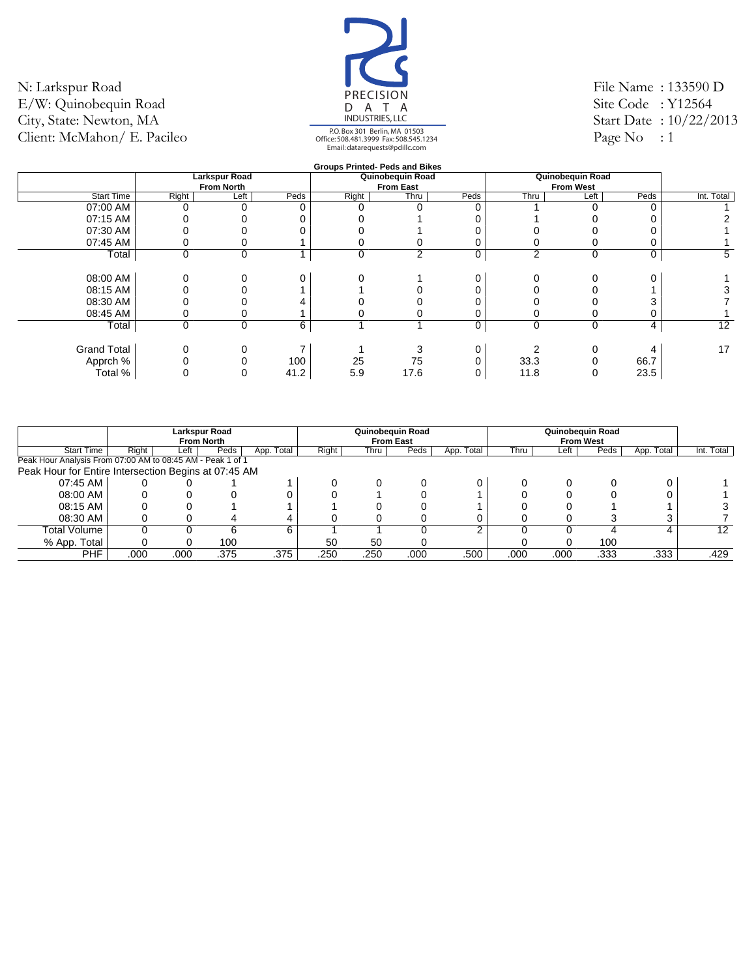![](_page_45_Picture_1.jpeg)

File Name : 133590 D Site Code: Y12564 Start Date : 10/22/2013 Page  $No$  : 1

|                    |             |                      |      |       | <b>Groups Printed- Peds and Bikes</b> |      |             |                  |      |            |
|--------------------|-------------|----------------------|------|-------|---------------------------------------|------|-------------|------------------|------|------------|
|                    |             | <b>Larkspur Road</b> |      |       | Quinobequin Road                      |      |             | Quinobequin Road |      |            |
|                    |             | <b>From North</b>    |      |       | <b>From East</b>                      |      |             | <b>From West</b> |      |            |
| <b>Start Time</b>  | Right       | Left                 | Peds | Right | Thru                                  | Peds | Thru        | Left             | Peds | Int. Total |
| 07:00 AM           |             |                      |      |       |                                       |      |             |                  |      |            |
| 07:15 AM           |             |                      |      |       |                                       |      |             |                  |      |            |
| 07:30 AM           |             |                      |      |       |                                       |      |             |                  |      |            |
| 07:45 AM           |             |                      |      |       |                                       |      |             |                  |      |            |
| Total              | 0           | $\mathbf 0$          |      | 0     | $\overline{2}$                        | 0    | 2           | $\mathbf 0$      | 0    | 5          |
|                    |             |                      |      |       |                                       |      |             |                  |      |            |
| 08:00 AM           |             |                      |      |       |                                       |      |             |                  |      |            |
| 08:15 AM           |             |                      |      |       |                                       |      |             |                  |      |            |
| 08:30 AM           |             |                      |      |       |                                       |      |             |                  |      |            |
| 08:45 AM           |             |                      |      |       |                                       |      |             |                  |      |            |
| Total              | $\mathbf 0$ | $\mathbf 0$          | 6    |       |                                       | 0    | $\mathbf 0$ | $\Omega$         | 4    | 12         |
|                    |             |                      |      |       |                                       |      |             |                  |      |            |
| <b>Grand Total</b> |             |                      |      |       |                                       |      |             |                  |      | 17         |
| Apprch %           |             |                      | 100  | 25    | 75                                    |      | 33.3        |                  | 66.7 |            |
| Total %            |             |                      | 41.2 | 5.9   | 17.6                                  |      | 11.8        |                  | 23.5 |            |
|                    |             |                      |      |       |                                       |      |             |                  |      |            |

|                                                            |       | <b>Larkspur Road</b><br><b>From North</b> |      |            |       |      | Quinobequin Road<br><b>From East</b> |            |      |      | Quinobequin Road<br><b>From West</b> |            |            |
|------------------------------------------------------------|-------|-------------------------------------------|------|------------|-------|------|--------------------------------------|------------|------|------|--------------------------------------|------------|------------|
| <b>Start Time</b>                                          | Right | Left '                                    | Peds | App. Total | Right | Thru | Peds                                 | App. Total | Thru | ∟eft | Peds                                 | App. Total | Int. Total |
| Peak Hour Analysis From 07:00 AM to 08:45 AM - Peak 1 of 1 |       |                                           |      |            |       |      |                                      |            |      |      |                                      |            |            |
| Peak Hour for Entire Intersection Begins at 07:45 AM       |       |                                           |      |            |       |      |                                      |            |      |      |                                      |            |            |
| 07:45 AM                                                   |       |                                           |      |            |       |      |                                      |            |      |      |                                      |            |            |
| 08:00 AM                                                   |       |                                           |      |            |       |      |                                      |            |      |      |                                      |            |            |
| 08:15 AM                                                   |       |                                           |      |            |       |      |                                      |            |      |      |                                      |            |            |
| 08:30 AM                                                   |       |                                           |      | 4          |       |      |                                      |            |      |      |                                      |            |            |
| Total Volume                                               |       |                                           | 6    | 6          |       |      |                                      | ົ          |      |      |                                      |            | 12         |
| % App. Total                                               |       |                                           | 100  |            | 50    | 50   |                                      |            |      |      | 100                                  |            |            |
| PHF                                                        | .000  | .000                                      | .375 | .375       | .250  | .250 | .000                                 | .500       | .000 | .000 | .333                                 | .333       | .429       |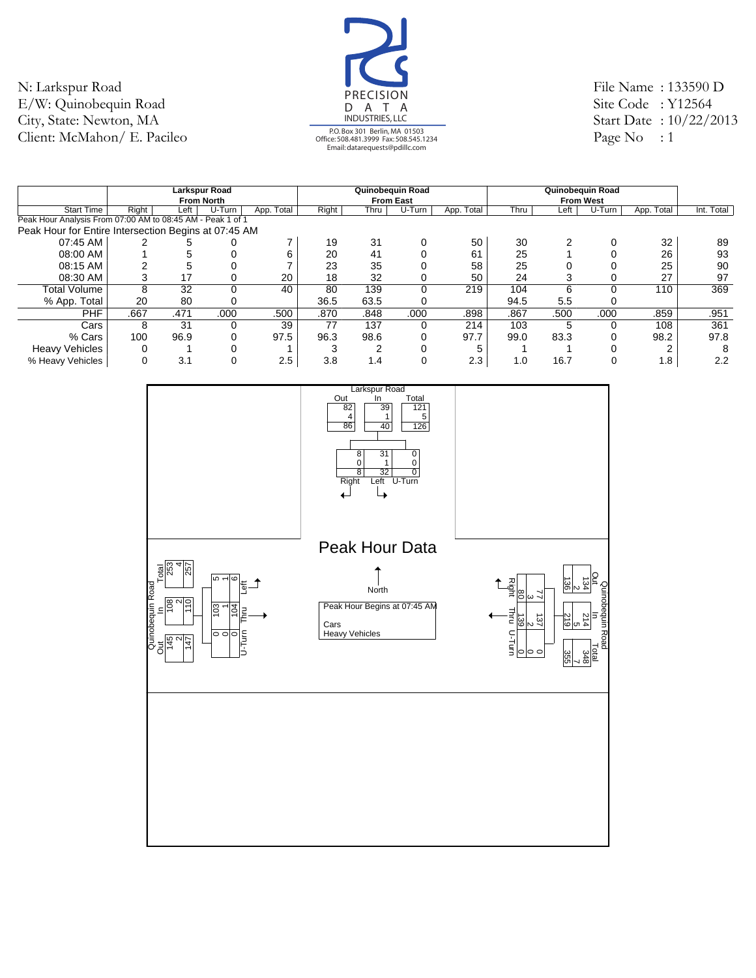![](_page_46_Picture_1.jpeg)

File Name : 133590 D Site Code : Y12564 Start Date : 10/22/2013 Page No : 1

|                                                            |       |      | <b>Larkspur Road</b> |            |       |      | Quinobequin Road |            | Quinobequin Road |      |                  |            |            |
|------------------------------------------------------------|-------|------|----------------------|------------|-------|------|------------------|------------|------------------|------|------------------|------------|------------|
|                                                            |       |      | <b>From North</b>    |            |       |      | <b>From East</b> |            |                  |      | <b>From West</b> |            |            |
| <b>Start Time</b>                                          | Right | Left | U-Turn               | App. Total | Right | Thru | U-Turn           | App. Total | Thru             | Left | U-Turn           | App. Total | Int. Total |
| Peak Hour Analysis From 07:00 AM to 08:45 AM - Peak 1 of 1 |       |      |                      |            |       |      |                  |            |                  |      |                  |            |            |
| Peak Hour for Entire Intersection Begins at 07:45 AM       |       |      |                      |            |       |      |                  |            |                  |      |                  |            |            |
| 07:45 AM                                                   |       |      |                      |            | 19    | 31   | 0                | 50         | 30               | ◠    |                  | 32         | 89         |
| 08:00 AM                                                   |       |      |                      | 6          | 20    | 41   |                  | 61         | 25               |      |                  | 26         | 93         |
| 08:15 AM                                                   |       |      |                      |            | 23    | 35   |                  | 58         | 25               |      |                  | 25         | 90         |
| 08:30 AM                                                   |       | 17   | 0                    | 20         | 18    | 32   |                  | 50         | 24               |      | 0                | 27         | 97         |
| Total Volume                                               | 8     | 32   | $\Omega$             | 40         | 80    | 139  | $\Omega$         | 219        | 104              | 6    | $\Omega$         | 110        | 369        |
| % App. Total                                               | 20    | 80   |                      |            | 36.5  | 63.5 | 0                |            | 94.5             | 5.5  |                  |            |            |
| <b>PHF</b>                                                 | .667  | .471 | .000                 | .500       | .870  | .848 | .000             | .898       | .867             | .500 | .000             | .859       | .951       |
| Cars                                                       | 8     | 31   | 0                    | 39         | 77    | 137  | 0                | 214        | 103              | 5    | 0                | 108        | 361        |
| % Cars                                                     | 100   | 96.9 | 0                    | 97.5       | 96.3  | 98.6 | 0                | 97.7       | 99.0             | 83.3 | 0                | 98.2       | 97.8       |
| <b>Heavy Vehicles</b>                                      |       |      | 0                    |            | p     |      |                  | 5          |                  |      |                  |            | 8          |
| % Heavy Vehicles                                           |       | 3.1  | $\Omega$             | 2.5        | 3.8   | 1.4  | 0                | 2.3        | 1.0              | 16.7 | 0                | 1.8        | 2.2        |

![](_page_46_Figure_4.jpeg)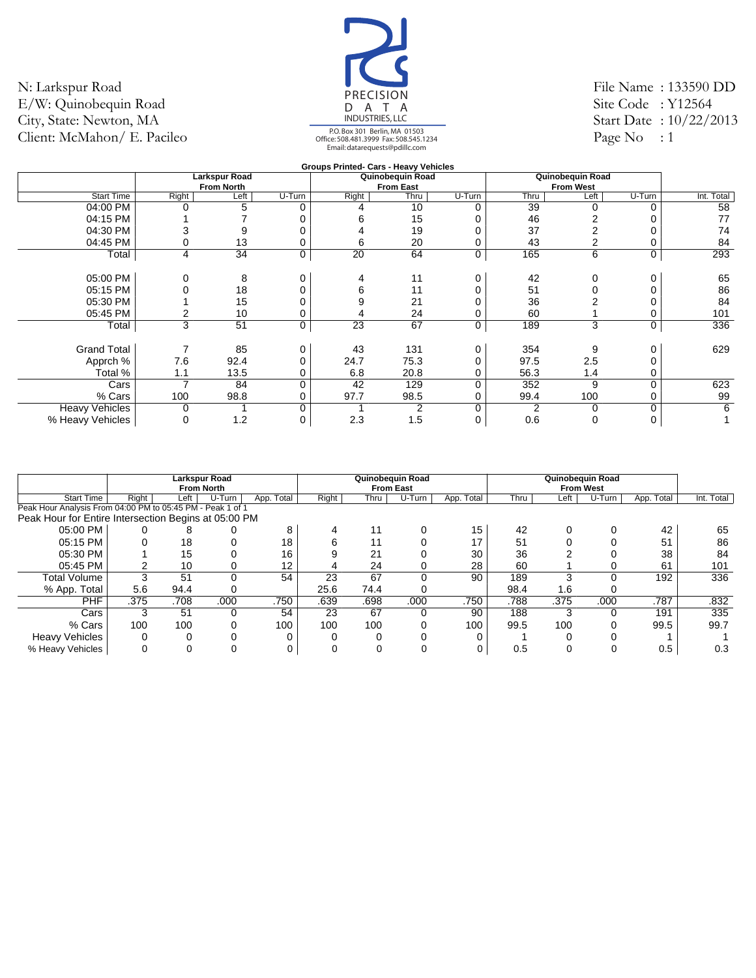![](_page_47_Picture_1.jpeg)

File Name : 133590 DD Site Code : Y12564 Start Date : 10/22/2013 Page No  $: 1$ 

|                       |                |                   |          | Groups Printed- Cars - Heavy Vehicles |                  |        |      |                  |             |            |
|-----------------------|----------------|-------------------|----------|---------------------------------------|------------------|--------|------|------------------|-------------|------------|
|                       |                | Larkspur Road     |          |                                       | Quinobequin Road |        |      | Quinobequin Road |             |            |
|                       |                | <b>From North</b> |          |                                       | <b>From East</b> |        |      | <b>From West</b> |             |            |
| <b>Start Time</b>     | Right          | Left              | U-Turn   | Right                                 | Thru             | U-Turn | Thru | Left             | U-Turn      | Int. Total |
| 04:00 PM              | 0              | 5                 | 0        | 4                                     | 10               | 0      | 39   | 0                | 0           | 58         |
| 04:15 PM              |                |                   |          | n                                     | 15               |        | 46   |                  |             | 77         |
| 04:30 PM              |                |                   |          |                                       | 19               |        | 37   | 2                |             | 74         |
| 04:45 PM              |                | 13                |          | 6                                     | 20               | 0      | 43   | 2                | 0           | 84         |
| Total                 | $\overline{4}$ | 34                | 0        | 20                                    | 64               | 0      | 165  | 6                | 0           | 293        |
|                       |                |                   |          |                                       |                  |        |      |                  |             |            |
| 05:00 PM              | 0              | 8                 | 0        | 4                                     | 11               | 0      | 42   | 0                | 0           | 65         |
| 05:15 PM              |                | 18                |          | 6                                     | 11               | 0      | 51   | 0                | 0           | 86         |
| 05:30 PM              |                | 15                |          |                                       | 21               |        | 36   |                  |             | 84         |
| 05:45 PM              |                | 10                |          |                                       | 24               |        | 60   |                  | $\mathbf 0$ | 101        |
| Total                 | 3              | 51                | 0        | 23                                    | 67               | 0      | 189  | 3                | $\mathbf 0$ | 336        |
|                       |                |                   |          |                                       |                  |        |      |                  |             |            |
| <b>Grand Total</b>    | ⇁              | 85                |          | 43                                    | 131              | 0      | 354  | 9                | 0           | 629        |
| Apprch %              | 7.6            | 92.4              |          | 24.7                                  | 75.3             | ი      | 97.5 | 2.5              | $\Omega$    |            |
| Total %               | 1.1            | 13.5              |          | 6.8                                   | 20.8             |        | 56.3 | 1.4              | 0           |            |
| Cars                  | ⇁              | 84                | $\Omega$ | 42                                    | 129              | 0      | 352  | 9                | $\mathbf 0$ | 623        |
| % Cars                | 100            | 98.8              |          | 97.7                                  | 98.5             |        | 99.4 | 100              | 0           | 99         |
| <b>Heavy Vehicles</b> | 0              |                   | 0        |                                       | 2                | 0      | 2    | 0                | 0           | 6          |
| % Heavy Vehicles      | 0              | 1.2               | 0        | 2.3                                   | 1.5              | 0      | 0.6  | 0                | 0           |            |

|                                                            |       |      | <b>Larkspur Road</b><br><b>From North</b> |            |       |      | Quinobequin Road<br><b>From East</b> |            |      |         | Quinobequin Road<br><b>From West</b> |               |            |
|------------------------------------------------------------|-------|------|-------------------------------------------|------------|-------|------|--------------------------------------|------------|------|---------|--------------------------------------|---------------|------------|
| <b>Start Time</b>                                          | Right | Left | U-Turn                                    | App. Total | Right | Thru | U-Turn                               | App. Total | Thru | $E$ eft | U-Turn                               | Total<br>App. | Int. Total |
| Peak Hour Analysis From 04:00 PM to 05:45 PM - Peak 1 of 1 |       |      |                                           |            |       |      |                                      |            |      |         |                                      |               |            |
| Peak Hour for Entire Intersection Begins at 05:00 PM       |       |      |                                           |            |       |      |                                      |            |      |         |                                      |               |            |
| 05:00 PM                                                   |       | ົ    |                                           | 8          |       | 11   |                                      | 15         | 42   |         |                                      | 42            | 65         |
| 05:15 PM                                                   |       | 18   |                                           | 18         |       | 11   |                                      | 17         | 51   |         |                                      | 51            | 86         |
| 05:30 PM                                                   |       | 15   |                                           | 16         |       | 21   |                                      | 30         | 36   |         |                                      | 38            | 84         |
| 05:45 PM                                                   |       | 10   |                                           | 12         |       | 24   |                                      | 28         | 60   |         |                                      | 61            | 101        |
| Total Volume                                               |       | 51   | O                                         | 54         | 23    | 67   |                                      | 90         | 189  | ົ       | $\Omega$                             | 192           | 336        |
| % App. Total                                               | 5.6   | 94.4 |                                           |            | 25.6  | 74.4 |                                      |            | 98.4 | 1.6     |                                      |               |            |
| <b>PHF</b>                                                 | .375  | .708 | .000                                      | .750       | .639  | .698 | .000                                 | .750       | .788 | .375    | .000                                 | .787          | .832       |
| Cars                                                       |       | 51   | 0                                         | 54         | 23    | 67   |                                      | 90         | 188  | 3       | 0                                    | 191           | 335        |
| % Cars                                                     | 100   | 100  |                                           | 100        | 100   | 100  |                                      | 100        | 99.5 | 100     | $\Omega$                             | 99.5          | 99.7       |
| <b>Heavy Vehicles</b>                                      |       |      |                                           |            |       |      |                                      |            |      |         |                                      |               |            |
| % Heavy Vehicles                                           |       |      |                                           |            |       |      |                                      |            | 0.5  |         |                                      | 0.5           | 0.3        |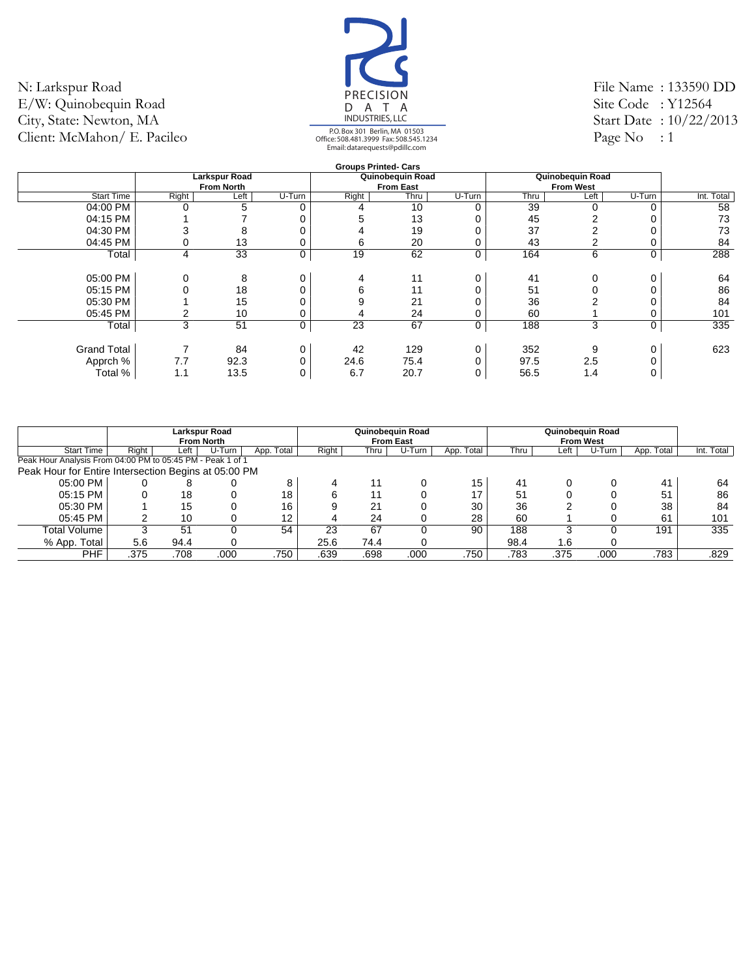![](_page_48_Picture_1.jpeg)

File Name : 133590 DD Site Code : Y12564 Start Date : 10/22/2013 Page No  $: 1$ 

|                    |       |                      |        |       | <b>Groups Printed- Cars</b> |        |      |                  |          |            |
|--------------------|-------|----------------------|--------|-------|-----------------------------|--------|------|------------------|----------|------------|
|                    |       | <b>Larkspur Road</b> |        |       | Quinobequin Road            |        |      | Quinobequin Road |          |            |
|                    |       | <b>From North</b>    |        |       | <b>From East</b>            |        |      | <b>From West</b> |          |            |
| <b>Start Time</b>  | Right | Left                 | U-Turn | Right | Thru                        | U-Turn | Thru | Left             | U-Turn   | Int. Total |
| 04:00 PM           |       | 5                    |        |       | 10                          | U      | 39   | 0                | $\Omega$ | 58         |
| 04:15 PM           |       |                      |        |       | 13                          |        | 45   | 2                |          | 73         |
| 04:30 PM           |       | 8                    |        |       | 19                          |        | 37   | $\overline{2}$   |          | 73         |
| 04:45 PM           |       | 13                   |        | 6     | 20                          |        | 43   | 2                |          | 84         |
| Total              | 4     | 33                   | 0      | 19    | 62                          | 0      | 164  | 6                | 0        | 288        |
|                    |       |                      |        |       |                             |        |      |                  |          |            |
| 05:00 PM           |       | 8                    |        | 4     | 11                          |        | 41   | 0                | 0        | 64         |
| 05:15 PM           |       | 18                   |        | 6     | 11                          |        | 51   | 0                | 0        | 86         |
| 05:30 PM           |       | 15                   |        | 9     | 21                          |        | 36   |                  |          | 84         |
| 05:45 PM           |       | 10                   |        |       | 24                          |        | 60   |                  | 0        | 101        |
| Total              | 3     | 51                   | 0      | 23    | 67                          | 0      | 188  | 3                | 0        | 335        |
|                    |       |                      |        |       |                             |        |      |                  |          |            |
| <b>Grand Total</b> |       | 84                   |        | 42    | 129                         | 0      | 352  | 9                | 0        | 623        |
| Apprch %           | 7.7   | 92.3                 |        | 24.6  | 75.4                        |        | 97.5 | 2.5              |          |            |
| Total %            | 1.1   | 13.5                 |        | 6.7   | 20.7                        | 0      | 56.5 | 1.4              | 0        |            |

|                                                            |       |      | Larkspur Road<br><b>From North</b> |            |       |      | Quinobeguin Road<br><b>From East</b> |            | Quinobequin Road<br><b>From West</b> |      |        |            |            |
|------------------------------------------------------------|-------|------|------------------------------------|------------|-------|------|--------------------------------------|------------|--------------------------------------|------|--------|------------|------------|
| <b>Start Time</b>                                          | Right | Left | U-Turn                             | App. Total | Right | Thru | U-Turn                               | App. Total | Thru                                 | Left | U-Turn | App. Total | Int. Total |
| Peak Hour Analysis From 04:00 PM to 05:45 PM - Peak 1 of 1 |       |      |                                    |            |       |      |                                      |            |                                      |      |        |            |            |
| Peak Hour for Entire Intersection Begins at 05:00 PM       |       |      |                                    |            |       |      |                                      |            |                                      |      |        |            |            |
| 05:00 PM                                                   |       |      |                                    | 8          |       | 11   |                                      | 15         | 41                                   |      |        | 41         | 64         |
| 05:15 PM                                                   |       | 18   |                                    | 18         |       | 11   |                                      | 17         | 51                                   |      |        | 51         | 86         |
| 05:30 PM                                                   |       | 15   |                                    | 16         |       | 21   |                                      | 30         | 36                                   |      |        | 38         | 84         |
| 05:45 PM                                                   |       | 10   |                                    | 12         |       | 24   |                                      | 28         | 60                                   |      |        | 61         | 101        |
| Total Volume                                               |       | 51   |                                    | 54         | 23    | 67   |                                      | 90         | 188                                  |      |        | 191        | 335        |
| % App. Total                                               | 5.6   | 94.4 |                                    |            | 25.6  | 74.4 |                                      |            | 98.4                                 | 1.6  |        |            |            |
| <b>PHF</b>                                                 | .375  | .708 | .000                               | .750       | .639  | .698 | .000                                 | .750       | .783                                 | .375 | .000   | .783       | .829       |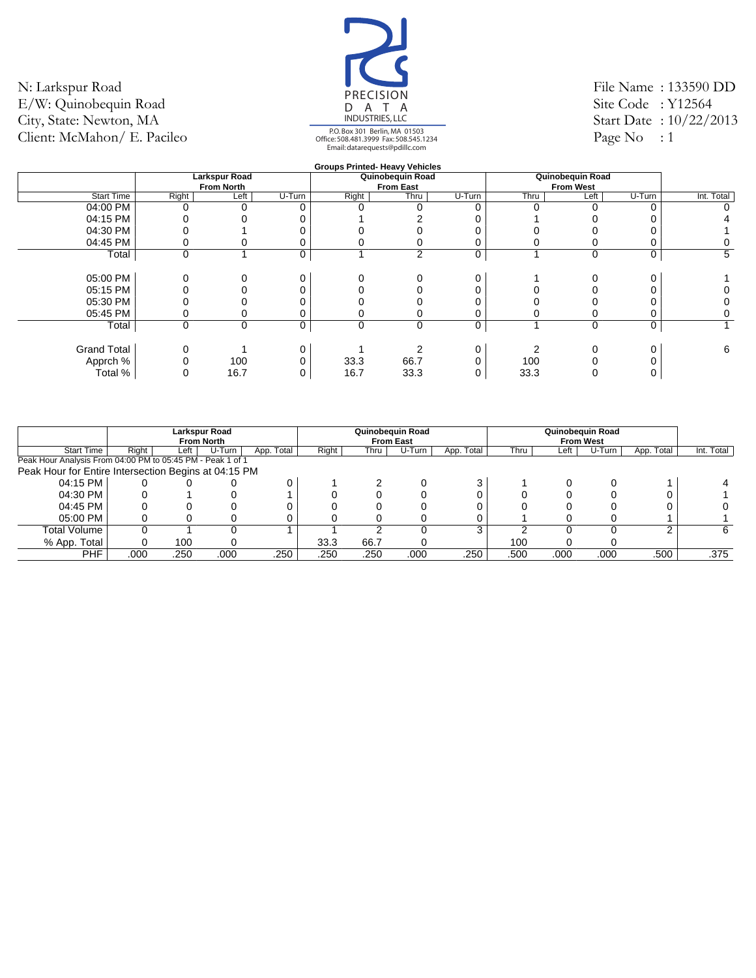![](_page_49_Picture_1.jpeg)

File Name : 133590 DD Site Code : Y12564 Start Date : 10/22/2013 Page No  $: 1$ 

|                    |          |                      |        |       | <b>Groups Printed- Heavy Vehicles</b> |          |          |                  |        |            |
|--------------------|----------|----------------------|--------|-------|---------------------------------------|----------|----------|------------------|--------|------------|
|                    |          | <b>Larkspur Road</b> |        |       | Quinobequin Road                      |          |          | Quinobequin Road |        |            |
|                    |          | <b>From North</b>    |        |       | <b>From East</b>                      |          |          | <b>From West</b> |        |            |
| <b>Start Time</b>  | Right    | Left                 | U-Turn | Right | Thru                                  | U-Turn   | Thru     | Left             | U-Turn | Int. Total |
| 04:00 PM           |          |                      |        |       |                                       | $\Omega$ | $\Omega$ |                  | ∩      | 0          |
| 04:15 PM           |          |                      |        |       |                                       |          |          |                  |        |            |
| 04:30 PM           |          |                      |        |       |                                       |          |          |                  |        |            |
| 04:45 PM           |          |                      |        |       |                                       | 0        |          |                  |        | 0          |
| Total              | 0        |                      | 0      |       | 2                                     | 0        |          | $\Omega$         | 0      | 5          |
|                    |          |                      |        |       |                                       |          |          |                  |        |            |
| 05:00 PM           |          |                      |        |       |                                       | 0        |          |                  |        |            |
| 05:15 PM           |          |                      |        |       |                                       |          |          |                  |        |            |
| 05:30 PM           |          |                      |        |       |                                       |          |          |                  |        | 0          |
| 05:45 PM           |          |                      |        |       |                                       | 0        |          |                  |        | 0          |
| Total              | $\Omega$ | $\mathbf 0$          | 0      | 0     | 0                                     | 0        |          | $\Omega$         | 0      |            |
|                    |          |                      |        |       |                                       |          |          |                  |        |            |
| <b>Grand Total</b> |          |                      |        |       |                                       | 0        |          |                  |        | 6          |
| Apprch %           |          | 100                  |        | 33.3  | 66.7                                  | ∩        | 100      |                  |        |            |
| Total %            |          | 16.7                 |        | 16.7  | 33.3                                  | 0        | 33.3     |                  |        |            |
|                    |          |                      |        |       |                                       |          |          |                  |        |            |

|                                                            |       |      | Larkspur Road<br><b>From North</b> |            |       |      | Quinobequin Road<br><b>From East</b> |            | Quinobeguin Road<br><b>From West</b> |      |        |                   |            |
|------------------------------------------------------------|-------|------|------------------------------------|------------|-------|------|--------------------------------------|------------|--------------------------------------|------|--------|-------------------|------------|
| <b>Start Time</b>                                          | Right | Left | U-Turn                             | App. Total | Right | Thru | U-Turn                               | App. Total | Thru                                 | Left | U-Turn | App. Total        | Int. Total |
| Peak Hour Analysis From 04:00 PM to 05:45 PM - Peak 1 of 1 |       |      |                                    |            |       |      |                                      |            |                                      |      |        |                   |            |
| Peak Hour for Entire Intersection Begins at 04:15 PM       |       |      |                                    |            |       |      |                                      |            |                                      |      |        |                   |            |
| 04:15 PM                                                   |       |      |                                    |            |       |      |                                      | 3          |                                      |      |        |                   |            |
| 04:30 PM                                                   |       |      |                                    |            |       |      |                                      |            |                                      |      |        |                   |            |
| 04:45 PM                                                   |       |      |                                    |            |       |      |                                      |            |                                      |      |        |                   |            |
| 05:00 PM                                                   |       |      |                                    |            |       |      |                                      |            |                                      |      |        |                   |            |
| Total Volume                                               |       |      |                                    |            |       |      |                                      | 3          |                                      |      |        |                   | 6          |
| % App. Total                                               |       | 100  |                                    |            | 33.3  | 66.7 |                                      |            | 100                                  |      |        |                   |            |
| <b>PHF</b>                                                 | .000  | .250 | .000                               | .250       | .250  | .250 | .000                                 | .250       | .500                                 | .000 | .000   | .500 <sup>2</sup> | .375       |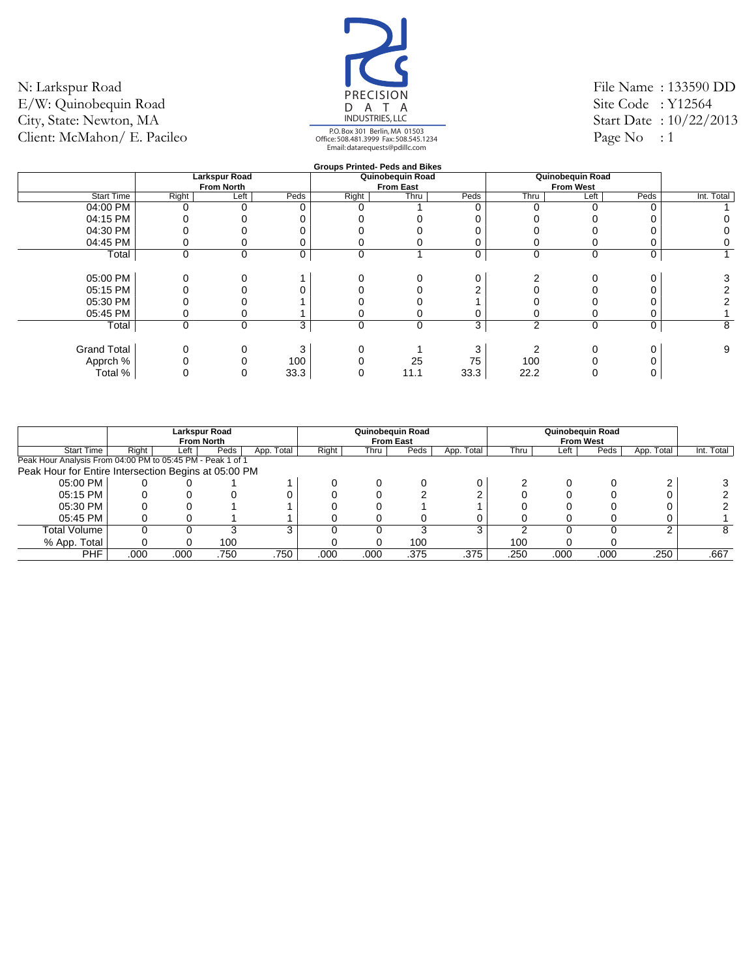![](_page_50_Picture_1.jpeg)

File Name : 133590 DD Site Code : Y12564 Start Date : 10/22/2013 Page No  $: 1$ 

|                    |             |                      |      | <b>Groups Printed- Peds and Bikes</b> |                  |      |                |                  |      |            |
|--------------------|-------------|----------------------|------|---------------------------------------|------------------|------|----------------|------------------|------|------------|
|                    |             | <b>Larkspur Road</b> |      |                                       | Quinobequin Road |      |                | Quinobequin Road |      |            |
|                    |             | <b>From North</b>    |      |                                       | <b>From East</b> |      |                | <b>From West</b> |      |            |
| <b>Start Time</b>  | Right       | Left                 | Peds | Right                                 | Thru             | Peds | Thru           | Left             | Peds | Int. Total |
| 04:00 PM           |             |                      |      |                                       |                  |      |                |                  |      |            |
| 04:15 PM           |             |                      |      |                                       |                  |      |                |                  |      |            |
| 04:30 PM           |             |                      |      |                                       |                  |      |                |                  |      |            |
| 04:45 PM           |             |                      |      |                                       |                  |      |                |                  |      | 0          |
| Total              | $\mathbf 0$ | $\mathbf 0$          | 0    | 0                                     |                  | 0    | 0              | 0                | 0    |            |
|                    |             |                      |      |                                       |                  |      |                |                  |      |            |
| 05:00 PM           |             |                      |      |                                       |                  |      |                |                  |      |            |
| 05:15 PM           |             |                      |      |                                       |                  |      |                |                  |      |            |
| 05:30 PM           |             |                      |      |                                       |                  |      |                |                  |      |            |
| 05:45 PM           |             |                      |      |                                       |                  |      |                |                  |      |            |
| Total              | $\mathbf 0$ | $\mathbf 0$          | 3    | 0                                     | 0                | 3    | $\overline{2}$ | $\mathbf 0$      | 0    | 8          |
|                    |             |                      |      |                                       |                  |      |                |                  |      |            |
| <b>Grand Total</b> |             |                      | 3    |                                       |                  | 3    |                |                  |      | 9          |
| Apprch %           |             |                      | 100  |                                       | 25               | 75   | 100            |                  |      |            |
| Total %            |             |                      | 33.3 |                                       | 11.1             | 33.3 | 22.2           |                  |      |            |
|                    |             |                      |      |                                       |                  |      |                |                  |      |            |

|                                                            |       |      | Larkspur Road<br><b>From North</b> |            |       |      | Quinobequin Road<br><b>From East</b> |            | Quinobeguin Road<br><b>From West</b> |      |      |            |            |
|------------------------------------------------------------|-------|------|------------------------------------|------------|-------|------|--------------------------------------|------------|--------------------------------------|------|------|------------|------------|
| <b>Start Time</b>                                          | Right | Left | Peds                               | App. Total | Right | Thru | Peds                                 | App. Total | Thru                                 | Left | Peds | App. Total | Int. Total |
| Peak Hour Analysis From 04:00 PM to 05:45 PM - Peak 1 of 1 |       |      |                                    |            |       |      |                                      |            |                                      |      |      |            |            |
| Peak Hour for Entire Intersection Begins at 05:00 PM       |       |      |                                    |            |       |      |                                      |            |                                      |      |      |            |            |
| 05:00 PM                                                   |       |      |                                    |            |       |      |                                      |            |                                      |      |      |            |            |
| 05:15 PM                                                   |       |      |                                    |            |       |      |                                      |            |                                      |      |      |            |            |
| 05:30 PM                                                   |       |      |                                    |            |       |      |                                      |            |                                      |      |      |            |            |
| 05:45 PM                                                   |       |      |                                    |            |       |      |                                      |            |                                      |      |      |            |            |
| Total Volume                                               |       |      |                                    | 3          |       |      |                                      | 3          |                                      |      |      |            | 8          |
| % App. Total                                               |       |      | 100                                |            |       |      | 100                                  |            | 100                                  |      |      |            |            |
| <b>PHF</b>                                                 | .000  | .000 | .750                               | .750       | .000  | .000 | .375                                 | .375       | .250                                 | .000 | .000 | .250       | .667       |